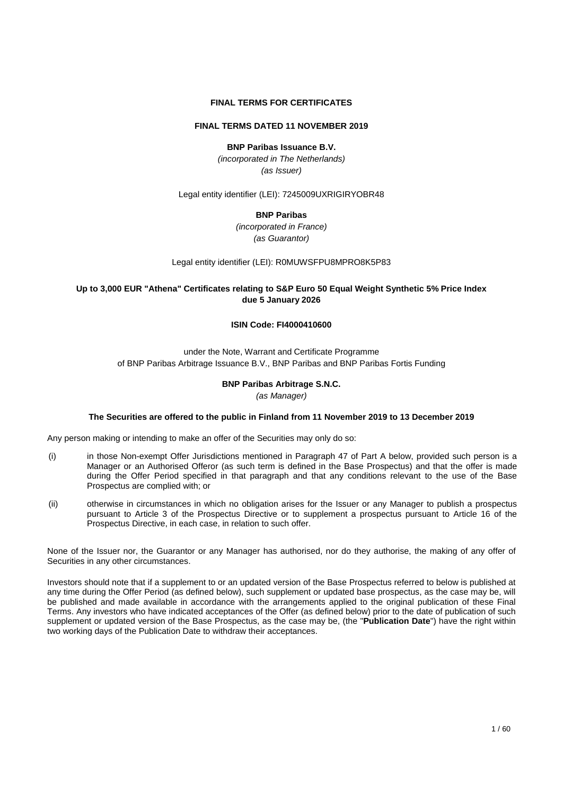#### **FINAL TERMS FOR CERTIFICATES**

### **FINAL TERMS DATED 11 NOVEMBER 2019**

### **BNP Paribas Issuance B.V.**

*(incorporated in The Netherlands) (as Issuer)* 

Legal entity identifier (LEI): 7245009UXRIGIRYOBR48

#### **BNP Paribas**

*(incorporated in France) (as Guarantor)* 

Legal entity identifier (LEI): R0MUWSFPU8MPRO8K5P83

### **Up to 3,000 EUR "Athena" Certificates relating to S&P Euro 50 Equal Weight Synthetic 5% Price Index due 5 January 2026**

#### **ISIN Code: FI4000410600**

### under the Note, Warrant and Certificate Programme of BNP Paribas Arbitrage Issuance B.V., BNP Paribas and BNP Paribas Fortis Funding

### **BNP Paribas Arbitrage S.N.C.**

*(as Manager)*

#### **The Securities are offered to the public in Finland from 11 November 2019 to 13 December 2019**

Any person making or intending to make an offer of the Securities may only do so:

- (i) in those Non-exempt Offer Jurisdictions mentioned in Paragraph 47 of Part A below, provided such person is a Manager or an Authorised Offeror (as such term is defined in the Base Prospectus) and that the offer is made during the Offer Period specified in that paragraph and that any conditions relevant to the use of the Base Prospectus are complied with; or
- (ii) otherwise in circumstances in which no obligation arises for the Issuer or any Manager to publish a prospectus pursuant to Article 3 of the Prospectus Directive or to supplement a prospectus pursuant to Article 16 of the Prospectus Directive, in each case, in relation to such offer.

None of the Issuer nor, the Guarantor or any Manager has authorised, nor do they authorise, the making of any offer of Securities in any other circumstances.

Investors should note that if a supplement to or an updated version of the Base Prospectus referred to below is published at any time during the Offer Period (as defined below), such supplement or updated base prospectus, as the case may be, will be published and made available in accordance with the arrangements applied to the original publication of these Final Terms. Any investors who have indicated acceptances of the Offer (as defined below) prior to the date of publication of such supplement or updated version of the Base Prospectus, as the case may be, (the "**Publication Date**") have the right within two working days of the Publication Date to withdraw their acceptances.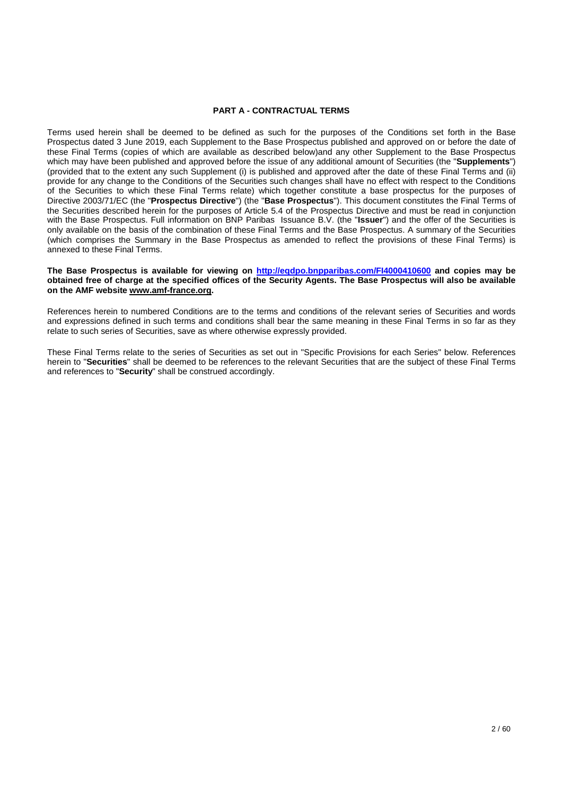#### **PART A - CONTRACTUAL TERMS**

Terms used herein shall be deemed to be defined as such for the purposes of the Conditions set forth in the Base Prospectus dated 3 June 2019, each Supplement to the Base Prospectus published and approved on or before the date of these Final Terms (copies of which are available as described below)and any other Supplement to the Base Prospectus which may have been published and approved before the issue of any additional amount of Securities (the "**Supplements**") (provided that to the extent any such Supplement (i) is published and approved after the date of these Final Terms and (ii) provide for any change to the Conditions of the Securities such changes shall have no effect with respect to the Conditions of the Securities to which these Final Terms relate) which together constitute a base prospectus for the purposes of Directive 2003/71/EC (the "**Prospectus Directive**") (the "**Base Prospectus**"). This document constitutes the Final Terms of the Securities described herein for the purposes of Article 5.4 of the Prospectus Directive and must be read in conjunction with the Base Prospectus. Full information on BNP Paribas Issuance B.V. (the "**Issuer**") and the offer of the Securities is only available on the basis of the combination of these Final Terms and the Base Prospectus. A summary of the Securities (which comprises the Summary in the Base Prospectus as amended to reflect the provisions of these Final Terms) is annexed to these Final Terms.

#### **The Base Prospectus is available for viewing on<http://eqdpo.bnpparibas.com/FI4000410600>and copies may be obtained free of charge at the specified offices of the Security Agents. The Base Prospectus will also be available on the AMF website [www.amf-france.org.](http://www.amf-france.org/)**

References herein to numbered Conditions are to the terms and conditions of the relevant series of Securities and words and expressions defined in such terms and conditions shall bear the same meaning in these Final Terms in so far as they relate to such series of Securities, save as where otherwise expressly provided.

These Final Terms relate to the series of Securities as set out in "Specific Provisions for each Series" below. References herein to "**Securities**" shall be deemed to be references to the relevant Securities that are the subject of these Final Terms and references to "**Security**" shall be construed accordingly.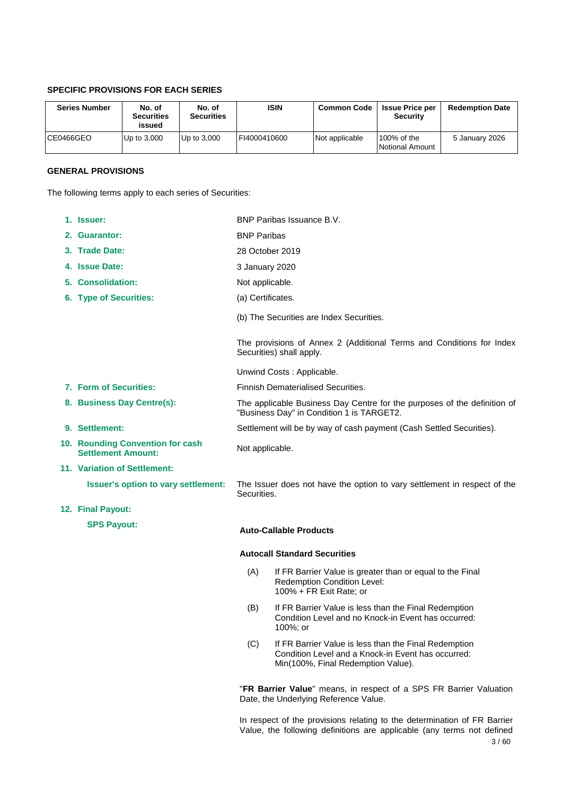# **SPECIFIC PROVISIONS FOR EACH SERIES**

| <b>Series Number</b> | No. of<br><b>Securities</b><br>issued | No. of<br><b>Securities</b> | <b>ISIN</b>  | <b>Common Code</b> | <b>Issue Price per</b><br><b>Security</b> | <b>Redemption Date</b> |
|----------------------|---------------------------------------|-----------------------------|--------------|--------------------|-------------------------------------------|------------------------|
| CE0466GEO            | Up to $3.000$                         | Up to 3,000                 | FI4000410600 | Not applicable     | l100% of the<br>Notional Amount           | 5 January 2026         |

# **GENERAL PROVISIONS**

The following terms apply to each series of Securities:

| 1. Issuer:                                                    | BNP Paribas Issuance B.V.                                                                                             |                                                                                                                                                   |  |
|---------------------------------------------------------------|-----------------------------------------------------------------------------------------------------------------------|---------------------------------------------------------------------------------------------------------------------------------------------------|--|
| 2. Guarantor:                                                 | <b>BNP Paribas</b>                                                                                                    |                                                                                                                                                   |  |
| 3. Trade Date:                                                | 28 October 2019                                                                                                       |                                                                                                                                                   |  |
| 4. Issue Date:                                                | 3 January 2020                                                                                                        |                                                                                                                                                   |  |
| 5. Consolidation:                                             | Not applicable.                                                                                                       |                                                                                                                                                   |  |
| 6. Type of Securities:                                        | (a) Certificates.                                                                                                     |                                                                                                                                                   |  |
|                                                               |                                                                                                                       | (b) The Securities are Index Securities.                                                                                                          |  |
|                                                               |                                                                                                                       | The provisions of Annex 2 (Additional Terms and Conditions for Index<br>Securities) shall apply.                                                  |  |
|                                                               |                                                                                                                       | Unwind Costs: Applicable.                                                                                                                         |  |
| 7. Form of Securities:                                        |                                                                                                                       | <b>Finnish Dematerialised Securities.</b>                                                                                                         |  |
| 8. Business Day Centre(s):                                    | The applicable Business Day Centre for the purposes of the definition of<br>"Business Day" in Condition 1 is TARGET2. |                                                                                                                                                   |  |
| 9. Settlement:                                                |                                                                                                                       | Settlement will be by way of cash payment (Cash Settled Securities).                                                                              |  |
| 10. Rounding Convention for cash<br><b>Settlement Amount:</b> | Not applicable.                                                                                                       |                                                                                                                                                   |  |
| 11. Variation of Settlement:                                  |                                                                                                                       |                                                                                                                                                   |  |
| <b>Issuer's option to vary settlement:</b>                    | Securities.                                                                                                           | The Issuer does not have the option to vary settlement in respect of the                                                                          |  |
| 12. Final Payout:                                             |                                                                                                                       |                                                                                                                                                   |  |
| <b>SPS Payout:</b>                                            |                                                                                                                       | <b>Auto-Callable Products</b>                                                                                                                     |  |
|                                                               |                                                                                                                       | <b>Autocall Standard Securities</b>                                                                                                               |  |
|                                                               | (A)                                                                                                                   | If FR Barrier Value is greater than or equal to the Final<br>Redemption Condition Level:<br>100% + FR Exit Rate; or                               |  |
|                                                               | (B)                                                                                                                   | If FR Barrier Value is less than the Final Redemption<br>Condition Level and no Knock-in Event has occurred:<br>100%; or                          |  |
|                                                               | (C)                                                                                                                   | If FR Barrier Value is less than the Final Redemption<br>Condition Level and a Knock-in Event has occurred:<br>Min(100%, Final Redemption Value). |  |
|                                                               |                                                                                                                       | "FR Barrier Value" means, in respect of a SPS FR Barrier Valuation<br>Date, the Underlying Reference Value.                                       |  |

3 / 60 In respect of the provisions relating to the determination of FR Barrier Value, the following definitions are applicable (any terms not defined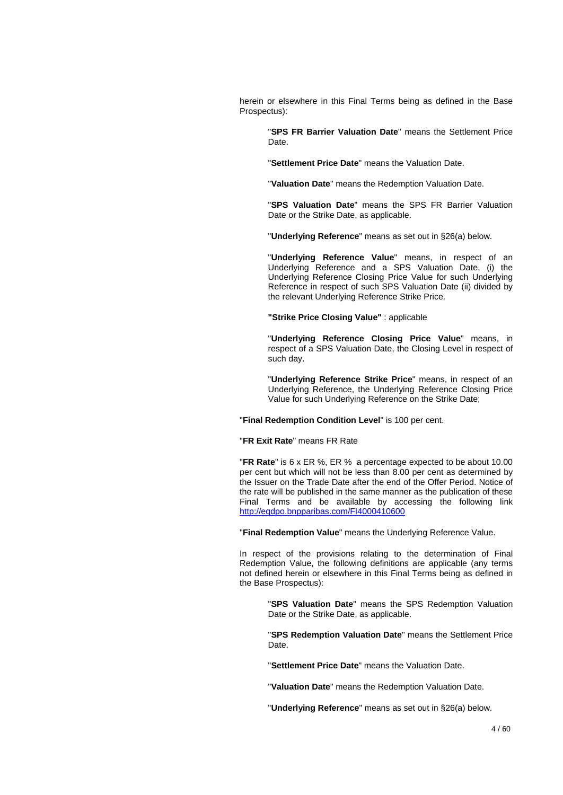herein or elsewhere in this Final Terms being as defined in the Base Prospectus):

> "**SPS FR Barrier Valuation Date**" means the Settlement Price Date.

"**Settlement Price Date**" means the Valuation Date.

"**Valuation Date**" means the Redemption Valuation Date.

"**SPS Valuation Date**" means the SPS FR Barrier Valuation Date or the Strike Date, as applicable.

"**Underlying Reference**" means as set out in §26(a) below.

"**Underlying Reference Value**" means, in respect of an Underlying Reference and a SPS Valuation Date, (i) the Underlying Reference Closing Price Value for such Underlying Reference in respect of such SPS Valuation Date (ii) divided by the relevant Underlying Reference Strike Price.

**"Strike Price Closing Value"** : applicable

"**Underlying Reference Closing Price Value**" means, in respect of a SPS Valuation Date, the Closing Level in respect of such day.

"**Underlying Reference Strike Price**" means, in respect of an Underlying Reference, the Underlying Reference Closing Price Value for such Underlying Reference on the Strike Date;

"**Final Redemption Condition Level**" is 100 per cent.

#### "**FR Exit Rate**" means FR Rate

"**FR Rate**" is 6 x ER %, ER % a percentage expected to be about 10.00 per cent but which will not be less than 8.00 per cent as determined by the Issuer on the Trade Date after the end of the Offer Period. Notice of the rate will be published in the same manner as the publication of these Final Terms and be available by accessing the following link [http://eqdpo.bnpparibas.com/F](http://eqdpo.bnpparibas.com/FI4000375332)I4000410600

"**Final Redemption Value**" means the Underlying Reference Value.

In respect of the provisions relating to the determination of Final Redemption Value, the following definitions are applicable (any terms not defined herein or elsewhere in this Final Terms being as defined in the Base Prospectus):

> "**SPS Valuation Date**" means the SPS Redemption Valuation Date or the Strike Date, as applicable.

> "**SPS Redemption Valuation Date**" means the Settlement Price Date.

"**Settlement Price Date**" means the Valuation Date.

"**Valuation Date**" means the Redemption Valuation Date.

"**Underlying Reference**" means as set out in §26(a) below.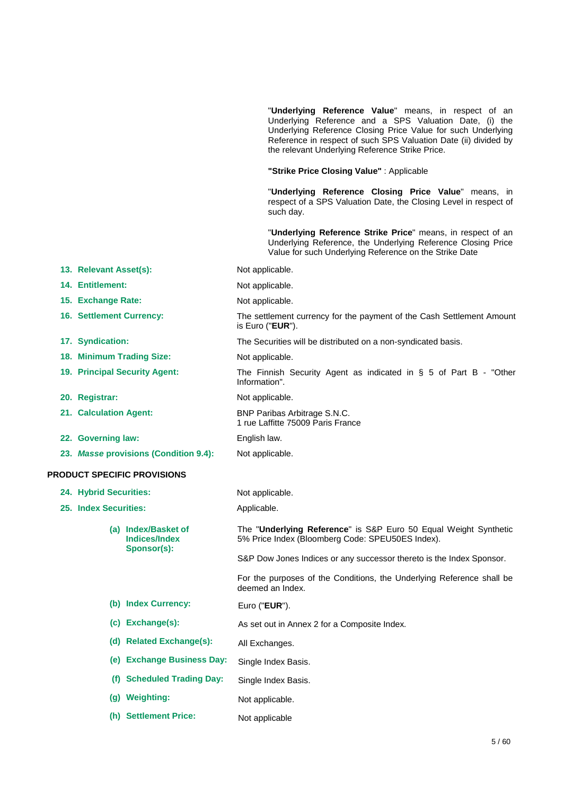|                    |                                 |                                             |               | "Underlying Reference Value" means, in respect of an<br>Underlying Reference and a SPS Valuation Date, (i) the<br>Underlying Reference Closing Price Value for such Underlying<br>Reference in respect of such SPS Valuation Date (ii) divided by<br>the relevant Underlying Reference Strike Price. |
|--------------------|---------------------------------|---------------------------------------------|---------------|------------------------------------------------------------------------------------------------------------------------------------------------------------------------------------------------------------------------------------------------------------------------------------------------------|
|                    |                                 |                                             |               | "Strike Price Closing Value": Applicable                                                                                                                                                                                                                                                             |
|                    |                                 |                                             |               | "Underlying Reference Closing Price Value" means, in<br>respect of a SPS Valuation Date, the Closing Level in respect of<br>such day.                                                                                                                                                                |
|                    |                                 |                                             |               | "Underlying Reference Strike Price" means, in respect of an<br>Underlying Reference, the Underlying Reference Closing Price<br>Value for such Underlying Reference on the Strike Date                                                                                                                |
|                    | 13. Relevant Asset(s):          |                                             |               | Not applicable.                                                                                                                                                                                                                                                                                      |
|                    | 14. Entitlement:                |                                             |               | Not applicable.                                                                                                                                                                                                                                                                                      |
|                    | 15. Exchange Rate:              |                                             |               | Not applicable.                                                                                                                                                                                                                                                                                      |
|                    | <b>16. Settlement Currency:</b> |                                             |               | The settlement currency for the payment of the Cash Settlement Amount<br>is Euro ("EUR").                                                                                                                                                                                                            |
|                    | 17. Syndication:                |                                             |               | The Securities will be distributed on a non-syndicated basis.                                                                                                                                                                                                                                        |
|                    |                                 | 18. Minimum Trading Size:                   |               | Not applicable.                                                                                                                                                                                                                                                                                      |
|                    |                                 | 19. Principal Security Agent:               | Information". | The Finnish Security Agent as indicated in $\S$ 5 of Part B - "Other                                                                                                                                                                                                                                 |
|                    | 20. Registrar:                  |                                             |               | Not applicable.                                                                                                                                                                                                                                                                                      |
|                    | 21. Calculation Agent:          |                                             |               | BNP Paribas Arbitrage S.N.C.<br>1 rue Laffitte 75009 Paris France                                                                                                                                                                                                                                    |
| 22. Governing law: |                                 | English law.                                |               |                                                                                                                                                                                                                                                                                                      |
|                    |                                 | 23. Masse provisions (Condition 9.4):       |               | Not applicable.                                                                                                                                                                                                                                                                                      |
|                    |                                 | <b>PRODUCT SPECIFIC PROVISIONS</b>          |               |                                                                                                                                                                                                                                                                                                      |
|                    | 24. Hybrid Securities:          |                                             |               | Not applicable.                                                                                                                                                                                                                                                                                      |
|                    | 25. Index Securities:           |                                             | Applicable.   |                                                                                                                                                                                                                                                                                                      |
|                    |                                 | (a) Index/Basket of<br><b>Indices/Index</b> |               | The "Underlying Reference" is S&P Euro 50 Equal Weight Synthetic<br>5% Price Index (Bloomberg Code: SPEU50ES Index).                                                                                                                                                                                 |
|                    |                                 | Sponsor(s):                                 |               | S&P Dow Jones Indices or any successor thereto is the Index Sponsor.                                                                                                                                                                                                                                 |
|                    |                                 |                                             |               | For the purposes of the Conditions, the Underlying Reference shall be<br>deemed an Index.                                                                                                                                                                                                            |
|                    |                                 | (b) Index Currency:                         |               | Euro ("EUR").                                                                                                                                                                                                                                                                                        |
|                    |                                 | (c) Exchange(s):                            |               | As set out in Annex 2 for a Composite Index.                                                                                                                                                                                                                                                         |
|                    |                                 | (d) Related Exchange(s):                    |               | All Exchanges.                                                                                                                                                                                                                                                                                       |
|                    |                                 | (e) Exchange Business Day:                  |               | Single Index Basis.                                                                                                                                                                                                                                                                                  |
|                    | (f)                             | <b>Scheduled Trading Day:</b>               |               | Single Index Basis.                                                                                                                                                                                                                                                                                  |
|                    |                                 | (g) Weighting:                              |               | Not applicable.                                                                                                                                                                                                                                                                                      |
|                    |                                 | (h) Settlement Price:                       |               | Not applicable                                                                                                                                                                                                                                                                                       |
|                    |                                 |                                             |               |                                                                                                                                                                                                                                                                                                      |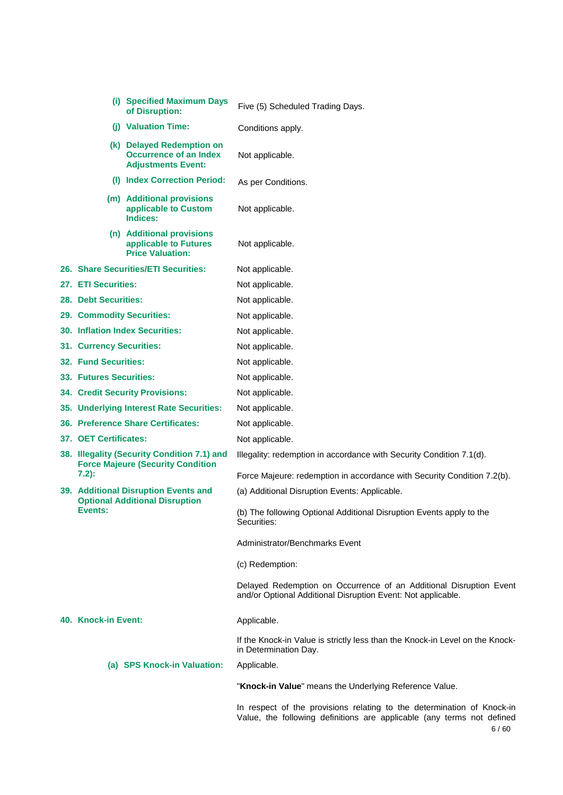|                             | (i) Specified Maximum Days<br>of Disruption:                                            | Five (5) Scheduled Trading Days.                                                                                                                 |
|-----------------------------|-----------------------------------------------------------------------------------------|--------------------------------------------------------------------------------------------------------------------------------------------------|
|                             | (j) Valuation Time:                                                                     | Conditions apply.                                                                                                                                |
|                             | (k) Delayed Redemption on<br>Occurrence of an Index<br><b>Adjustments Event:</b>        | Not applicable.                                                                                                                                  |
|                             | (I) Index Correction Period:                                                            | As per Conditions.                                                                                                                               |
|                             | (m) Additional provisions<br>applicable to Custom<br>Indices:                           | Not applicable.                                                                                                                                  |
|                             | (n) Additional provisions<br>applicable to Futures<br><b>Price Valuation:</b>           | Not applicable.                                                                                                                                  |
|                             | 26. Share Securities/ETI Securities:                                                    | Not applicable.                                                                                                                                  |
| 27. ETI Securities:         |                                                                                         | Not applicable.                                                                                                                                  |
| 28. Debt Securities:        |                                                                                         | Not applicable.                                                                                                                                  |
| 29. Commodity Securities:   |                                                                                         | Not applicable.                                                                                                                                  |
|                             | <b>30. Inflation Index Securities:</b>                                                  | Not applicable.                                                                                                                                  |
| 31. Currency Securities:    |                                                                                         | Not applicable.                                                                                                                                  |
| <b>32. Fund Securities:</b> |                                                                                         | Not applicable.                                                                                                                                  |
| 33. Futures Securities:     |                                                                                         | Not applicable.                                                                                                                                  |
|                             | <b>34. Credit Security Provisions:</b>                                                  | Not applicable.                                                                                                                                  |
|                             | 35. Underlying Interest Rate Securities:                                                | Not applicable.                                                                                                                                  |
|                             | 36. Preference Share Certificates:                                                      | Not applicable.                                                                                                                                  |
| 37. OET Certificates:       |                                                                                         | Not applicable.                                                                                                                                  |
|                             | 38. Illegality (Security Condition 7.1) and<br><b>Force Majeure (Security Condition</b> | Illegality: redemption in accordance with Security Condition 7.1(d).                                                                             |
| $7.2$ :                     |                                                                                         | Force Majeure: redemption in accordance with Security Condition 7.2(b).                                                                          |
|                             | 39. Additional Disruption Events and<br><b>Optional Additional Disruption</b>           | (a) Additional Disruption Events: Applicable.                                                                                                    |
| Events:                     |                                                                                         | (b) The following Optional Additional Disruption Events apply to the<br>Securities:                                                              |
|                             |                                                                                         | Administrator/Benchmarks Event                                                                                                                   |
|                             |                                                                                         | (c) Redemption:                                                                                                                                  |
|                             |                                                                                         | Delayed Redemption on Occurrence of an Additional Disruption Event<br>and/or Optional Additional Disruption Event: Not applicable.               |
| 40. Knock-in Event:         |                                                                                         | Applicable.                                                                                                                                      |
|                             |                                                                                         | If the Knock-in Value is strictly less than the Knock-in Level on the Knock-<br>in Determination Day.                                            |
|                             | (a) SPS Knock-in Valuation:                                                             | Applicable.                                                                                                                                      |
|                             |                                                                                         | "Knock-in Value" means the Underlying Reference Value.                                                                                           |
|                             |                                                                                         | In respect of the provisions relating to the determination of Knock-in<br>Value, the following definitions are applicable (any terms not defined |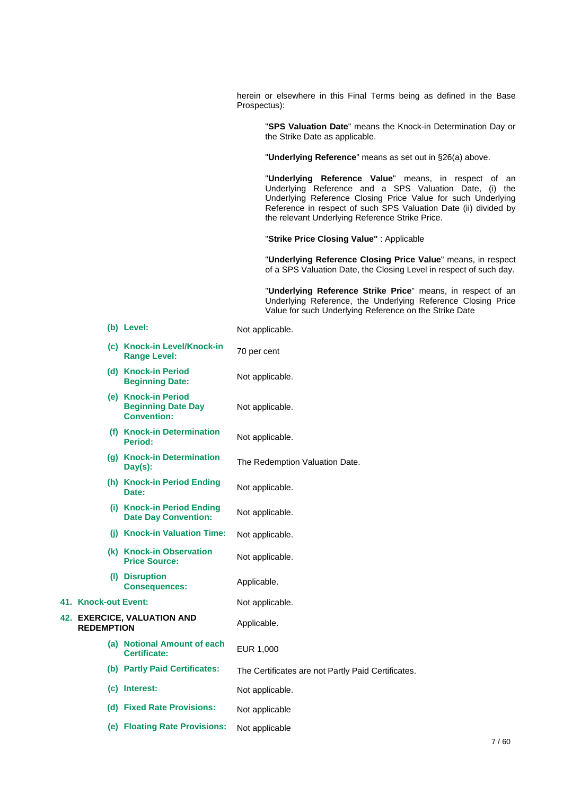herein or elsewhere in this Final Terms being as defined in the Base Prospectus):

"**SPS Valuation Date**" means the Knock-in Determination Day or the Strike Date as applicable.

"**Underlying Reference**" means as set out in §26(a) above.

"**Underlying Reference Value**" means, in respect of an Underlying Reference and a SPS Valuation Date, (i) the Underlying Reference Closing Price Value for such Underlying Reference in respect of such SPS Valuation Date (ii) divided by the relevant Underlying Reference Strike Price.

"**Strike Price Closing Value"** : Applicable

"**Underlying Reference Closing Price Value**" means, in respect of a SPS Valuation Date, the Closing Level in respect of such day.

"**Underlying Reference Strike Price**" means, in respect of an Underlying Reference, the Underlying Reference Closing Price Value for such Underlying Reference on the Strike Date

|                      | (b) Level:                                                             | Not applicable.                                    |
|----------------------|------------------------------------------------------------------------|----------------------------------------------------|
|                      | (c) Knock-in Level/Knock-in<br><b>Range Level:</b>                     | 70 per cent                                        |
|                      | (d) Knock-in Period<br><b>Beginning Date:</b>                          | Not applicable.                                    |
|                      | (e) Knock-in Period<br><b>Beginning Date Day</b><br><b>Convention:</b> | Not applicable.                                    |
|                      | (f) Knock-in Determination<br>Period:                                  | Not applicable.                                    |
|                      | (g) Knock-in Determination<br>$Day(s)$ :                               | The Redemption Valuation Date.                     |
|                      | (h) Knock-in Period Ending<br>Date:                                    | Not applicable.                                    |
|                      | (i) Knock-in Period Ending<br><b>Date Day Convention:</b>              | Not applicable.                                    |
|                      | (j) Knock-in Valuation Time:                                           | Not applicable.                                    |
|                      | (k) Knock-in Observation<br><b>Price Source:</b>                       | Not applicable.                                    |
|                      | (I) Disruption<br><b>Consequences:</b>                                 | Applicable.                                        |
| 41. Knock-out Event: |                                                                        | Not applicable.                                    |
| <b>REDEMPTION</b>    | <b>42. EXERCICE, VALUATION AND</b>                                     | Applicable.                                        |
|                      | (a) Notional Amount of each<br>Certificate:                            | EUR 1,000                                          |
|                      | (b) Partly Paid Certificates:                                          | The Certificates are not Partly Paid Certificates. |
|                      | (c) Interest:                                                          | Not applicable.                                    |
|                      | (d) Fixed Rate Provisions:                                             | Not applicable                                     |
|                      | (e) Floating Rate Provisions:                                          | Not applicable                                     |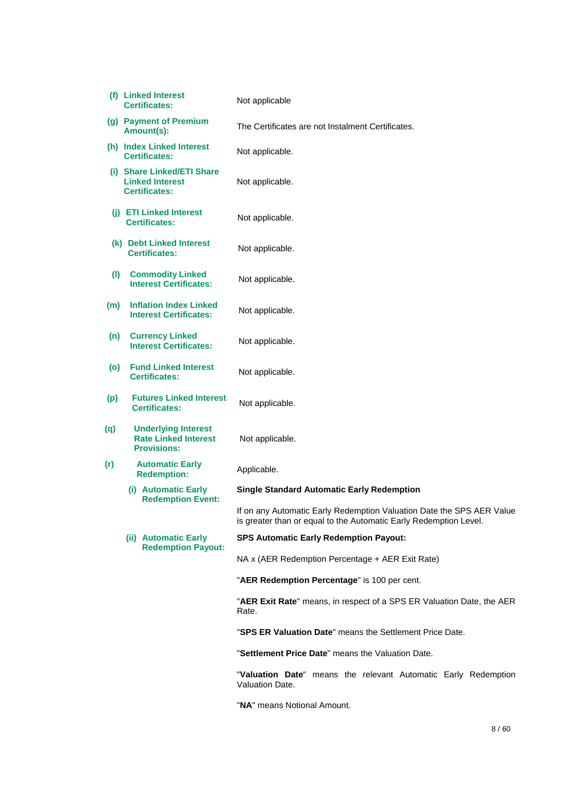|     | (f) Linked Interest<br><b>Certificates:</b>                                     | Not applicable                                                                                                                             |
|-----|---------------------------------------------------------------------------------|--------------------------------------------------------------------------------------------------------------------------------------------|
|     | (g) Payment of Premium<br>Amount(s):                                            | The Certificates are not Instalment Certificates.                                                                                          |
|     | (h) Index Linked Interest<br><b>Certificates:</b>                               | Not applicable.                                                                                                                            |
|     | (i) Share Linked/ETI Share<br><b>Linked Interest</b><br><b>Certificates:</b>    | Not applicable.                                                                                                                            |
|     | (j) ETI Linked Interest<br><b>Certificates:</b>                                 | Not applicable.                                                                                                                            |
|     | (k) Debt Linked Interest<br><b>Certificates:</b>                                | Not applicable.                                                                                                                            |
| (1) | <b>Commodity Linked</b><br><b>Interest Certificates:</b>                        | Not applicable.                                                                                                                            |
| (m) | <b>Inflation Index Linked</b><br><b>Interest Certificates:</b>                  | Not applicable.                                                                                                                            |
| (n) | <b>Currency Linked</b><br><b>Interest Certificates:</b>                         | Not applicable.                                                                                                                            |
| (o) | <b>Fund Linked Interest</b><br><b>Certificates:</b>                             | Not applicable.                                                                                                                            |
| (p) | <b>Futures Linked Interest</b><br><b>Certificates:</b>                          | Not applicable.                                                                                                                            |
| (q) | <b>Underlying Interest</b><br><b>Rate Linked Interest</b><br><b>Provisions:</b> | Not applicable.                                                                                                                            |
| (r) | <b>Automatic Early</b><br><b>Redemption:</b>                                    | Applicable.                                                                                                                                |
|     | (i) Automatic Early<br><b>Redemption Event:</b>                                 | <b>Single Standard Automatic Early Redemption</b>                                                                                          |
|     |                                                                                 | If on any Automatic Early Redemption Valuation Date the SPS AER Value<br>is greater than or equal to the Automatic Early Redemption Level. |
|     | (ii) Automatic Early<br><b>Redemption Payout:</b>                               | <b>SPS Automatic Early Redemption Payout:</b>                                                                                              |
|     |                                                                                 | NA x (AER Redemption Percentage + AER Exit Rate)                                                                                           |
|     |                                                                                 | "AER Redemption Percentage" is 100 per cent.                                                                                               |
|     |                                                                                 | "AER Exit Rate" means, in respect of a SPS ER Valuation Date, the AER<br>Rate.                                                             |
|     |                                                                                 | "SPS ER Valuation Date" means the Settlement Price Date.                                                                                   |
|     |                                                                                 | "Settlement Price Date" means the Valuation Date.                                                                                          |
|     |                                                                                 | "Valuation Date" means the relevant Automatic Early Redemption<br>Valuation Date.                                                          |

"**NA**" means Notional Amount.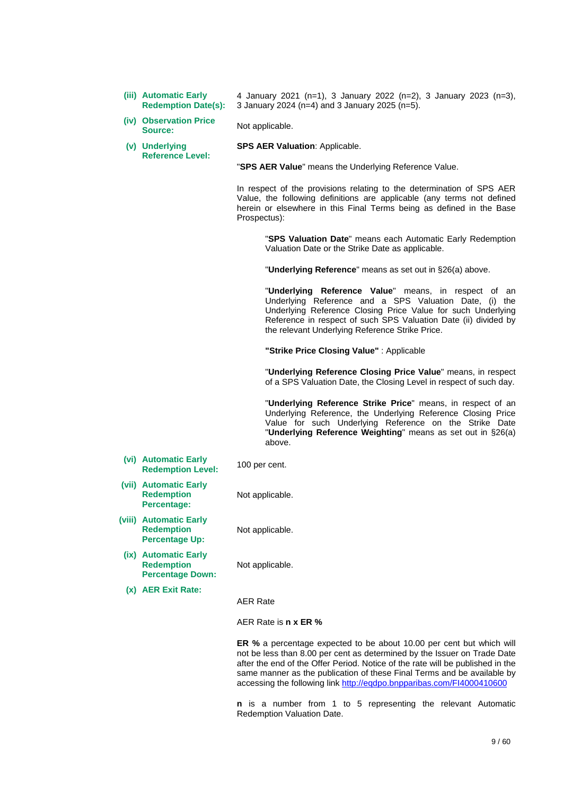**(iii) Automatic Early Redemption Date(s):** 

4 January 2021 (n=1), 3 January 2022 (n=2), 3 January 2023 (n=3), 3 January 2024 (n=4) and 3 January 2025 (n=5).

- **(iv) Observation Price Source:** Not applicable.
- **(v) Underlying Reference Level:**

**SPS AER Valuation**: Applicable.

"**SPS AER Value**" means the Underlying Reference Value.

In respect of the provisions relating to the determination of SPS AER Value, the following definitions are applicable (any terms not defined herein or elsewhere in this Final Terms being as defined in the Base Prospectus):

> "**SPS Valuation Date**" means each Automatic Early Redemption Valuation Date or the Strike Date as applicable.

"**Underlying Reference**" means as set out in §26(a) above.

"**Underlying Reference Value**" means, in respect of an Underlying Reference and a SPS Valuation Date, (i) the Underlying Reference Closing Price Value for such Underlying Reference in respect of such SPS Valuation Date (ii) divided by the relevant Underlying Reference Strike Price.

**"Strike Price Closing Value"** : Applicable

"**Underlying Reference Closing Price Value**" means, in respect of a SPS Valuation Date, the Closing Level in respect of such day.

"**Underlying Reference Strike Price**" means, in respect of an Underlying Reference, the Underlying Reference Closing Price Value for such Underlying Reference on the Strike Date "**Underlying Reference Weighting**" means as set out in §26(a) above.

**(vi) Automatic Early Redemption Level:** 100 per cent.

Not applicable.

Not applicable.

**(vii) Automatic Early Redemption Percentage:** 

**(viii) Automatic Early Redemption Percentage Up:** 

**(ix) Automatic Early Redemption Percentage Down:** 

Not applicable.

**(x) AER Exit Rate:**

AER Rate

AER Rate is **n x ER %**

**ER %** a percentage expected to be about 10.00 per cent but which will not be less than 8.00 per cent as determined by the Issuer on Trade Date after the end of the Offer Period. Notice of the rate will be published in the same manner as the publication of these Final Terms and be available by accessing the following link http://eqdpo.bnpparibas.com/FI4000410600

**n** is a number from 1 to 5 representing the relevant Automatic Redemption Valuation Date.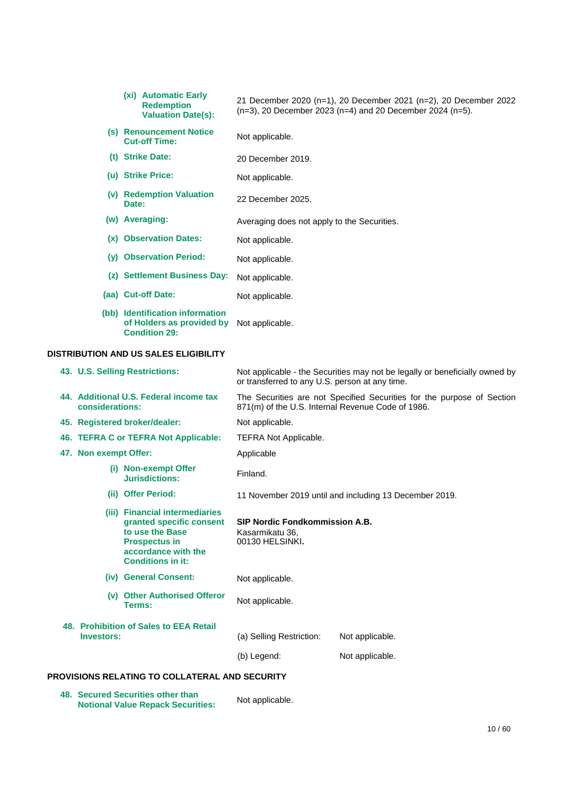|     | (xi) Automatic Early<br><b>Redemption</b><br><b>Valuation Date(s):</b>               | 21 December 2020 (n=1), 20 December 2021 (n=2), 20 December 2022<br>$(n=3)$ , 20 December 2023 (n=4) and 20 December 2024 (n=5). |
|-----|--------------------------------------------------------------------------------------|----------------------------------------------------------------------------------------------------------------------------------|
| (S) | <b>Renouncement Notice</b><br><b>Cut-off Time:</b>                                   | Not applicable.                                                                                                                  |
| (t) | <b>Strike Date:</b>                                                                  | 20 December 2019.                                                                                                                |
|     | (u) Strike Price:                                                                    | Not applicable.                                                                                                                  |
| (v) | <b>Redemption Valuation</b><br>Date:                                                 | 22 December 2025.                                                                                                                |
|     | (w) Averaging:                                                                       | Averaging does not apply to the Securities.                                                                                      |
| (x) | <b>Observation Dates:</b>                                                            | Not applicable.                                                                                                                  |
| (y) | <b>Observation Period:</b>                                                           | Not applicable.                                                                                                                  |
| (Z) | <b>Settlement Business Day:</b>                                                      | Not applicable.                                                                                                                  |
|     | (aa) Cut-off Date:                                                                   | Not applicable.                                                                                                                  |
|     | (bb) Identification information<br>of Holders as provided by<br><b>Condition 29:</b> | Not applicable.                                                                                                                  |

## **DISTRIBUTION AND US SALES ELIGIBILITY**

| 43. U.S. Selling Restrictions:                                                                                                                           | Not applicable - the Securities may not be legally or beneficially owned by<br>or transferred to any U.S. person at any time. |                                                                        |
|----------------------------------------------------------------------------------------------------------------------------------------------------------|-------------------------------------------------------------------------------------------------------------------------------|------------------------------------------------------------------------|
| 44. Additional U.S. Federal income tax<br>considerations:                                                                                                | 871(m) of the U.S. Internal Revenue Code of 1986.                                                                             | The Securities are not Specified Securities for the purpose of Section |
| 45. Registered broker/dealer:                                                                                                                            | Not applicable.                                                                                                               |                                                                        |
| 46. TEFRA C or TEFRA Not Applicable:                                                                                                                     | <b>TEFRA Not Applicable.</b>                                                                                                  |                                                                        |
| 47. Non exempt Offer:                                                                                                                                    | Applicable                                                                                                                    |                                                                        |
| (i) Non-exempt Offer<br><b>Jurisdictions:</b>                                                                                                            | Finland.                                                                                                                      |                                                                        |
| (ii) Offer Period:                                                                                                                                       |                                                                                                                               | 11 November 2019 until and including 13 December 2019.                 |
| (iii) Financial intermediaries<br>granted specific consent<br>to use the Base<br><b>Prospectus in</b><br>accordance with the<br><b>Conditions in it:</b> | <b>SIP Nordic Fondkommission A.B.</b><br>Kasarmikatu 36,<br>00130 HELSINKI.                                                   |                                                                        |
| (iv) General Consent:                                                                                                                                    | Not applicable.                                                                                                               |                                                                        |
| (v) Other Authorised Offeror<br>Terms:                                                                                                                   | Not applicable.                                                                                                               |                                                                        |
| 48. Prohibition of Sales to EEA Retail<br><b>Investors:</b>                                                                                              | (a) Selling Restriction:                                                                                                      | Not applicable.                                                        |
|                                                                                                                                                          | (b) Legend:                                                                                                                   | Not applicable.                                                        |
|                                                                                                                                                          |                                                                                                                               |                                                                        |

## **PROVISIONS RELATING TO COLLATERAL AND SECURITY**

**48. Secured Securities other than Notional Value Repack Securities:** Not applicable.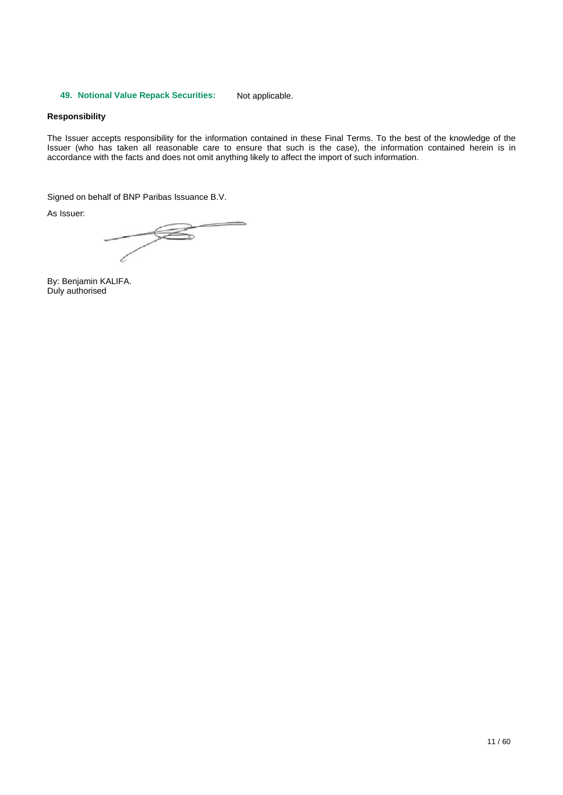### **49. Notional Value Repack Securities:** Not applicable.

#### **Responsibility**

The Issuer accepts responsibility for the information contained in these Final Terms. To the best of the knowledge of the Issuer (who has taken all reasonable care to ensure that such is the case), the information contained herein is in accordance with the facts and does not omit anything likely to affect the import of such information.

Signed on behalf of BNP Paribas Issuance B.V.

As Issuer:

 $\overline{\mathscr{B}}$ -l

By: Benjamin KALIFA. Duly authorised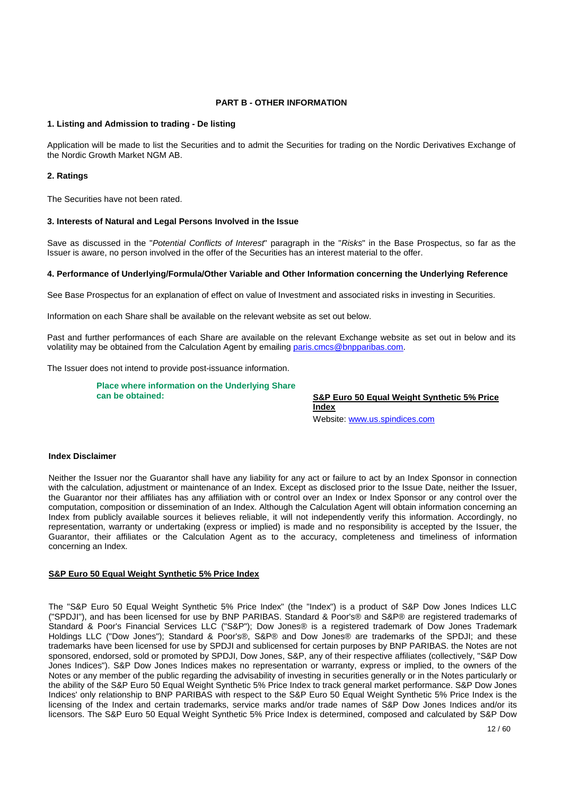### **PART B - OTHER INFORMATION**

### **1. Listing and Admission to trading - De listing**

Application will be made to list the Securities and to admit the Securities for trading on the Nordic Derivatives Exchange of the Nordic Growth Market NGM AB.

#### **2. Ratings**

The Securities have not been rated.

#### **3. Interests of Natural and Legal Persons Involved in the Issue**

Save as discussed in the "*Potential Conflicts of Interest*" paragraph in the "*Risks*" in the Base Prospectus, so far as the Issuer is aware, no person involved in the offer of the Securities has an interest material to the offer.

#### **4. Performance of Underlying/Formula/Other Variable and Other Information concerning the Underlying Reference**

See Base Prospectus for an explanation of effect on value of Investment and associated risks in investing in Securities.

Information on each Share shall be available on the relevant website as set out below.

Past and further performances of each Share are available on the relevant Exchange website as set out in below and its volatility may be obtained from the Calculation Agent by emailing [paris.cmcs@bnpparibas.com.](mailto:paris.cmcs@bnpparibas.com) 

The Issuer does not intend to provide post-issuance information.

**Place where information on the Underlying Share** 

**can be obtained: S&P Euro 50 Equal Weight Synthetic 5% Price Index** 

Website[: www.us.spindices.com](http://www.us.spindices.com/)

#### **Index Disclaimer**

Neither the Issuer nor the Guarantor shall have any liability for any act or failure to act by an Index Sponsor in connection with the calculation, adjustment or maintenance of an Index. Except as disclosed prior to the Issue Date, neither the Issuer, the Guarantor nor their affiliates has any affiliation with or control over an Index or Index Sponsor or any control over the computation, composition or dissemination of an Index. Although the Calculation Agent will obtain information concerning an Index from publicly available sources it believes reliable, it will not independently verify this information. Accordingly, no representation, warranty or undertaking (express or implied) is made and no responsibility is accepted by the Issuer, the Guarantor, their affiliates or the Calculation Agent as to the accuracy, completeness and timeliness of information concerning an Index.

#### **S&P Euro 50 Equal Weight Synthetic 5% Price Index**

The "S&P Euro 50 Equal Weight Synthetic 5% Price Index" (the "Index") is a product of S&P Dow Jones Indices LLC ("SPDJI"), and has been licensed for use by BNP PARIBAS. Standard & Poor's® and S&P® are registered trademarks of Standard & Poor's Financial Services LLC ("S&P"); Dow Jones® is a registered trademark of Dow Jones Trademark Holdings LLC ("Dow Jones"); Standard & Poor's®, S&P® and Dow Jones® are trademarks of the SPDJI; and these trademarks have been licensed for use by SPDJI and sublicensed for certain purposes by BNP PARIBAS. the Notes are not sponsored, endorsed, sold or promoted by SPDJI, Dow Jones, S&P, any of their respective affiliates (collectively, "S&P Dow Jones Indices"). S&P Dow Jones Indices makes no representation or warranty, express or implied, to the owners of the Notes or any member of the public regarding the advisability of investing in securities generally or in the Notes particularly or the ability of the S&P Euro 50 Equal Weight Synthetic 5% Price Index to track general market performance. S&P Dow Jones Indices' only relationship to BNP PARIBAS with respect to the S&P Euro 50 Equal Weight Synthetic 5% Price Index is the licensing of the Index and certain trademarks, service marks and/or trade names of S&P Dow Jones Indices and/or its licensors. The S&P Euro 50 Equal Weight Synthetic 5% Price Index is determined, composed and calculated by S&P Dow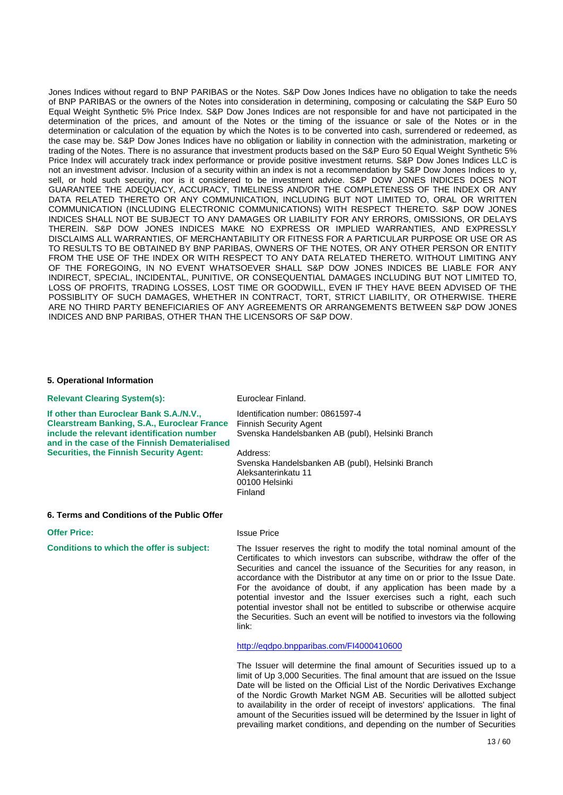Jones Indices without regard to BNP PARIBAS or the Notes. S&P Dow Jones Indices have no obligation to take the needs of BNP PARIBAS or the owners of the Notes into consideration in determining, composing or calculating the S&P Euro 50 Equal Weight Synthetic 5% Price Index. S&P Dow Jones Indices are not responsible for and have not participated in the determination of the prices, and amount of the Notes or the timing of the issuance or sale of the Notes or in the determination or calculation of the equation by which the Notes is to be converted into cash, surrendered or redeemed, as the case may be. S&P Dow Jones Indices have no obligation or liability in connection with the administration, marketing or trading of the Notes. There is no assurance that investment products based on the S&P Euro 50 Equal Weight Synthetic 5% Price Index will accurately track index performance or provide positive investment returns. S&P Dow Jones Indices LLC is not an investment advisor. Inclusion of a security within an index is not a recommendation by S&P Dow Jones Indices to y, sell, or hold such security, nor is it considered to be investment advice. S&P DOW JONES INDICES DOES NOT GUARANTEE THE ADEQUACY, ACCURACY, TIMELINESS AND/OR THE COMPLETENESS OF THE INDEX OR ANY DATA RELATED THERETO OR ANY COMMUNICATION, INCLUDING BUT NOT LIMITED TO, ORAL OR WRITTEN COMMUNICATION (INCLUDING ELECTRONIC COMMUNICATIONS) WITH RESPECT THERETO. S&P DOW JONES INDICES SHALL NOT BE SUBJECT TO ANY DAMAGES OR LIABILITY FOR ANY ERRORS, OMISSIONS, OR DELAYS THEREIN. S&P DOW JONES INDICES MAKE NO EXPRESS OR IMPLIED WARRANTIES, AND EXPRESSLY DISCLAIMS ALL WARRANTIES, OF MERCHANTABILITY OR FITNESS FOR A PARTICULAR PURPOSE OR USE OR AS TO RESULTS TO BE OBTAINED BY BNP PARIBAS, OWNERS OF THE NOTES, OR ANY OTHER PERSON OR ENTITY FROM THE USE OF THE INDEX OR WITH RESPECT TO ANY DATA RELATED THERETO. WITHOUT LIMITING ANY OF THE FOREGOING, IN NO EVENT WHATSOEVER SHALL S&P DOW JONES INDICES BE LIABLE FOR ANY INDIRECT, SPECIAL, INCIDENTAL, PUNITIVE, OR CONSEQUENTIAL DAMAGES INCLUDING BUT NOT LIMITED TO, LOSS OF PROFITS, TRADING LOSSES, LOST TIME OR GOODWILL, EVEN IF THEY HAVE BEEN ADVISED OF THE POSSIBLITY OF SUCH DAMAGES, WHETHER IN CONTRACT, TORT, STRICT LIABILITY, OR OTHERWISE. THERE ARE NO THIRD PARTY BENEFICIARIES OF ANY AGREEMENTS OR ARRANGEMENTS BETWEEN S&P DOW JONES INDICES AND BNP PARIBAS, OTHER THAN THE LICENSORS OF S&P DOW.

#### **5. Operational Information**

| <b>Relevant Clearing System(s):</b>                                                                                                                                                                                                            | Euroclear Finland.                                                                                                                                                                                                                                                                                                                                                                                                                                                                                                                                                                                                      |
|------------------------------------------------------------------------------------------------------------------------------------------------------------------------------------------------------------------------------------------------|-------------------------------------------------------------------------------------------------------------------------------------------------------------------------------------------------------------------------------------------------------------------------------------------------------------------------------------------------------------------------------------------------------------------------------------------------------------------------------------------------------------------------------------------------------------------------------------------------------------------------|
| If other than Euroclear Bank S.A./N.V.,<br><b>Clearstream Banking, S.A., Euroclear France</b><br>include the relevant identification number<br>and in the case of the Finnish Dematerialised<br><b>Securities, the Finnish Security Agent:</b> | Identification number: 0861597-4<br><b>Finnish Security Agent</b><br>Svenska Handelsbanken AB (publ), Helsinki Branch<br>Address:<br>Svenska Handelsbanken AB (publ), Helsinki Branch<br>Aleksanterinkatu 11<br>00100 Helsinki<br>Finland                                                                                                                                                                                                                                                                                                                                                                               |
| 6. Terms and Conditions of the Public Offer                                                                                                                                                                                                    |                                                                                                                                                                                                                                                                                                                                                                                                                                                                                                                                                                                                                         |
| <b>Offer Price:</b>                                                                                                                                                                                                                            | <b>Issue Price</b>                                                                                                                                                                                                                                                                                                                                                                                                                                                                                                                                                                                                      |
| Conditions to which the offer is subject:                                                                                                                                                                                                      | The Issuer reserves the right to modify the total nominal amount of the<br>Certificates to which investors can subscribe, withdraw the offer of the<br>Securities and cancel the issuance of the Securities for any reason, in<br>accordance with the Distributor at any time on or prior to the Issue Date.<br>For the avoidance of doubt, if any application has been made by a<br>potential investor and the Issuer exercises such a right, each such<br>potential investor shall not be entitled to subscribe or otherwise acquire<br>the Securities. Such an event will be notified to investors via the following |

link:

<http://eqdpo.bnpparibas.com/FI4000410600>

The Issuer will determine the final amount of Securities issued up to a limit of Up 3,000 Securities. The final amount that are issued on the Issue Date will be listed on the Official List of the Nordic Derivatives Exchange of the Nordic Growth Market NGM AB. Securities will be allotted subject to availability in the order of receipt of investors' applications. The final amount of the Securities issued will be determined by the Issuer in light of prevailing market conditions, and depending on the number of Securities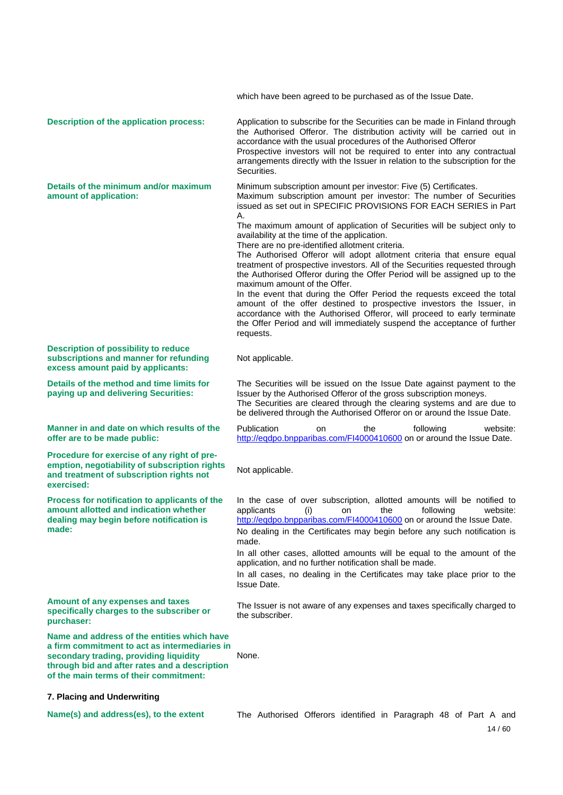which have been agreed to be purchased as of the Issue Date. **Description of the application process:** Application to subscribe for the Securities can be made in Finland through the Authorised Offeror. The distribution activity will be carried out in accordance with the usual procedures of the Authorised Offeror Prospective investors will not be required to enter into any contractual arrangements directly with the Issuer in relation to the subscription for the Securities. **Details of the minimum and/or maximum amount of application:**  Minimum subscription amount per investor: Five (5) Certificates. Maximum subscription amount per investor: The number of Securities issued as set out in SPECIFIC PROVISIONS FOR EACH SERIES in Part A. The maximum amount of application of Securities will be subject only to availability at the time of the application. There are no pre-identified allotment criteria. The Authorised Offeror will adopt allotment criteria that ensure equal treatment of prospective investors. All of the Securities requested through the Authorised Offeror during the Offer Period will be assigned up to the maximum amount of the Offer. In the event that during the Offer Period the requests exceed the total amount of the offer destined to prospective investors the Issuer, in accordance with the Authorised Offeror, will proceed to early terminate the Offer Period and will immediately suspend the acceptance of further requests. **Description of possibility to reduce subscriptions and manner for refunding excess amount paid by applicants:**  Not applicable. **Details of the method and time limits for paying up and delivering Securities:**  The Securities will be issued on the Issue Date against payment to the Issuer by the Authorised Offeror of the gross subscription moneys. The Securities are cleared through the clearing systems and are due to be delivered through the Authorised Offeror on or around the Issue Date. **Manner in and date on which results of the offer are to be made public:**  Publication on the following website: <http://eqdpo.bnpparibas.com/FI4000410600>on or around the Issue Date. **Procedure for exercise of any right of preemption, negotiability of subscription rights and treatment of subscription rights not exercised:**  Not applicable. **Process for notification to applicants of the amount allotted and indication whether dealing may begin before notification is made:**  In the case of over subscription, allotted amounts will be notified to applicants (i) on the following website: <http://eqdpo.bnpparibas.com/FI4000410600>on or around the Issue Date. No dealing in the Certificates may begin before any such notification is made. In all other cases, allotted amounts will be equal to the amount of the application, and no further notification shall be made. In all cases, no dealing in the Certificates may take place prior to the Issue Date. **Amount of any expenses and taxes specifically charges to the subscriber or purchaser:**  The Issuer is not aware of any expenses and taxes specifically charged to the subscriber. **Name and address of the entities which have a firm commitment to act as intermediaries in secondary trading, providing liquidity through bid and after rates and a description of the main terms of their commitment:**  None. **7. Placing and Underwriting Name(s) and address(es), to the extent** The Authorised Offerors identified in Paragraph 48 of Part A and

14 / 60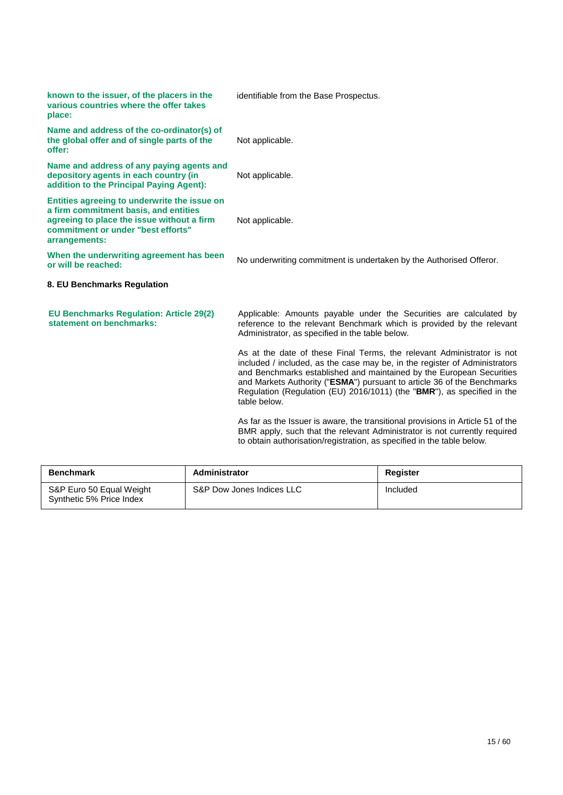| known to the issuer, of the placers in the<br>various countries where the offer takes<br>place:                                                                                            | identifiable from the Base Prospectus.                                                                                                                                                                                                                                                                                                                                                             |
|--------------------------------------------------------------------------------------------------------------------------------------------------------------------------------------------|----------------------------------------------------------------------------------------------------------------------------------------------------------------------------------------------------------------------------------------------------------------------------------------------------------------------------------------------------------------------------------------------------|
| Name and address of the co-ordinator(s) of<br>the global offer and of single parts of the<br>offer:                                                                                        | Not applicable.                                                                                                                                                                                                                                                                                                                                                                                    |
| Name and address of any paying agents and<br>depository agents in each country (in<br>addition to the Principal Paying Agent):                                                             | Not applicable.                                                                                                                                                                                                                                                                                                                                                                                    |
| Entities agreeing to underwrite the issue on<br>a firm commitment basis, and entities<br>agreeing to place the issue without a firm<br>commitment or under "best efforts"<br>arrangements: | Not applicable.                                                                                                                                                                                                                                                                                                                                                                                    |
| When the underwriting agreement has been<br>or will be reached:                                                                                                                            | No underwriting commitment is undertaken by the Authorised Offeror.                                                                                                                                                                                                                                                                                                                                |
| 8. EU Benchmarks Regulation                                                                                                                                                                |                                                                                                                                                                                                                                                                                                                                                                                                    |
| <b>EU Benchmarks Regulation: Article 29(2)</b><br>statement on benchmarks:                                                                                                                 | Applicable: Amounts payable under the Securities are calculated by<br>reference to the relevant Benchmark which is provided by the relevant<br>Administrator, as specified in the table below.                                                                                                                                                                                                     |
|                                                                                                                                                                                            | As at the date of these Final Terms, the relevant Administrator is not<br>included / included, as the case may be, in the register of Administrators<br>and Benchmarks established and maintained by the European Securities<br>and Markets Authority ("ESMA") pursuant to article 36 of the Benchmarks<br>Regulation (Regulation (EU) 2016/1011) (the "BMR"), as specified in the<br>table below. |

As far as the Issuer is aware, the transitional provisions in Article 51 of the BMR apply, such that the relevant Administrator is not currently required to obtain authorisation/registration, as specified in the table below.

| <b>Benchmark</b>                                     | Administrator             | Register |
|------------------------------------------------------|---------------------------|----------|
| S&P Euro 50 Equal Weight<br>Synthetic 5% Price Index | S&P Dow Jones Indices LLC | Included |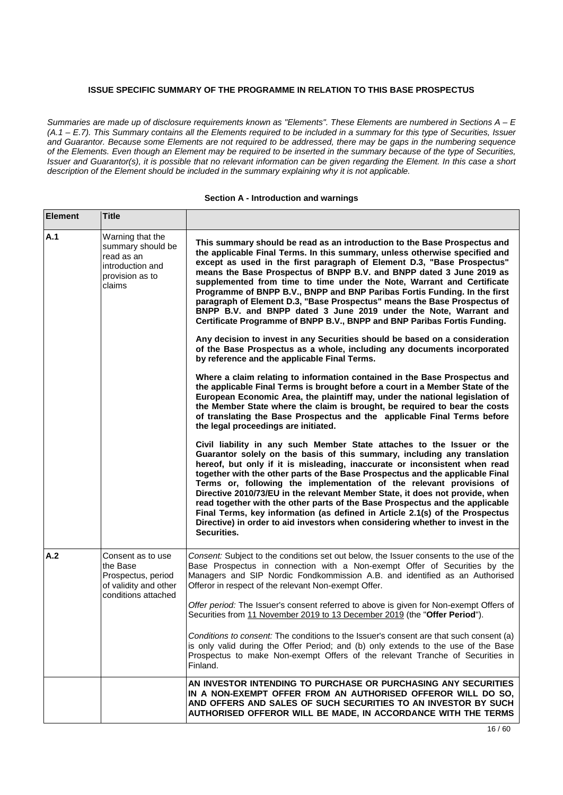## **ISSUE SPECIFIC SUMMARY OF THE PROGRAMME IN RELATION TO THIS BASE PROSPECTUS**

*Summaries are made up of disclosure requirements known as "Elements". These Elements are numbered in Sections A – E (A.1 – E.7). This Summary contains all the Elements required to be included in a summary for this type of Securities, Issuer and Guarantor. Because some Elements are not required to be addressed, there may be gaps in the numbering sequence of the Elements. Even though an Element may be required to be inserted in the summary because of the type of Securities, Issuer and Guarantor(s), it is possible that no relevant information can be given regarding the Element. In this case a short description of the Element should be included in the summary explaining why it is not applicable.*

#### **Section A - Introduction and warnings**

| <b>Element</b> | <b>Title</b>                                                                                         |                                                                                                                                                                                                                                                                                                                                                                                                                                                                                                                                                                                                                                                                                                                                            |
|----------------|------------------------------------------------------------------------------------------------------|--------------------------------------------------------------------------------------------------------------------------------------------------------------------------------------------------------------------------------------------------------------------------------------------------------------------------------------------------------------------------------------------------------------------------------------------------------------------------------------------------------------------------------------------------------------------------------------------------------------------------------------------------------------------------------------------------------------------------------------------|
| A.1            | Warning that the<br>summary should be<br>read as an<br>introduction and<br>provision as to<br>claims | This summary should be read as an introduction to the Base Prospectus and<br>the applicable Final Terms. In this summary, unless otherwise specified and<br>except as used in the first paragraph of Element D.3, "Base Prospectus"<br>means the Base Prospectus of BNPP B.V. and BNPP dated 3 June 2019 as<br>supplemented from time to time under the Note, Warrant and Certificate<br>Programme of BNPP B.V., BNPP and BNP Paribas Fortis Funding. In the first<br>paragraph of Element D.3, "Base Prospectus" means the Base Prospectus of<br>BNPP B.V. and BNPP dated 3 June 2019 under the Note, Warrant and<br>Certificate Programme of BNPP B.V., BNPP and BNP Paribas Fortis Funding.                                             |
|                |                                                                                                      | Any decision to invest in any Securities should be based on a consideration<br>of the Base Prospectus as a whole, including any documents incorporated<br>by reference and the applicable Final Terms.                                                                                                                                                                                                                                                                                                                                                                                                                                                                                                                                     |
|                |                                                                                                      | Where a claim relating to information contained in the Base Prospectus and<br>the applicable Final Terms is brought before a court in a Member State of the<br>European Economic Area, the plaintiff may, under the national legislation of<br>the Member State where the claim is brought, be required to bear the costs<br>of translating the Base Prospectus and the applicable Final Terms before<br>the legal proceedings are initiated.                                                                                                                                                                                                                                                                                              |
|                |                                                                                                      | Civil liability in any such Member State attaches to the Issuer or the<br>Guarantor solely on the basis of this summary, including any translation<br>hereof, but only if it is misleading, inaccurate or inconsistent when read<br>together with the other parts of the Base Prospectus and the applicable Final<br>Terms or, following the implementation of the relevant provisions of<br>Directive 2010/73/EU in the relevant Member State, it does not provide, when<br>read together with the other parts of the Base Prospectus and the applicable<br>Final Terms, key information (as defined in Article 2.1(s) of the Prospectus<br>Directive) in order to aid investors when considering whether to invest in the<br>Securities. |
| A.2            | Consent as to use<br>the Base<br>Prospectus, period<br>of validity and other<br>conditions attached  | Consent: Subject to the conditions set out below, the Issuer consents to the use of the<br>Base Prospectus in connection with a Non-exempt Offer of Securities by the<br>Managers and SIP Nordic Fondkommission A.B. and identified as an Authorised<br>Offeror in respect of the relevant Non-exempt Offer.                                                                                                                                                                                                                                                                                                                                                                                                                               |
|                |                                                                                                      | Offer period: The Issuer's consent referred to above is given for Non-exempt Offers of<br>Securities from 11 November 2019 to 13 December 2019 (the "Offer Period").                                                                                                                                                                                                                                                                                                                                                                                                                                                                                                                                                                       |
|                |                                                                                                      | Conditions to consent: The conditions to the Issuer's consent are that such consent (a)<br>is only valid during the Offer Period; and (b) only extends to the use of the Base<br>Prospectus to make Non-exempt Offers of the relevant Tranche of Securities in<br>Finland.                                                                                                                                                                                                                                                                                                                                                                                                                                                                 |
|                |                                                                                                      | AN INVESTOR INTENDING TO PURCHASE OR PURCHASING ANY SECURITIES<br>IN A NON-EXEMPT OFFER FROM AN AUTHORISED OFFEROR WILL DO SO,<br>AND OFFERS AND SALES OF SUCH SECURITIES TO AN INVESTOR BY SUCH<br>AUTHORISED OFFEROR WILL BE MADE, IN ACCORDANCE WITH THE TERMS                                                                                                                                                                                                                                                                                                                                                                                                                                                                          |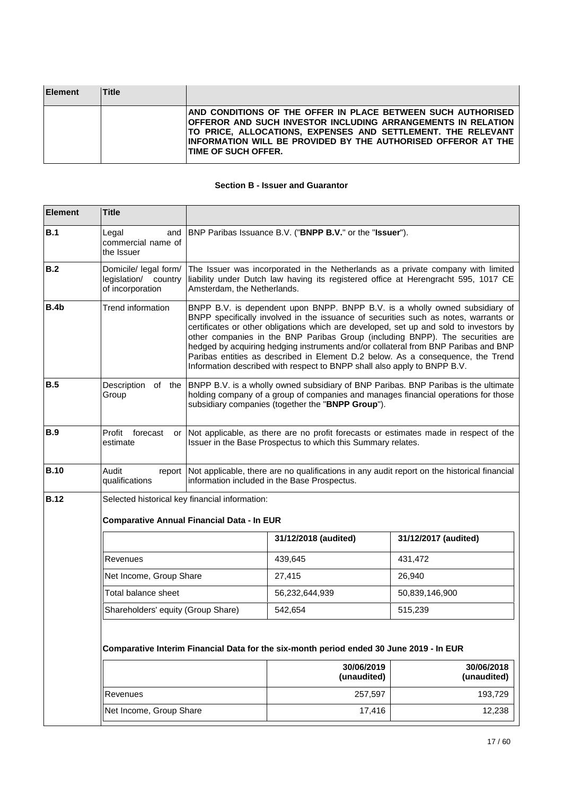| <b>Element</b> | <b>Title</b> |                                                                                                                                                                                                                                                                                                            |
|----------------|--------------|------------------------------------------------------------------------------------------------------------------------------------------------------------------------------------------------------------------------------------------------------------------------------------------------------------|
|                |              | AND CONDITIONS OF THE OFFER IN PLACE BETWEEN SUCH AUTHORISED<br><b>OFFEROR AND SUCH INVESTOR INCLUDING ARRANGEMENTS IN RELATION</b><br><b>TO PRICE, ALLOCATIONS, EXPENSES AND SETTLEMENT. THE RELEVANT</b><br>INFORMATION WILL BE PROVIDED BY THE AUTHORISED OFFEROR AT THE<br><b>ITIME OF SUCH OFFER.</b> |

### **Section B - Issuer and Guarantor**

| <b>Element</b> | <b>Title</b>                                                                            |                                                                                                                                                                                                                                                                                                                                                                                                                                                                                                                                                                                                    |                                                          |                                                                                                                                                                                             |  |
|----------------|-----------------------------------------------------------------------------------------|----------------------------------------------------------------------------------------------------------------------------------------------------------------------------------------------------------------------------------------------------------------------------------------------------------------------------------------------------------------------------------------------------------------------------------------------------------------------------------------------------------------------------------------------------------------------------------------------------|----------------------------------------------------------|---------------------------------------------------------------------------------------------------------------------------------------------------------------------------------------------|--|
| B.1            | Legal<br>and<br>commercial name of<br>the Issuer                                        |                                                                                                                                                                                                                                                                                                                                                                                                                                                                                                                                                                                                    | BNP Paribas Issuance B.V. ("BNPP B.V." or the "Issuer"). |                                                                                                                                                                                             |  |
| B.2            | Domicile/ legal form/<br>legislation/ country<br>of incorporation                       | The Issuer was incorporated in the Netherlands as a private company with limited<br>liability under Dutch law having its registered office at Herengracht 595, 1017 CE<br>Amsterdam, the Netherlands.                                                                                                                                                                                                                                                                                                                                                                                              |                                                          |                                                                                                                                                                                             |  |
| <b>B.4b</b>    | Trend information                                                                       | BNPP B.V. is dependent upon BNPP. BNPP B.V. is a wholly owned subsidiary of<br>BNPP specifically involved in the issuance of securities such as notes, warrants or<br>certificates or other obligations which are developed, set up and sold to investors by<br>other companies in the BNP Paribas Group (including BNPP). The securities are<br>hedged by acquiring hedging instruments and/or collateral from BNP Paribas and BNP<br>Paribas entities as described in Element D.2 below. As a consequence, the Trend<br>Information described with respect to BNPP shall also apply to BNPP B.V. |                                                          |                                                                                                                                                                                             |  |
| <b>B.5</b>     | Group                                                                                   |                                                                                                                                                                                                                                                                                                                                                                                                                                                                                                                                                                                                    | subsidiary companies (together the "BNPP Group").        | Description of the BNPP B.V. is a wholly owned subsidiary of BNP Paribas. BNP Paribas is the ultimate<br>holding company of a group of companies and manages financial operations for those |  |
| <b>B.9</b>     | Profit forecast<br>or<br>estimate                                                       | Not applicable, as there are no profit forecasts or estimates made in respect of the<br>Issuer in the Base Prospectus to which this Summary relates.                                                                                                                                                                                                                                                                                                                                                                                                                                               |                                                          |                                                                                                                                                                                             |  |
| <b>B.10</b>    | Audit<br>report<br>qualifications                                                       | Not applicable, there are no qualifications in any audit report on the historical financial<br>information included in the Base Prospectus.                                                                                                                                                                                                                                                                                                                                                                                                                                                        |                                                          |                                                                                                                                                                                             |  |
| <b>B.12</b>    | Selected historical key financial information:                                          |                                                                                                                                                                                                                                                                                                                                                                                                                                                                                                                                                                                                    |                                                          |                                                                                                                                                                                             |  |
|                | <b>Comparative Annual Financial Data - In EUR</b>                                       |                                                                                                                                                                                                                                                                                                                                                                                                                                                                                                                                                                                                    |                                                          |                                                                                                                                                                                             |  |
|                |                                                                                         |                                                                                                                                                                                                                                                                                                                                                                                                                                                                                                                                                                                                    | 31/12/2018 (audited)                                     | 31/12/2017 (audited)                                                                                                                                                                        |  |
|                | Revenues                                                                                |                                                                                                                                                                                                                                                                                                                                                                                                                                                                                                                                                                                                    | 439,645                                                  | 431,472                                                                                                                                                                                     |  |
|                | Net Income, Group Share                                                                 |                                                                                                                                                                                                                                                                                                                                                                                                                                                                                                                                                                                                    | 27,415                                                   | 26,940                                                                                                                                                                                      |  |
|                | Total balance sheet                                                                     |                                                                                                                                                                                                                                                                                                                                                                                                                                                                                                                                                                                                    | 56,232,644,939                                           | 50,839,146,900                                                                                                                                                                              |  |
|                | Shareholders' equity (Group Share)                                                      |                                                                                                                                                                                                                                                                                                                                                                                                                                                                                                                                                                                                    | 542,654                                                  | 515,239                                                                                                                                                                                     |  |
|                | Comparative Interim Financial Data for the six-month period ended 30 June 2019 - In EUR |                                                                                                                                                                                                                                                                                                                                                                                                                                                                                                                                                                                                    |                                                          |                                                                                                                                                                                             |  |
|                |                                                                                         |                                                                                                                                                                                                                                                                                                                                                                                                                                                                                                                                                                                                    | 30/06/2019<br>(unaudited)                                | 30/06/2018<br>(unaudited)                                                                                                                                                                   |  |
|                | Revenues                                                                                |                                                                                                                                                                                                                                                                                                                                                                                                                                                                                                                                                                                                    | 257,597                                                  | 193,729                                                                                                                                                                                     |  |
|                | Net Income, Group Share                                                                 |                                                                                                                                                                                                                                                                                                                                                                                                                                                                                                                                                                                                    | 17,416                                                   | 12,238                                                                                                                                                                                      |  |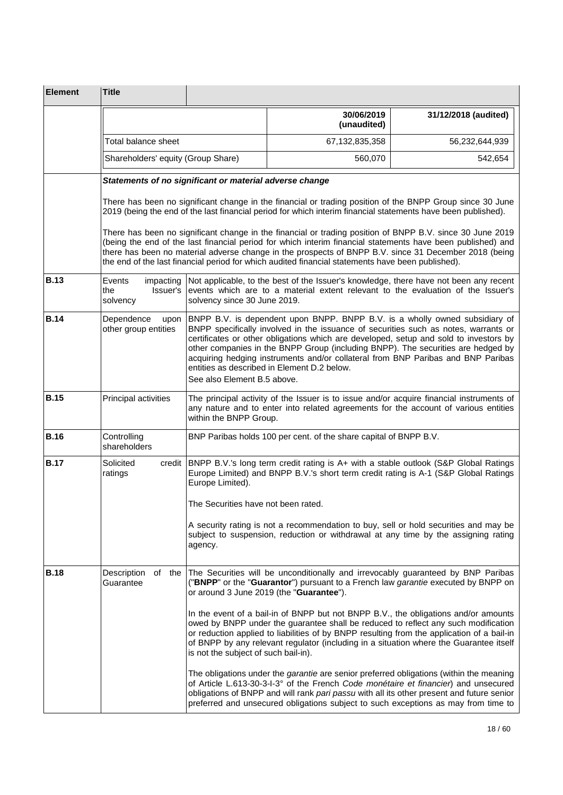| <b>Element</b> | <b>Title</b>                                            |                                      |                                                                                                                                                                                                                                                                                                                                                                                                                                                                                    |                      |
|----------------|---------------------------------------------------------|--------------------------------------|------------------------------------------------------------------------------------------------------------------------------------------------------------------------------------------------------------------------------------------------------------------------------------------------------------------------------------------------------------------------------------------------------------------------------------------------------------------------------------|----------------------|
|                |                                                         |                                      | 30/06/2019<br>(unaudited)                                                                                                                                                                                                                                                                                                                                                                                                                                                          | 31/12/2018 (audited) |
|                | Total balance sheet                                     |                                      | 67, 132, 835, 358                                                                                                                                                                                                                                                                                                                                                                                                                                                                  | 56,232,644,939       |
|                | Shareholders' equity (Group Share)                      |                                      | 560,070                                                                                                                                                                                                                                                                                                                                                                                                                                                                            | 542,654              |
|                | Statements of no significant or material adverse change |                                      |                                                                                                                                                                                                                                                                                                                                                                                                                                                                                    |                      |
|                |                                                         |                                      | There has been no significant change in the financial or trading position of the BNPP Group since 30 June<br>2019 (being the end of the last financial period for which interim financial statements have been published).                                                                                                                                                                                                                                                         |                      |
|                |                                                         |                                      | There has been no significant change in the financial or trading position of BNPP B.V. since 30 June 2019<br>(being the end of the last financial period for which interim financial statements have been published) and<br>there has been no material adverse change in the prospects of BNPP B.V. since 31 December 2018 (being<br>the end of the last financial period for which audited financial statements have been published).                                             |                      |
| <b>B.13</b>    | Events<br>impacting<br>Issuer's<br>the<br>solvency      | solvency since 30 June 2019.         | Not applicable, to the best of the Issuer's knowledge, there have not been any recent<br>events which are to a material extent relevant to the evaluation of the Issuer's                                                                                                                                                                                                                                                                                                          |                      |
| <b>B.14</b>    | Dependence<br>upon<br>other group entities              | See also Element B.5 above.          | BNPP B.V. is dependent upon BNPP. BNPP B.V. is a wholly owned subsidiary of<br>BNPP specifically involved in the issuance of securities such as notes, warrants or<br>certificates or other obligations which are developed, setup and sold to investors by<br>other companies in the BNPP Group (including BNPP). The securities are hedged by<br>acquiring hedging instruments and/or collateral from BNP Paribas and BNP Paribas<br>entities as described in Element D.2 below. |                      |
| <b>B.15</b>    | Principal activities                                    | within the BNPP Group.               | The principal activity of the Issuer is to issue and/or acquire financial instruments of<br>any nature and to enter into related agreements for the account of various entities                                                                                                                                                                                                                                                                                                    |                      |
| <b>B.16</b>    | Controlling<br>shareholders                             |                                      | BNP Paribas holds 100 per cent. of the share capital of BNPP B.V.                                                                                                                                                                                                                                                                                                                                                                                                                  |                      |
| <b>B.17</b>    | Solicited<br>credit<br>ratings                          | Europe Limited).                     | BNPP B.V.'s long term credit rating is A+ with a stable outlook (S&P Global Ratings<br>Europe Limited) and BNPP B.V.'s short term credit rating is A-1 (S&P Global Ratings                                                                                                                                                                                                                                                                                                         |                      |
|                |                                                         | The Securities have not been rated.  |                                                                                                                                                                                                                                                                                                                                                                                                                                                                                    |                      |
|                |                                                         | agency.                              | A security rating is not a recommendation to buy, sell or hold securities and may be<br>subject to suspension, reduction or withdrawal at any time by the assigning rating                                                                                                                                                                                                                                                                                                         |                      |
| <b>B.18</b>    | Description<br>of the<br>Guarantee                      |                                      | The Securities will be unconditionally and irrevocably guaranteed by BNP Paribas<br>("BNPP" or the "Guarantor") pursuant to a French law garantie executed by BNPP on<br>or around 3 June 2019 (the "Guarantee").                                                                                                                                                                                                                                                                  |                      |
|                |                                                         | is not the subject of such bail-in). | In the event of a bail-in of BNPP but not BNPP B.V., the obligations and/or amounts<br>owed by BNPP under the guarantee shall be reduced to reflect any such modification<br>or reduction applied to liabilities of by BNPP resulting from the application of a bail-in<br>of BNPP by any relevant regulator (including in a situation where the Guarantee itself                                                                                                                  |                      |
|                |                                                         |                                      | The obligations under the <i>garantie</i> are senior preferred obligations (within the meaning<br>of Article L.613-30-3-I-3° of the French Code monétaire et financier) and unsecured<br>obligations of BNPP and will rank pari passu with all its other present and future senior<br>preferred and unsecured obligations subject to such exceptions as may from time to                                                                                                           |                      |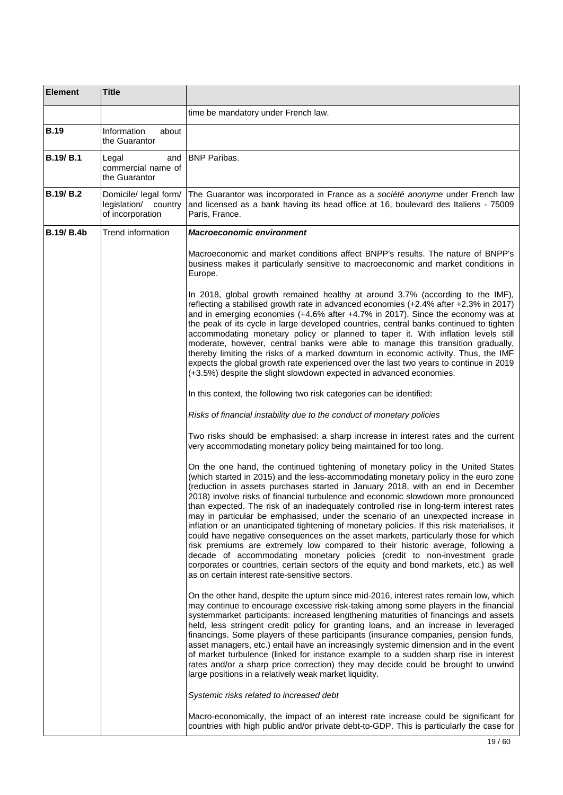| <b>Element</b>    | <b>Title</b>                                                      |                                                                                                                                                                                                                                                                                                                                                                                                                                                                                                                                                                                                                                                                                                                                                                                                                                                                                                                                                                                                                                   |  |
|-------------------|-------------------------------------------------------------------|-----------------------------------------------------------------------------------------------------------------------------------------------------------------------------------------------------------------------------------------------------------------------------------------------------------------------------------------------------------------------------------------------------------------------------------------------------------------------------------------------------------------------------------------------------------------------------------------------------------------------------------------------------------------------------------------------------------------------------------------------------------------------------------------------------------------------------------------------------------------------------------------------------------------------------------------------------------------------------------------------------------------------------------|--|
|                   |                                                                   | time be mandatory under French law.                                                                                                                                                                                                                                                                                                                                                                                                                                                                                                                                                                                                                                                                                                                                                                                                                                                                                                                                                                                               |  |
| <b>B.19</b>       | Information<br>about<br>the Guarantor                             |                                                                                                                                                                                                                                                                                                                                                                                                                                                                                                                                                                                                                                                                                                                                                                                                                                                                                                                                                                                                                                   |  |
| <b>B.19/ B.1</b>  | Legal<br>and<br>commercial name of<br>the Guarantor               | <b>BNP Paribas.</b>                                                                                                                                                                                                                                                                                                                                                                                                                                                                                                                                                                                                                                                                                                                                                                                                                                                                                                                                                                                                               |  |
| <b>B.19/B.2</b>   | Domicile/ legal form/<br>legislation/ country<br>of incorporation | The Guarantor was incorporated in France as a société anonyme under French law<br>and licensed as a bank having its head office at 16, boulevard des Italiens - 75009<br>Paris, France.                                                                                                                                                                                                                                                                                                                                                                                                                                                                                                                                                                                                                                                                                                                                                                                                                                           |  |
| <b>B.19/ B.4b</b> | Trend information<br><b>Macroeconomic environment</b>             |                                                                                                                                                                                                                                                                                                                                                                                                                                                                                                                                                                                                                                                                                                                                                                                                                                                                                                                                                                                                                                   |  |
|                   |                                                                   | Macroeconomic and market conditions affect BNPP's results. The nature of BNPP's<br>business makes it particularly sensitive to macroeconomic and market conditions in<br>Europe.                                                                                                                                                                                                                                                                                                                                                                                                                                                                                                                                                                                                                                                                                                                                                                                                                                                  |  |
|                   |                                                                   | In 2018, global growth remained healthy at around 3.7% (according to the IMF),<br>reflecting a stabilised growth rate in advanced economies (+2.4% after +2.3% in 2017)<br>and in emerging economies (+4.6% after +4.7% in 2017). Since the economy was at<br>the peak of its cycle in large developed countries, central banks continued to tighten<br>accommodating monetary policy or planned to taper it. With inflation levels still<br>moderate, however, central banks were able to manage this transition gradually,<br>thereby limiting the risks of a marked downturn in economic activity. Thus, the IMF<br>expects the global growth rate experienced over the last two years to continue in 2019<br>(+3.5%) despite the slight slowdown expected in advanced economies.                                                                                                                                                                                                                                              |  |
|                   |                                                                   | In this context, the following two risk categories can be identified:                                                                                                                                                                                                                                                                                                                                                                                                                                                                                                                                                                                                                                                                                                                                                                                                                                                                                                                                                             |  |
|                   |                                                                   | Risks of financial instability due to the conduct of monetary policies                                                                                                                                                                                                                                                                                                                                                                                                                                                                                                                                                                                                                                                                                                                                                                                                                                                                                                                                                            |  |
|                   |                                                                   | Two risks should be emphasised: a sharp increase in interest rates and the current<br>very accommodating monetary policy being maintained for too long.                                                                                                                                                                                                                                                                                                                                                                                                                                                                                                                                                                                                                                                                                                                                                                                                                                                                           |  |
|                   |                                                                   | On the one hand, the continued tightening of monetary policy in the United States<br>(which started in 2015) and the less-accommodating monetary policy in the euro zone<br>(reduction in assets purchases started in January 2018, with an end in December<br>2018) involve risks of financial turbulence and economic slowdown more pronounced<br>than expected. The risk of an inadequately controlled rise in long-term interest rates<br>may in particular be emphasised, under the scenario of an unexpected increase in<br>inflation or an unanticipated tightening of monetary policies. If this risk materialises, it<br>could have negative consequences on the asset markets, particularly those for which<br>risk premiums are extremely low compared to their historic average, following a<br>decade of accommodating monetary policies (credit to non-investment grade<br>corporates or countries, certain sectors of the equity and bond markets, etc.) as well<br>as on certain interest rate-sensitive sectors. |  |
|                   |                                                                   | On the other hand, despite the upturn since mid-2016, interest rates remain low, which<br>may continue to encourage excessive risk-taking among some players in the financial<br>systemmarket participants: increased lengthening maturities of financings and assets<br>held, less stringent credit policy for granting loans, and an increase in leveraged<br>financings. Some players of these participants (insurance companies, pension funds,<br>asset managers, etc.) entail have an increasingly systemic dimension and in the event<br>of market turbulence (linked for instance example to a sudden sharp rise in interest<br>rates and/or a sharp price correction) they may decide could be brought to unwind<br>large positions in a relatively weak market liquidity.                                                                                                                                                                                                                                               |  |
|                   |                                                                   | Systemic risks related to increased debt                                                                                                                                                                                                                                                                                                                                                                                                                                                                                                                                                                                                                                                                                                                                                                                                                                                                                                                                                                                          |  |
|                   |                                                                   | Macro-economically, the impact of an interest rate increase could be significant for<br>countries with high public and/or private debt-to-GDP. This is particularly the case for                                                                                                                                                                                                                                                                                                                                                                                                                                                                                                                                                                                                                                                                                                                                                                                                                                                  |  |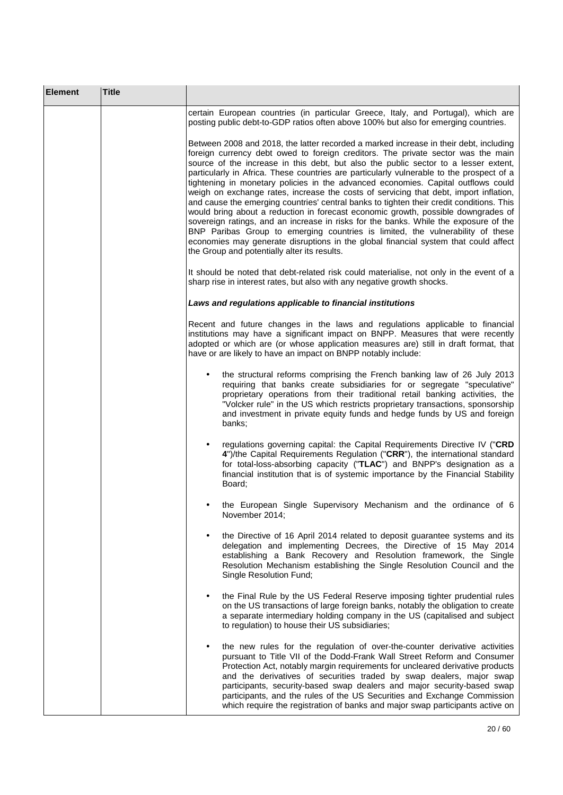| <b>Element</b> | <b>Title</b> |                                                                                                                                                                                                                                                                                                                                                                                                                                                                                                                                                                                                                                                                                                                                                                                                                                                                                                                                                                                                                                              |
|----------------|--------------|----------------------------------------------------------------------------------------------------------------------------------------------------------------------------------------------------------------------------------------------------------------------------------------------------------------------------------------------------------------------------------------------------------------------------------------------------------------------------------------------------------------------------------------------------------------------------------------------------------------------------------------------------------------------------------------------------------------------------------------------------------------------------------------------------------------------------------------------------------------------------------------------------------------------------------------------------------------------------------------------------------------------------------------------|
|                |              | certain European countries (in particular Greece, Italy, and Portugal), which are<br>posting public debt-to-GDP ratios often above 100% but also for emerging countries.                                                                                                                                                                                                                                                                                                                                                                                                                                                                                                                                                                                                                                                                                                                                                                                                                                                                     |
|                |              | Between 2008 and 2018, the latter recorded a marked increase in their debt, including<br>foreign currency debt owed to foreign creditors. The private sector was the main<br>source of the increase in this debt, but also the public sector to a lesser extent,<br>particularly in Africa. These countries are particularly vulnerable to the prospect of a<br>tightening in monetary policies in the advanced economies. Capital outflows could<br>weigh on exchange rates, increase the costs of servicing that debt, import inflation,<br>and cause the emerging countries' central banks to tighten their credit conditions. This<br>would bring about a reduction in forecast economic growth, possible downgrades of<br>sovereign ratings, and an increase in risks for the banks. While the exposure of the<br>BNP Paribas Group to emerging countries is limited, the vulnerability of these<br>economies may generate disruptions in the global financial system that could affect<br>the Group and potentially alter its results. |
|                |              | It should be noted that debt-related risk could materialise, not only in the event of a<br>sharp rise in interest rates, but also with any negative growth shocks.                                                                                                                                                                                                                                                                                                                                                                                                                                                                                                                                                                                                                                                                                                                                                                                                                                                                           |
|                |              | Laws and regulations applicable to financial institutions                                                                                                                                                                                                                                                                                                                                                                                                                                                                                                                                                                                                                                                                                                                                                                                                                                                                                                                                                                                    |
|                |              | Recent and future changes in the laws and regulations applicable to financial<br>institutions may have a significant impact on BNPP. Measures that were recently<br>adopted or which are (or whose application measures are) still in draft format, that<br>have or are likely to have an impact on BNPP notably include:                                                                                                                                                                                                                                                                                                                                                                                                                                                                                                                                                                                                                                                                                                                    |
|                |              | the structural reforms comprising the French banking law of 26 July 2013<br>requiring that banks create subsidiaries for or segregate "speculative"<br>proprietary operations from their traditional retail banking activities, the<br>"Volcker rule" in the US which restricts proprietary transactions, sponsorship<br>and investment in private equity funds and hedge funds by US and foreign<br>banks;                                                                                                                                                                                                                                                                                                                                                                                                                                                                                                                                                                                                                                  |
|                |              | regulations governing capital: the Capital Requirements Directive IV ("CRD<br>$\bullet$<br>4")/the Capital Requirements Regulation ("CRR"), the international standard<br>for total-loss-absorbing capacity ("TLAC") and BNPP's designation as a<br>financial institution that is of systemic importance by the Financial Stability<br>Board;                                                                                                                                                                                                                                                                                                                                                                                                                                                                                                                                                                                                                                                                                                |
|                |              | the European Single Supervisory Mechanism and the ordinance of 6<br>November 2014;                                                                                                                                                                                                                                                                                                                                                                                                                                                                                                                                                                                                                                                                                                                                                                                                                                                                                                                                                           |
|                |              | the Directive of 16 April 2014 related to deposit guarantee systems and its<br>$\bullet$<br>delegation and implementing Decrees, the Directive of 15 May 2014<br>establishing a Bank Recovery and Resolution framework, the Single<br>Resolution Mechanism establishing the Single Resolution Council and the<br>Single Resolution Fund;                                                                                                                                                                                                                                                                                                                                                                                                                                                                                                                                                                                                                                                                                                     |
|                |              | the Final Rule by the US Federal Reserve imposing tighter prudential rules<br>$\bullet$<br>on the US transactions of large foreign banks, notably the obligation to create<br>a separate intermediary holding company in the US (capitalised and subject<br>to regulation) to house their US subsidiaries;                                                                                                                                                                                                                                                                                                                                                                                                                                                                                                                                                                                                                                                                                                                                   |
|                |              | the new rules for the regulation of over-the-counter derivative activities<br>$\bullet$<br>pursuant to Title VII of the Dodd-Frank Wall Street Reform and Consumer<br>Protection Act, notably margin requirements for uncleared derivative products<br>and the derivatives of securities traded by swap dealers, major swap<br>participants, security-based swap dealers and major security-based swap<br>participants, and the rules of the US Securities and Exchange Commission<br>which require the registration of banks and major swap participants active on                                                                                                                                                                                                                                                                                                                                                                                                                                                                          |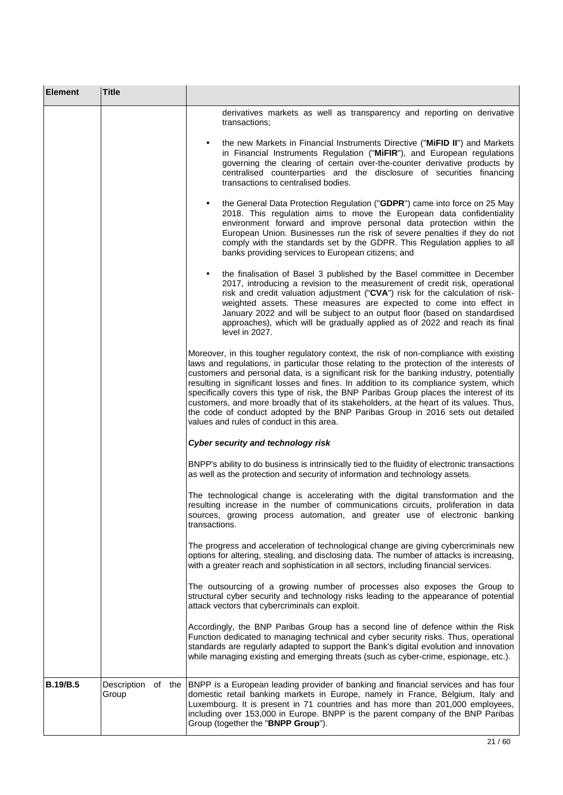| <b>Element</b>  | <b>Title</b> |                                                                                                                                                                                                                                                                                                                                                                                                                                                                                                                                                                                                                                                                                               |
|-----------------|--------------|-----------------------------------------------------------------------------------------------------------------------------------------------------------------------------------------------------------------------------------------------------------------------------------------------------------------------------------------------------------------------------------------------------------------------------------------------------------------------------------------------------------------------------------------------------------------------------------------------------------------------------------------------------------------------------------------------|
|                 |              | derivatives markets as well as transparency and reporting on derivative<br>transactions;                                                                                                                                                                                                                                                                                                                                                                                                                                                                                                                                                                                                      |
|                 |              | the new Markets in Financial Instruments Directive ("MiFID II") and Markets<br>$\bullet$<br>in Financial Instruments Regulation ("MiFIR"), and European regulations<br>governing the clearing of certain over-the-counter derivative products by<br>centralised counterparties and the disclosure of securities financing<br>transactions to centralised bodies.                                                                                                                                                                                                                                                                                                                              |
|                 |              | the General Data Protection Regulation ("GDPR") came into force on 25 May<br>2018. This regulation aims to move the European data confidentiality<br>environment forward and improve personal data protection within the<br>European Union. Businesses run the risk of severe penalties if they do not<br>comply with the standards set by the GDPR. This Regulation applies to all<br>banks providing services to European citizens; and                                                                                                                                                                                                                                                     |
|                 |              | the finalisation of Basel 3 published by the Basel committee in December<br>2017, introducing a revision to the measurement of credit risk, operational<br>risk and credit valuation adjustment ("CVA") risk for the calculation of risk-<br>weighted assets. These measures are expected to come into effect in<br>January 2022 and will be subject to an output floor (based on standardised<br>approaches), which will be gradually applied as of 2022 and reach its final<br>level in 2027.                                                                                                                                                                                               |
|                 |              | Moreover, in this tougher regulatory context, the risk of non-compliance with existing<br>laws and regulations, in particular those relating to the protection of the interests of<br>customers and personal data, is a significant risk for the banking industry, potentially<br>resulting in significant losses and fines. In addition to its compliance system, which<br>specifically covers this type of risk, the BNP Paribas Group places the interest of its<br>customers, and more broadly that of its stakeholders, at the heart of its values. Thus,<br>the code of conduct adopted by the BNP Paribas Group in 2016 sets out detailed<br>values and rules of conduct in this area. |
|                 |              | Cyber security and technology risk                                                                                                                                                                                                                                                                                                                                                                                                                                                                                                                                                                                                                                                            |
|                 |              | BNPP's ability to do business is intrinsically tied to the fluidity of electronic transactions<br>as well as the protection and security of information and technology assets.                                                                                                                                                                                                                                                                                                                                                                                                                                                                                                                |
|                 |              | The technological change is accelerating with the digital transformation and the<br>resulting increase in the number of communications circuits, proliferation in data<br>sources, growing process automation, and greater use of electronic banking<br>transactions.                                                                                                                                                                                                                                                                                                                                                                                                                         |
|                 |              | The progress and acceleration of technological change are giving cybercriminals new<br>options for altering, stealing, and disclosing data. The number of attacks is increasing,<br>with a greater reach and sophistication in all sectors, including financial services.                                                                                                                                                                                                                                                                                                                                                                                                                     |
|                 |              | The outsourcing of a growing number of processes also exposes the Group to<br>structural cyber security and technology risks leading to the appearance of potential<br>attack vectors that cybercriminals can exploit.                                                                                                                                                                                                                                                                                                                                                                                                                                                                        |
|                 |              | Accordingly, the BNP Paribas Group has a second line of defence within the Risk<br>Function dedicated to managing technical and cyber security risks. Thus, operational<br>standards are regularly adapted to support the Bank's digital evolution and innovation<br>while managing existing and emerging threats (such as cyber-crime, espionage, etc.).                                                                                                                                                                                                                                                                                                                                     |
| <b>B.19/B.5</b> | Group        | Description of the BNPP is a European leading provider of banking and financial services and has four<br>domestic retail banking markets in Europe, namely in France, Belgium, Italy and<br>Luxembourg. It is present in 71 countries and has more than 201,000 employees,<br>including over 153,000 in Europe. BNPP is the parent company of the BNP Paribas<br>Group (together the "BNPP Group").                                                                                                                                                                                                                                                                                           |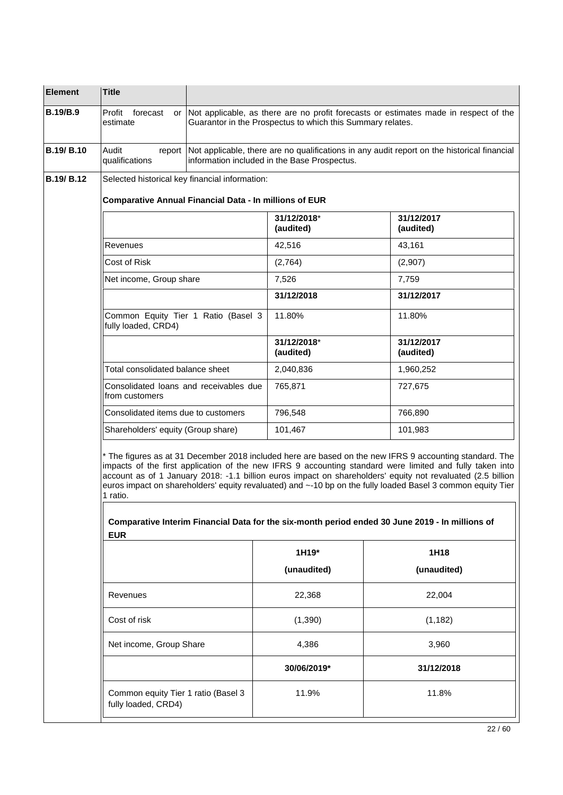| <b>B.19/B.9</b>                                                                                                                                                                                                                                                                                                                                                                                                                                                                                                                                                  | Profit<br>forecast<br>estimate                                |  | Guarantor in the Prospectus to which this Summary relates. | or Not applicable, as there are no profit forecasts or estimates made in respect of the            |
|------------------------------------------------------------------------------------------------------------------------------------------------------------------------------------------------------------------------------------------------------------------------------------------------------------------------------------------------------------------------------------------------------------------------------------------------------------------------------------------------------------------------------------------------------------------|---------------------------------------------------------------|--|------------------------------------------------------------|----------------------------------------------------------------------------------------------------|
| <b>B.19/ B.10</b>                                                                                                                                                                                                                                                                                                                                                                                                                                                                                                                                                | Audit<br>qualifications                                       |  | information included in the Base Prospectus.               | report Not applicable, there are no qualifications in any audit report on the historical financial |
| B.19/ B.12                                                                                                                                                                                                                                                                                                                                                                                                                                                                                                                                                       | Selected historical key financial information:                |  |                                                            |                                                                                                    |
|                                                                                                                                                                                                                                                                                                                                                                                                                                                                                                                                                                  | <b>Comparative Annual Financial Data - In millions of EUR</b> |  |                                                            |                                                                                                    |
|                                                                                                                                                                                                                                                                                                                                                                                                                                                                                                                                                                  | 31/12/2018*<br>(audited)                                      |  |                                                            | 31/12/2017<br>(audited)                                                                            |
|                                                                                                                                                                                                                                                                                                                                                                                                                                                                                                                                                                  | Revenues<br>42,516                                            |  |                                                            | 43,161                                                                                             |
|                                                                                                                                                                                                                                                                                                                                                                                                                                                                                                                                                                  | Cost of Risk                                                  |  | (2,764)                                                    | (2,907)                                                                                            |
|                                                                                                                                                                                                                                                                                                                                                                                                                                                                                                                                                                  | Net income, Group share                                       |  | 7,526                                                      | 7,759                                                                                              |
|                                                                                                                                                                                                                                                                                                                                                                                                                                                                                                                                                                  |                                                               |  | 31/12/2018                                                 | 31/12/2017                                                                                         |
|                                                                                                                                                                                                                                                                                                                                                                                                                                                                                                                                                                  | Common Equity Tier 1 Ratio (Basel 3<br>fully loaded, CRD4)    |  | 11.80%                                                     | 11.80%                                                                                             |
|                                                                                                                                                                                                                                                                                                                                                                                                                                                                                                                                                                  |                                                               |  | 31/12/2018*<br>(audited)                                   | 31/12/2017<br>(audited)                                                                            |
|                                                                                                                                                                                                                                                                                                                                                                                                                                                                                                                                                                  | Total consolidated balance sheet                              |  | 2,040,836                                                  | 1,960,252                                                                                          |
|                                                                                                                                                                                                                                                                                                                                                                                                                                                                                                                                                                  | Consolidated loans and receivables due<br>from customers      |  | 765,871                                                    | 727,675                                                                                            |
|                                                                                                                                                                                                                                                                                                                                                                                                                                                                                                                                                                  | Consolidated items due to customers                           |  | 796,548                                                    | 766,890                                                                                            |
|                                                                                                                                                                                                                                                                                                                                                                                                                                                                                                                                                                  | Shareholders' equity (Group share)                            |  | 101,467                                                    | 101,983                                                                                            |
| * The figures as at 31 December 2018 included here are based on the new IFRS 9 accounting standard. The<br>impacts of the first application of the new IFRS 9 accounting standard were limited and fully taken into<br>account as of 1 January 2018: -1.1 billion euros impact on shareholders' equity not revaluated (2.5 billion<br>euros impact on shareholders' equity revaluated) and ~-10 bp on the fully loaded Basel 3 common equity Tier<br>1 ratio.<br>Comparative Interim Financial Data for the six-month period ended 30 June 2019 - In millions of |                                                               |  |                                                            |                                                                                                    |
|                                                                                                                                                                                                                                                                                                                                                                                                                                                                                                                                                                  | <b>EUR</b>                                                    |  | 1H19*                                                      | 1H18                                                                                               |
|                                                                                                                                                                                                                                                                                                                                                                                                                                                                                                                                                                  |                                                               |  | (unaudited)                                                | (unaudited)                                                                                        |
|                                                                                                                                                                                                                                                                                                                                                                                                                                                                                                                                                                  | Revenues                                                      |  | 22,368                                                     | 22,004                                                                                             |
|                                                                                                                                                                                                                                                                                                                                                                                                                                                                                                                                                                  | Cost of risk                                                  |  | (1,390)                                                    | (1, 182)                                                                                           |
|                                                                                                                                                                                                                                                                                                                                                                                                                                                                                                                                                                  | Net income, Group Share                                       |  | 4,386                                                      | 3,960                                                                                              |
|                                                                                                                                                                                                                                                                                                                                                                                                                                                                                                                                                                  |                                                               |  | 30/06/2019*                                                | 31/12/2018                                                                                         |
|                                                                                                                                                                                                                                                                                                                                                                                                                                                                                                                                                                  | Common equity Tier 1 ratio (Basel 3<br>fully loaded, CRD4)    |  | 11.9%                                                      | 11.8%                                                                                              |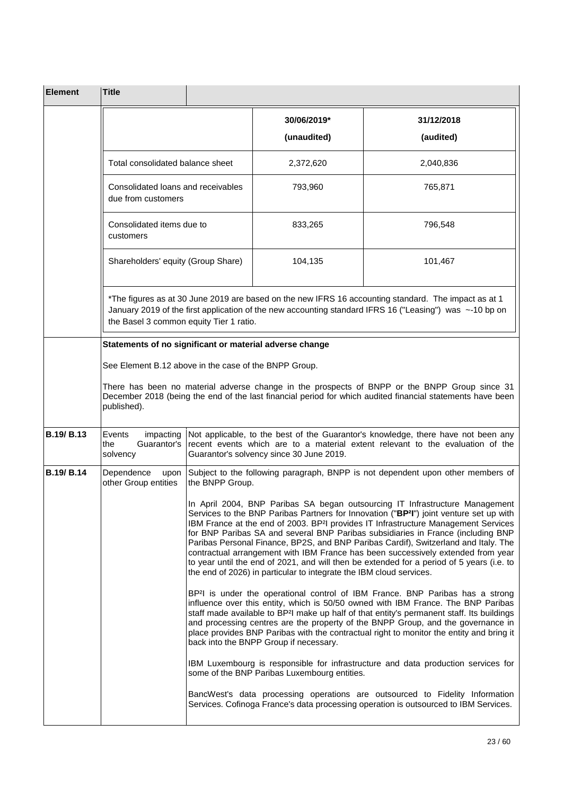| <b>Element</b> | <b>Title</b>                                                                                                                                                                                                                                                                                                                                                                                                                                                                                                                                                                                                                                                                                                              |                                                                                                                                                                                                                 |                                              |                                                                                                                                                                                                                                                                                                                                                                                                                                                                           |
|----------------|---------------------------------------------------------------------------------------------------------------------------------------------------------------------------------------------------------------------------------------------------------------------------------------------------------------------------------------------------------------------------------------------------------------------------------------------------------------------------------------------------------------------------------------------------------------------------------------------------------------------------------------------------------------------------------------------------------------------------|-----------------------------------------------------------------------------------------------------------------------------------------------------------------------------------------------------------------|----------------------------------------------|---------------------------------------------------------------------------------------------------------------------------------------------------------------------------------------------------------------------------------------------------------------------------------------------------------------------------------------------------------------------------------------------------------------------------------------------------------------------------|
|                |                                                                                                                                                                                                                                                                                                                                                                                                                                                                                                                                                                                                                                                                                                                           |                                                                                                                                                                                                                 | 30/06/2019*                                  | 31/12/2018                                                                                                                                                                                                                                                                                                                                                                                                                                                                |
|                |                                                                                                                                                                                                                                                                                                                                                                                                                                                                                                                                                                                                                                                                                                                           |                                                                                                                                                                                                                 | (unaudited)                                  | (audited)                                                                                                                                                                                                                                                                                                                                                                                                                                                                 |
|                | Total consolidated balance sheet                                                                                                                                                                                                                                                                                                                                                                                                                                                                                                                                                                                                                                                                                          |                                                                                                                                                                                                                 | 2,372,620                                    | 2,040,836                                                                                                                                                                                                                                                                                                                                                                                                                                                                 |
|                | Consolidated loans and receivables<br>due from customers                                                                                                                                                                                                                                                                                                                                                                                                                                                                                                                                                                                                                                                                  |                                                                                                                                                                                                                 | 793,960                                      | 765,871                                                                                                                                                                                                                                                                                                                                                                                                                                                                   |
|                | Consolidated items due to<br>customers<br>Shareholders' equity (Group Share)                                                                                                                                                                                                                                                                                                                                                                                                                                                                                                                                                                                                                                              |                                                                                                                                                                                                                 | 833,265                                      | 796,548                                                                                                                                                                                                                                                                                                                                                                                                                                                                   |
|                |                                                                                                                                                                                                                                                                                                                                                                                                                                                                                                                                                                                                                                                                                                                           |                                                                                                                                                                                                                 | 104,135                                      | 101,467                                                                                                                                                                                                                                                                                                                                                                                                                                                                   |
|                | *The figures as at 30 June 2019 are based on the new IFRS 16 accounting standard. The impact as at 1<br>January 2019 of the first application of the new accounting standard IFRS 16 ("Leasing") was ~-10 bp on<br>the Basel 3 common equity Tier 1 ratio.                                                                                                                                                                                                                                                                                                                                                                                                                                                                |                                                                                                                                                                                                                 |                                              |                                                                                                                                                                                                                                                                                                                                                                                                                                                                           |
|                | Statements of no significant or material adverse change                                                                                                                                                                                                                                                                                                                                                                                                                                                                                                                                                                                                                                                                   |                                                                                                                                                                                                                 |                                              |                                                                                                                                                                                                                                                                                                                                                                                                                                                                           |
|                | See Element B.12 above in the case of the BNPP Group.                                                                                                                                                                                                                                                                                                                                                                                                                                                                                                                                                                                                                                                                     |                                                                                                                                                                                                                 |                                              |                                                                                                                                                                                                                                                                                                                                                                                                                                                                           |
|                | There has been no material adverse change in the prospects of BNPP or the BNPP Group since 31<br>December 2018 (being the end of the last financial period for which audited financial statements have been<br>published).                                                                                                                                                                                                                                                                                                                                                                                                                                                                                                |                                                                                                                                                                                                                 |                                              |                                                                                                                                                                                                                                                                                                                                                                                                                                                                           |
| B.19/B.13      | Events<br>impacting<br>the<br>Guarantor's<br>solvency                                                                                                                                                                                                                                                                                                                                                                                                                                                                                                                                                                                                                                                                     | Not applicable, to the best of the Guarantor's knowledge, there have not been any<br>recent events which are to a material extent relevant to the evaluation of the<br>Guarantor's solvency since 30 June 2019. |                                              |                                                                                                                                                                                                                                                                                                                                                                                                                                                                           |
| B.19/ B.14     | Dependence<br>upon<br>other Group entities                                                                                                                                                                                                                                                                                                                                                                                                                                                                                                                                                                                                                                                                                | the BNPP Group.                                                                                                                                                                                                 |                                              | Subject to the following paragraph, BNPP is not dependent upon other members of                                                                                                                                                                                                                                                                                                                                                                                           |
|                | In April 2004, BNP Paribas SA began outsourcing IT Infrastructure Management<br>Services to the BNP Paribas Partners for Innovation ("BP <sup>2</sup> I") joint venture set up with<br>IBM France at the end of 2003. BP <sup>2</sup> l provides IT Infrastructure Management Services<br>for BNP Paribas SA and several BNP Paribas subsidiaries in France (including BNP<br>Paribas Personal Finance, BP2S, and BNP Paribas Cardif), Switzerland and Italy. The<br>contractual arrangement with IBM France has been successively extended from year<br>to year until the end of 2021, and will then be extended for a period of 5 years (i.e. to<br>the end of 2026) in particular to integrate the IBM cloud services. |                                                                                                                                                                                                                 |                                              |                                                                                                                                                                                                                                                                                                                                                                                                                                                                           |
|                |                                                                                                                                                                                                                                                                                                                                                                                                                                                                                                                                                                                                                                                                                                                           |                                                                                                                                                                                                                 | back into the BNPP Group if necessary.       | BP <sup>2</sup> I is under the operational control of IBM France. BNP Paribas has a strong<br>influence over this entity, which is 50/50 owned with IBM France. The BNP Paribas<br>staff made available to BP <sup>2</sup> I make up half of that entity's permanent staff. Its buildings<br>and processing centres are the property of the BNPP Group, and the governance in<br>place provides BNP Paribas with the contractual right to monitor the entity and bring it |
|                |                                                                                                                                                                                                                                                                                                                                                                                                                                                                                                                                                                                                                                                                                                                           |                                                                                                                                                                                                                 | some of the BNP Paribas Luxembourg entities. | IBM Luxembourg is responsible for infrastructure and data production services for                                                                                                                                                                                                                                                                                                                                                                                         |
|                |                                                                                                                                                                                                                                                                                                                                                                                                                                                                                                                                                                                                                                                                                                                           |                                                                                                                                                                                                                 |                                              | BancWest's data processing operations are outsourced to Fidelity Information<br>Services. Cofinoga France's data processing operation is outsourced to IBM Services.                                                                                                                                                                                                                                                                                                      |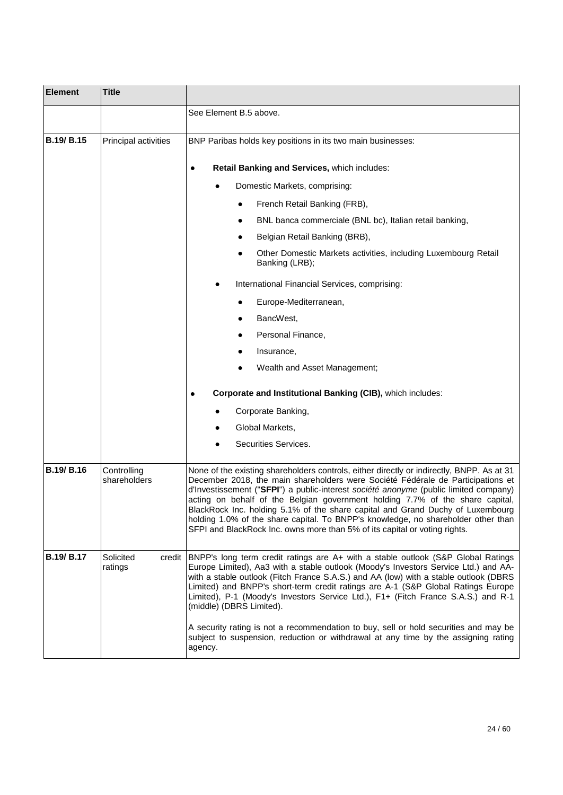| <b>Element</b>    | <b>Title</b>                   |                                                                                                                                                                                                                                                                                                                                                                                                                                                                                                                                                                                                                                                               |  |
|-------------------|--------------------------------|---------------------------------------------------------------------------------------------------------------------------------------------------------------------------------------------------------------------------------------------------------------------------------------------------------------------------------------------------------------------------------------------------------------------------------------------------------------------------------------------------------------------------------------------------------------------------------------------------------------------------------------------------------------|--|
|                   |                                | See Element B.5 above.                                                                                                                                                                                                                                                                                                                                                                                                                                                                                                                                                                                                                                        |  |
| <b>B.19/ B.15</b> | Principal activities           | BNP Paribas holds key positions in its two main businesses:                                                                                                                                                                                                                                                                                                                                                                                                                                                                                                                                                                                                   |  |
|                   |                                | Retail Banking and Services, which includes:<br>٠                                                                                                                                                                                                                                                                                                                                                                                                                                                                                                                                                                                                             |  |
|                   |                                | Domestic Markets, comprising:                                                                                                                                                                                                                                                                                                                                                                                                                                                                                                                                                                                                                                 |  |
|                   |                                | French Retail Banking (FRB),                                                                                                                                                                                                                                                                                                                                                                                                                                                                                                                                                                                                                                  |  |
|                   |                                | BNL banca commerciale (BNL bc), Italian retail banking,                                                                                                                                                                                                                                                                                                                                                                                                                                                                                                                                                                                                       |  |
|                   |                                | Belgian Retail Banking (BRB),                                                                                                                                                                                                                                                                                                                                                                                                                                                                                                                                                                                                                                 |  |
|                   |                                | Other Domestic Markets activities, including Luxembourg Retail<br>Banking (LRB);                                                                                                                                                                                                                                                                                                                                                                                                                                                                                                                                                                              |  |
|                   |                                | International Financial Services, comprising:                                                                                                                                                                                                                                                                                                                                                                                                                                                                                                                                                                                                                 |  |
|                   |                                | Europe-Mediterranean,                                                                                                                                                                                                                                                                                                                                                                                                                                                                                                                                                                                                                                         |  |
|                   |                                | BancWest,                                                                                                                                                                                                                                                                                                                                                                                                                                                                                                                                                                                                                                                     |  |
|                   |                                | Personal Finance,                                                                                                                                                                                                                                                                                                                                                                                                                                                                                                                                                                                                                                             |  |
|                   |                                | Insurance,                                                                                                                                                                                                                                                                                                                                                                                                                                                                                                                                                                                                                                                    |  |
|                   |                                | Wealth and Asset Management;                                                                                                                                                                                                                                                                                                                                                                                                                                                                                                                                                                                                                                  |  |
|                   |                                | Corporate and Institutional Banking (CIB), which includes:<br>$\bullet$                                                                                                                                                                                                                                                                                                                                                                                                                                                                                                                                                                                       |  |
|                   |                                | Corporate Banking,                                                                                                                                                                                                                                                                                                                                                                                                                                                                                                                                                                                                                                            |  |
|                   |                                | Global Markets,                                                                                                                                                                                                                                                                                                                                                                                                                                                                                                                                                                                                                                               |  |
|                   |                                | Securities Services.                                                                                                                                                                                                                                                                                                                                                                                                                                                                                                                                                                                                                                          |  |
| <b>B.19/ B.16</b> | Controlling<br>shareholders    | None of the existing shareholders controls, either directly or indirectly, BNPP. As at 31<br>December 2018, the main shareholders were Société Fédérale de Participations et<br>d'Investissement ("SFPI") a public-interest société anonyme (public limited company)<br>acting on behalf of the Belgian government holding 7.7% of the share capital,<br>BlackRock Inc. holding 5.1% of the share capital and Grand Duchy of Luxembourg<br>holding 1.0% of the share capital. To BNPP's knowledge, no shareholder other than<br>SFPI and BlackRock Inc. owns more than 5% of its capital or voting rights.                                                    |  |
| B.19/ B.17        | Solicited<br>credit<br>ratings | BNPP's long term credit ratings are A+ with a stable outlook (S&P Global Ratings<br>Europe Limited), Aa3 with a stable outlook (Moody's Investors Service Ltd.) and AA-<br>with a stable outlook (Fitch France S.A.S.) and AA (low) with a stable outlook (DBRS<br>Limited) and BNPP's short-term credit ratings are A-1 (S&P Global Ratings Europe<br>Limited), P-1 (Moody's Investors Service Ltd.), F1+ (Fitch France S.A.S.) and R-1<br>(middle) (DBRS Limited).<br>A security rating is not a recommendation to buy, sell or hold securities and may be<br>subject to suspension, reduction or withdrawal at any time by the assigning rating<br>agency. |  |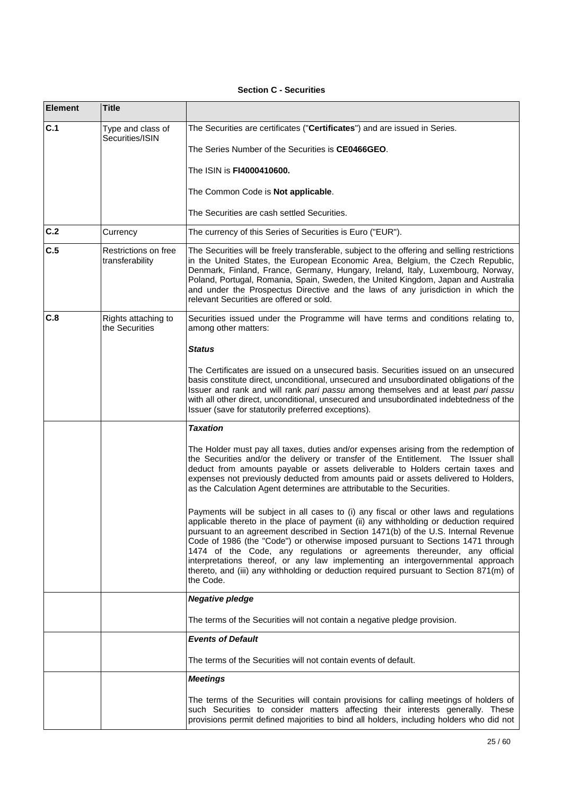## **Section C - Securities**

| <b>Element</b> | <b>Title</b>                            |                                                                                                                                                                                                                                                                                                                                                                                                                                                                                                                                                                                                                               |
|----------------|-----------------------------------------|-------------------------------------------------------------------------------------------------------------------------------------------------------------------------------------------------------------------------------------------------------------------------------------------------------------------------------------------------------------------------------------------------------------------------------------------------------------------------------------------------------------------------------------------------------------------------------------------------------------------------------|
| C.1            | Type and class of<br>Securities/ISIN    | The Securities are certificates ("Certificates") and are issued in Series.                                                                                                                                                                                                                                                                                                                                                                                                                                                                                                                                                    |
|                |                                         | The Series Number of the Securities is CE0466GEO.                                                                                                                                                                                                                                                                                                                                                                                                                                                                                                                                                                             |
|                |                                         | The ISIN is FI4000410600.                                                                                                                                                                                                                                                                                                                                                                                                                                                                                                                                                                                                     |
|                |                                         | The Common Code is <b>Not applicable</b> .                                                                                                                                                                                                                                                                                                                                                                                                                                                                                                                                                                                    |
|                |                                         | The Securities are cash settled Securities.                                                                                                                                                                                                                                                                                                                                                                                                                                                                                                                                                                                   |
| C.2            | Currency                                | The currency of this Series of Securities is Euro ("EUR").                                                                                                                                                                                                                                                                                                                                                                                                                                                                                                                                                                    |
| C.5            | Restrictions on free<br>transferability | The Securities will be freely transferable, subject to the offering and selling restrictions<br>in the United States, the European Economic Area, Belgium, the Czech Republic,<br>Denmark, Finland, France, Germany, Hungary, Ireland, Italy, Luxembourg, Norway,<br>Poland, Portugal, Romania, Spain, Sweden, the United Kingdom, Japan and Australia<br>and under the Prospectus Directive and the laws of any jurisdiction in which the<br>relevant Securities are offered or sold.                                                                                                                                        |
| C.8            | Rights attaching to<br>the Securities   | Securities issued under the Programme will have terms and conditions relating to,<br>among other matters:                                                                                                                                                                                                                                                                                                                                                                                                                                                                                                                     |
|                |                                         | <b>Status</b>                                                                                                                                                                                                                                                                                                                                                                                                                                                                                                                                                                                                                 |
|                |                                         | The Certificates are issued on a unsecured basis. Securities issued on an unsecured<br>basis constitute direct, unconditional, unsecured and unsubordinated obligations of the<br>Issuer and rank and will rank pari passu among themselves and at least pari passu<br>with all other direct, unconditional, unsecured and unsubordinated indebtedness of the<br>Issuer (save for statutorily preferred exceptions).                                                                                                                                                                                                          |
|                |                                         | <b>Taxation</b>                                                                                                                                                                                                                                                                                                                                                                                                                                                                                                                                                                                                               |
|                |                                         | The Holder must pay all taxes, duties and/or expenses arising from the redemption of<br>the Securities and/or the delivery or transfer of the Entitlement. The Issuer shall<br>deduct from amounts payable or assets deliverable to Holders certain taxes and<br>expenses not previously deducted from amounts paid or assets delivered to Holders,<br>as the Calculation Agent determines are attributable to the Securities.                                                                                                                                                                                                |
|                |                                         | Payments will be subject in all cases to (i) any fiscal or other laws and regulations<br>applicable thereto in the place of payment (ii) any withholding or deduction required<br>pursuant to an agreement described in Section 1471(b) of the U.S. Internal Revenue<br>Code of 1986 (the "Code") or otherwise imposed pursuant to Sections 1471 through<br>1474 of the Code, any regulations or agreements thereunder, any official<br>interpretations thereof, or any law implementing an intergovernmental approach<br>thereto, and (iii) any withholding or deduction required pursuant to Section 871(m) of<br>the Code. |
|                |                                         | <b>Negative pledge</b>                                                                                                                                                                                                                                                                                                                                                                                                                                                                                                                                                                                                        |
|                |                                         | The terms of the Securities will not contain a negative pledge provision.                                                                                                                                                                                                                                                                                                                                                                                                                                                                                                                                                     |
|                |                                         | <b>Events of Default</b>                                                                                                                                                                                                                                                                                                                                                                                                                                                                                                                                                                                                      |
|                |                                         | The terms of the Securities will not contain events of default.                                                                                                                                                                                                                                                                                                                                                                                                                                                                                                                                                               |
|                |                                         | <b>Meetings</b>                                                                                                                                                                                                                                                                                                                                                                                                                                                                                                                                                                                                               |
|                |                                         | The terms of the Securities will contain provisions for calling meetings of holders of<br>such Securities to consider matters affecting their interests generally. These<br>provisions permit defined majorities to bind all holders, including holders who did not                                                                                                                                                                                                                                                                                                                                                           |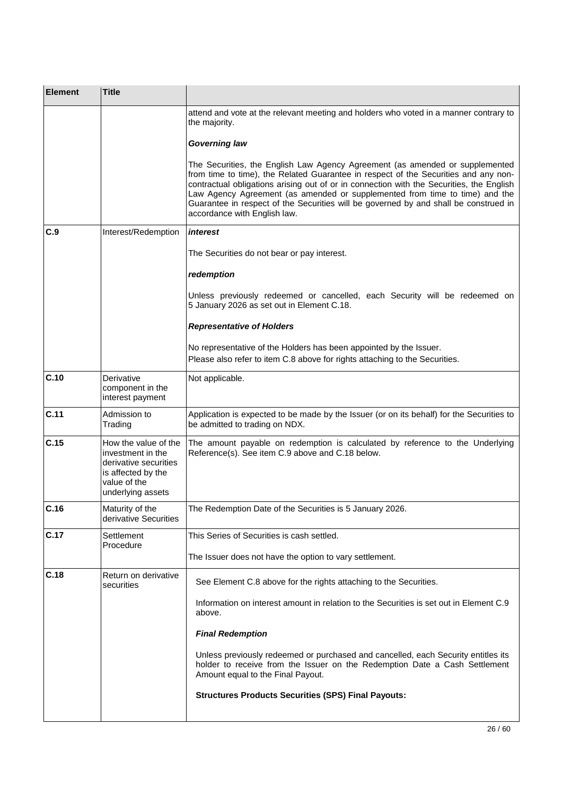| <b>Element</b> | <b>Title</b>                                                                                                                  |                                                                                                                                                                                                                                                                                                                                                                                                                                                                        |
|----------------|-------------------------------------------------------------------------------------------------------------------------------|------------------------------------------------------------------------------------------------------------------------------------------------------------------------------------------------------------------------------------------------------------------------------------------------------------------------------------------------------------------------------------------------------------------------------------------------------------------------|
|                |                                                                                                                               | attend and vote at the relevant meeting and holders who voted in a manner contrary to<br>the majority.                                                                                                                                                                                                                                                                                                                                                                 |
|                |                                                                                                                               | <b>Governing law</b>                                                                                                                                                                                                                                                                                                                                                                                                                                                   |
|                |                                                                                                                               | The Securities, the English Law Agency Agreement (as amended or supplemented<br>from time to time), the Related Guarantee in respect of the Securities and any non-<br>contractual obligations arising out of or in connection with the Securities, the English<br>Law Agency Agreement (as amended or supplemented from time to time) and the<br>Guarantee in respect of the Securities will be governed by and shall be construed in<br>accordance with English law. |
| C.9            | Interest/Redemption                                                                                                           | interest                                                                                                                                                                                                                                                                                                                                                                                                                                                               |
|                |                                                                                                                               | The Securities do not bear or pay interest.                                                                                                                                                                                                                                                                                                                                                                                                                            |
|                |                                                                                                                               | redemption                                                                                                                                                                                                                                                                                                                                                                                                                                                             |
|                |                                                                                                                               | Unless previously redeemed or cancelled, each Security will be redeemed on<br>5 January 2026 as set out in Element C.18.                                                                                                                                                                                                                                                                                                                                               |
|                |                                                                                                                               | <b>Representative of Holders</b>                                                                                                                                                                                                                                                                                                                                                                                                                                       |
|                |                                                                                                                               | No representative of the Holders has been appointed by the Issuer.<br>Please also refer to item C.8 above for rights attaching to the Securities.                                                                                                                                                                                                                                                                                                                      |
| C.10           | Derivative<br>component in the<br>interest payment                                                                            | Not applicable.                                                                                                                                                                                                                                                                                                                                                                                                                                                        |
| C.11           | Admission to<br>Trading                                                                                                       | Application is expected to be made by the Issuer (or on its behalf) for the Securities to<br>be admitted to trading on NDX.                                                                                                                                                                                                                                                                                                                                            |
| C.15           | How the value of the<br>investment in the<br>derivative securities<br>is affected by the<br>value of the<br>underlying assets | The amount payable on redemption is calculated by reference to the Underlying<br>Reference(s). See item C.9 above and C.18 below.                                                                                                                                                                                                                                                                                                                                      |
| C.16           | Maturity of the<br>derivative Securities                                                                                      | The Redemption Date of the Securities is 5 January 2026.                                                                                                                                                                                                                                                                                                                                                                                                               |
| C.17           | Settlement<br>Procedure                                                                                                       | This Series of Securities is cash settled.                                                                                                                                                                                                                                                                                                                                                                                                                             |
|                |                                                                                                                               | The Issuer does not have the option to vary settlement.                                                                                                                                                                                                                                                                                                                                                                                                                |
| C.18           | Return on derivative<br>securities                                                                                            | See Element C.8 above for the rights attaching to the Securities.                                                                                                                                                                                                                                                                                                                                                                                                      |
|                |                                                                                                                               | Information on interest amount in relation to the Securities is set out in Element C.9<br>above.                                                                                                                                                                                                                                                                                                                                                                       |
|                |                                                                                                                               | <b>Final Redemption</b>                                                                                                                                                                                                                                                                                                                                                                                                                                                |
|                |                                                                                                                               | Unless previously redeemed or purchased and cancelled, each Security entitles its<br>holder to receive from the Issuer on the Redemption Date a Cash Settlement<br>Amount equal to the Final Payout.                                                                                                                                                                                                                                                                   |
|                |                                                                                                                               | <b>Structures Products Securities (SPS) Final Payouts:</b>                                                                                                                                                                                                                                                                                                                                                                                                             |
|                |                                                                                                                               |                                                                                                                                                                                                                                                                                                                                                                                                                                                                        |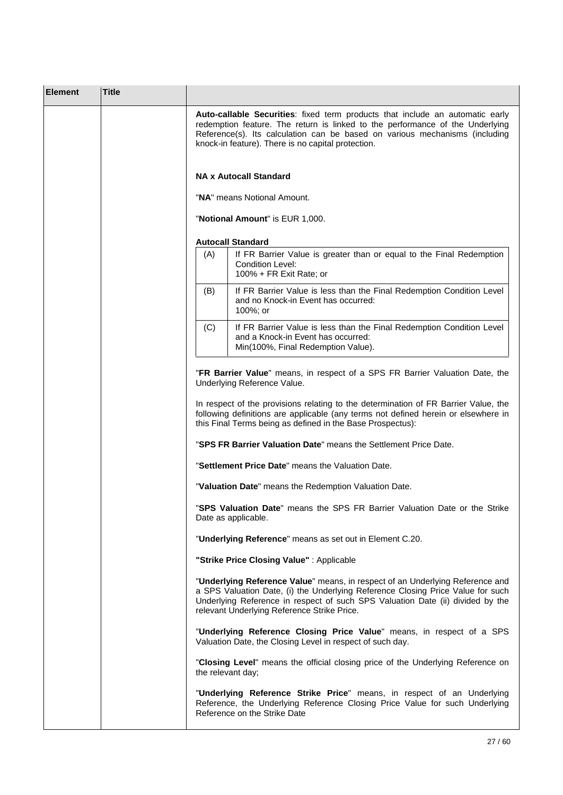| <b>Element</b> | <b>Title</b> |                                                                                                                                                                                                                                                                                                                                            |
|----------------|--------------|--------------------------------------------------------------------------------------------------------------------------------------------------------------------------------------------------------------------------------------------------------------------------------------------------------------------------------------------|
|                |              | Auto-callable Securities: fixed term products that include an automatic early<br>redemption feature. The return is linked to the performance of the Underlying<br>Reference(s). Its calculation can be based on various mechanisms (including<br>knock-in feature). There is no capital protection.                                        |
|                |              | <b>NA x Autocall Standard</b>                                                                                                                                                                                                                                                                                                              |
|                |              | "NA" means Notional Amount.                                                                                                                                                                                                                                                                                                                |
|                |              | "Notional Amount" is EUR 1,000.                                                                                                                                                                                                                                                                                                            |
|                |              | <b>Autocall Standard</b>                                                                                                                                                                                                                                                                                                                   |
|                |              | (A)<br>If FR Barrier Value is greater than or equal to the Final Redemption<br>Condition Level:<br>100% + FR Exit Rate; or                                                                                                                                                                                                                 |
|                |              | If FR Barrier Value is less than the Final Redemption Condition Level<br>(B)<br>and no Knock-in Event has occurred:<br>100%; or                                                                                                                                                                                                            |
|                |              | (C)<br>If FR Barrier Value is less than the Final Redemption Condition Level<br>and a Knock-in Event has occurred:<br>Min(100%, Final Redemption Value).                                                                                                                                                                                   |
|                |              | Underlying Reference Value.<br>In respect of the provisions relating to the determination of FR Barrier Value, the<br>following definitions are applicable (any terms not defined herein or elsewhere in<br>this Final Terms being as defined in the Base Prospectus):<br>"SPS FR Barrier Valuation Date" means the Settlement Price Date. |
|                |              | "Settlement Price Date" means the Valuation Date.                                                                                                                                                                                                                                                                                          |
|                |              | "Valuation Date" means the Redemption Valuation Date.                                                                                                                                                                                                                                                                                      |
|                |              | "SPS Valuation Date" means the SPS FR Barrier Valuation Date or the Strike<br>Date as applicable.                                                                                                                                                                                                                                          |
|                |              | "Underlying Reference" means as set out in Element C.20.                                                                                                                                                                                                                                                                                   |
|                |              | "Strike Price Closing Value": Applicable                                                                                                                                                                                                                                                                                                   |
|                |              | "Underlying Reference Value" means, in respect of an Underlying Reference and<br>a SPS Valuation Date, (i) the Underlying Reference Closing Price Value for such<br>Underlying Reference in respect of such SPS Valuation Date (ii) divided by the<br>relevant Underlying Reference Strike Price.                                          |
|                |              | "Underlying Reference Closing Price Value" means, in respect of a SPS<br>Valuation Date, the Closing Level in respect of such day.                                                                                                                                                                                                         |
|                |              | "Closing Level" means the official closing price of the Underlying Reference on<br>the relevant day;                                                                                                                                                                                                                                       |
|                |              | "Underlying Reference Strike Price" means, in respect of an Underlying<br>Reference, the Underlying Reference Closing Price Value for such Underlying<br>Reference on the Strike Date                                                                                                                                                      |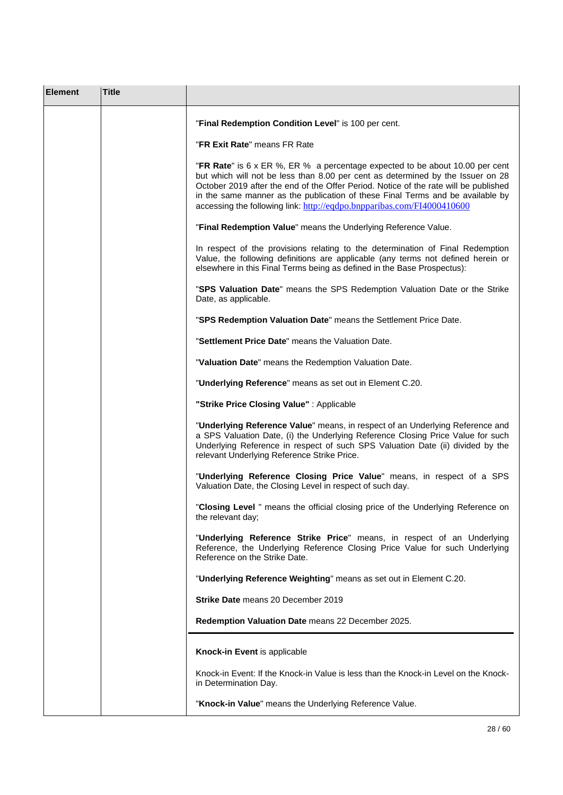| <b>Element</b> | <b>Title</b> |                                                                                                                                                                                                                                                                                                                                                                                                                     |
|----------------|--------------|---------------------------------------------------------------------------------------------------------------------------------------------------------------------------------------------------------------------------------------------------------------------------------------------------------------------------------------------------------------------------------------------------------------------|
|                |              | "Final Redemption Condition Level" is 100 per cent.                                                                                                                                                                                                                                                                                                                                                                 |
|                |              | "FR Exit Rate" means FR Rate                                                                                                                                                                                                                                                                                                                                                                                        |
|                |              | "FR Rate" is 6 x ER %, ER % a percentage expected to be about 10.00 per cent<br>but which will not be less than 8.00 per cent as determined by the Issuer on 28<br>October 2019 after the end of the Offer Period. Notice of the rate will be published<br>in the same manner as the publication of these Final Terms and be available by<br>accessing the following link: http://eqdpo.bnpparibas.com/FI4000410600 |
|                |              | "Final Redemption Value" means the Underlying Reference Value.                                                                                                                                                                                                                                                                                                                                                      |
|                |              | In respect of the provisions relating to the determination of Final Redemption<br>Value, the following definitions are applicable (any terms not defined herein or<br>elsewhere in this Final Terms being as defined in the Base Prospectus):                                                                                                                                                                       |
|                |              | "SPS Valuation Date" means the SPS Redemption Valuation Date or the Strike<br>Date, as applicable.                                                                                                                                                                                                                                                                                                                  |
|                |              | "SPS Redemption Valuation Date" means the Settlement Price Date.                                                                                                                                                                                                                                                                                                                                                    |
|                |              | "Settlement Price Date" means the Valuation Date.                                                                                                                                                                                                                                                                                                                                                                   |
|                |              | "Valuation Date" means the Redemption Valuation Date.                                                                                                                                                                                                                                                                                                                                                               |
|                |              | "Underlying Reference" means as set out in Element C.20.                                                                                                                                                                                                                                                                                                                                                            |
|                |              | "Strike Price Closing Value": Applicable                                                                                                                                                                                                                                                                                                                                                                            |
|                |              | "Underlying Reference Value" means, in respect of an Underlying Reference and<br>a SPS Valuation Date, (i) the Underlying Reference Closing Price Value for such<br>Underlying Reference in respect of such SPS Valuation Date (ii) divided by the<br>relevant Underlying Reference Strike Price.                                                                                                                   |
|                |              | "Underlying Reference Closing Price Value" means, in respect of a SPS<br>Valuation Date, the Closing Level in respect of such day.                                                                                                                                                                                                                                                                                  |
|                |              | "Closing Level " means the official closing price of the Underlying Reference on<br>the relevant day;                                                                                                                                                                                                                                                                                                               |
|                |              | "Underlying Reference Strike Price" means, in respect of an Underlying<br>Reference, the Underlying Reference Closing Price Value for such Underlying<br>Reference on the Strike Date.                                                                                                                                                                                                                              |
|                |              | "Underlying Reference Weighting" means as set out in Element C.20.                                                                                                                                                                                                                                                                                                                                                  |
|                |              | Strike Date means 20 December 2019                                                                                                                                                                                                                                                                                                                                                                                  |
|                |              | Redemption Valuation Date means 22 December 2025.                                                                                                                                                                                                                                                                                                                                                                   |
|                |              | Knock-in Event is applicable                                                                                                                                                                                                                                                                                                                                                                                        |
|                |              | Knock-in Event: If the Knock-in Value is less than the Knock-in Level on the Knock-<br>in Determination Day.                                                                                                                                                                                                                                                                                                        |
|                |              | "Knock-in Value" means the Underlying Reference Value.                                                                                                                                                                                                                                                                                                                                                              |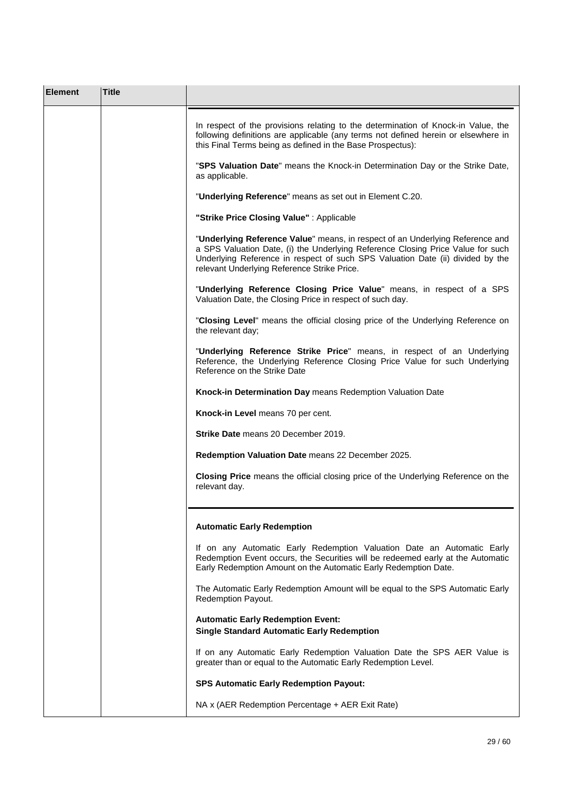| <b>Element</b> | <b>Title</b> |                                                                                                                                                                                                                                                                                                   |
|----------------|--------------|---------------------------------------------------------------------------------------------------------------------------------------------------------------------------------------------------------------------------------------------------------------------------------------------------|
|                |              | In respect of the provisions relating to the determination of Knock-in Value, the<br>following definitions are applicable (any terms not defined herein or elsewhere in<br>this Final Terms being as defined in the Base Prospectus):                                                             |
|                |              | "SPS Valuation Date" means the Knock-in Determination Day or the Strike Date,<br>as applicable.                                                                                                                                                                                                   |
|                |              | "Underlying Reference" means as set out in Element C.20.                                                                                                                                                                                                                                          |
|                |              | "Strike Price Closing Value": Applicable                                                                                                                                                                                                                                                          |
|                |              | "Underlying Reference Value" means, in respect of an Underlying Reference and<br>a SPS Valuation Date, (i) the Underlying Reference Closing Price Value for such<br>Underlying Reference in respect of such SPS Valuation Date (ii) divided by the<br>relevant Underlying Reference Strike Price. |
|                |              | "Underlying Reference Closing Price Value" means, in respect of a SPS<br>Valuation Date, the Closing Price in respect of such day.                                                                                                                                                                |
|                |              | "Closing Level" means the official closing price of the Underlying Reference on<br>the relevant day;                                                                                                                                                                                              |
|                |              | "Underlying Reference Strike Price" means, in respect of an Underlying<br>Reference, the Underlying Reference Closing Price Value for such Underlying<br>Reference on the Strike Date                                                                                                             |
|                |              | Knock-in Determination Day means Redemption Valuation Date                                                                                                                                                                                                                                        |
|                |              | Knock-in Level means 70 per cent.                                                                                                                                                                                                                                                                 |
|                |              | Strike Date means 20 December 2019.                                                                                                                                                                                                                                                               |
|                |              | Redemption Valuation Date means 22 December 2025.                                                                                                                                                                                                                                                 |
|                |              | Closing Price means the official closing price of the Underlying Reference on the<br>relevant day.                                                                                                                                                                                                |
|                |              | <b>Automatic Early Redemption</b>                                                                                                                                                                                                                                                                 |
|                |              | If on any Automatic Early Redemption Valuation Date an Automatic Early<br>Redemption Event occurs, the Securities will be redeemed early at the Automatic<br>Early Redemption Amount on the Automatic Early Redemption Date.                                                                      |
|                |              | The Automatic Early Redemption Amount will be equal to the SPS Automatic Early<br>Redemption Payout.                                                                                                                                                                                              |
|                |              | <b>Automatic Early Redemption Event:</b><br><b>Single Standard Automatic Early Redemption</b>                                                                                                                                                                                                     |
|                |              | If on any Automatic Early Redemption Valuation Date the SPS AER Value is<br>greater than or equal to the Automatic Early Redemption Level.                                                                                                                                                        |
|                |              | <b>SPS Automatic Early Redemption Payout:</b>                                                                                                                                                                                                                                                     |
|                |              | NA x (AER Redemption Percentage + AER Exit Rate)                                                                                                                                                                                                                                                  |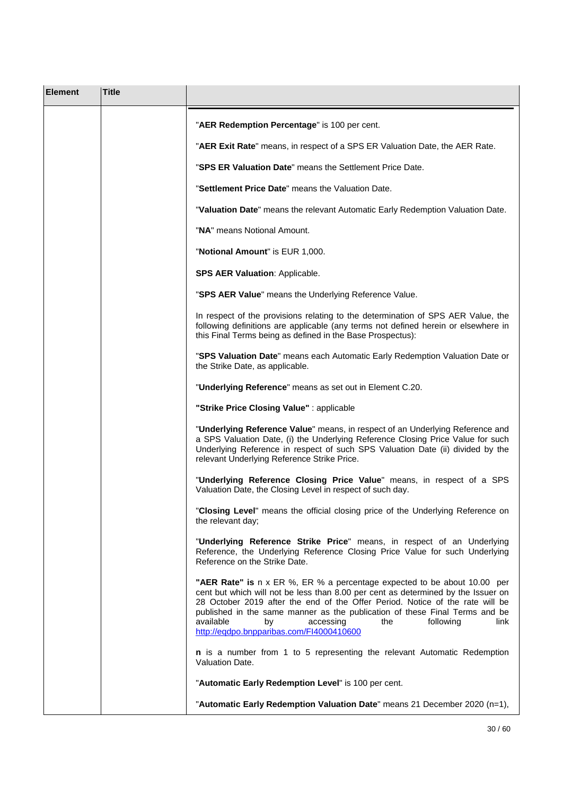| <b>Element</b> | <b>Title</b> |                                                                                                                                                                                                                                                                                                                                                                                                                                       |
|----------------|--------------|---------------------------------------------------------------------------------------------------------------------------------------------------------------------------------------------------------------------------------------------------------------------------------------------------------------------------------------------------------------------------------------------------------------------------------------|
|                |              | "AER Redemption Percentage" is 100 per cent.                                                                                                                                                                                                                                                                                                                                                                                          |
|                |              | "AER Exit Rate" means, in respect of a SPS ER Valuation Date, the AER Rate.                                                                                                                                                                                                                                                                                                                                                           |
|                |              | "SPS ER Valuation Date" means the Settlement Price Date.                                                                                                                                                                                                                                                                                                                                                                              |
|                |              | "Settlement Price Date" means the Valuation Date.                                                                                                                                                                                                                                                                                                                                                                                     |
|                |              | "Valuation Date" means the relevant Automatic Early Redemption Valuation Date.                                                                                                                                                                                                                                                                                                                                                        |
|                |              | "NA" means Notional Amount.                                                                                                                                                                                                                                                                                                                                                                                                           |
|                |              | "Notional Amount" is EUR 1,000.                                                                                                                                                                                                                                                                                                                                                                                                       |
|                |              | <b>SPS AER Valuation: Applicable.</b>                                                                                                                                                                                                                                                                                                                                                                                                 |
|                |              | "SPS AER Value" means the Underlying Reference Value.                                                                                                                                                                                                                                                                                                                                                                                 |
|                |              | In respect of the provisions relating to the determination of SPS AER Value, the<br>following definitions are applicable (any terms not defined herein or elsewhere in<br>this Final Terms being as defined in the Base Prospectus):                                                                                                                                                                                                  |
|                |              | "SPS Valuation Date" means each Automatic Early Redemption Valuation Date or<br>the Strike Date, as applicable.                                                                                                                                                                                                                                                                                                                       |
|                |              | "Underlying Reference" means as set out in Element C.20.                                                                                                                                                                                                                                                                                                                                                                              |
|                |              | "Strike Price Closing Value" : applicable                                                                                                                                                                                                                                                                                                                                                                                             |
|                |              | "Underlying Reference Value" means, in respect of an Underlying Reference and<br>a SPS Valuation Date, (i) the Underlying Reference Closing Price Value for such<br>Underlying Reference in respect of such SPS Valuation Date (ii) divided by the<br>relevant Underlying Reference Strike Price.                                                                                                                                     |
|                |              | "Underlying Reference Closing Price Value" means, in respect of a SPS<br>Valuation Date, the Closing Level in respect of such day.                                                                                                                                                                                                                                                                                                    |
|                |              | "Closing Level" means the official closing price of the Underlying Reference on<br>the relevant day;                                                                                                                                                                                                                                                                                                                                  |
|                |              | "Underlying Reference Strike Price" means, in respect of an Underlying<br>Reference, the Underlying Reference Closing Price Value for such Underlying<br>Reference on the Strike Date.                                                                                                                                                                                                                                                |
|                |              | "AER Rate" is n x ER %, ER % a percentage expected to be about 10.00 per<br>cent but which will not be less than 8.00 per cent as determined by the Issuer on<br>28 October 2019 after the end of the Offer Period. Notice of the rate will be<br>published in the same manner as the publication of these Final Terms and be<br>available<br>link<br>by<br>accessing<br>the<br>following<br>http://eqdpo.bnpparibas.com/FI4000410600 |
|                |              | n is a number from 1 to 5 representing the relevant Automatic Redemption<br>Valuation Date.                                                                                                                                                                                                                                                                                                                                           |
|                |              | "Automatic Early Redemption Level" is 100 per cent.                                                                                                                                                                                                                                                                                                                                                                                   |
|                |              | "Automatic Early Redemption Valuation Date" means 21 December 2020 (n=1),                                                                                                                                                                                                                                                                                                                                                             |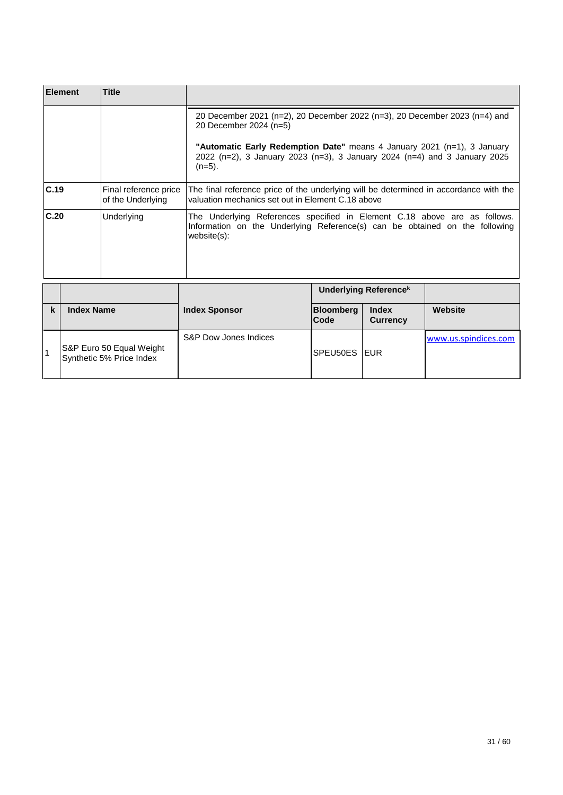|                                                    | <b>Title</b><br><b>Element</b>                       |  |                                                                                                                                                                                                                                                                           |                                                                                                                                            |                              |                      |
|----------------------------------------------------|------------------------------------------------------|--|---------------------------------------------------------------------------------------------------------------------------------------------------------------------------------------------------------------------------------------------------------------------------|--------------------------------------------------------------------------------------------------------------------------------------------|------------------------------|----------------------|
|                                                    |                                                      |  | 20 December 2021 (n=2), 20 December 2022 (n=3), 20 December 2023 (n=4) and<br>20 December 2024 (n=5)<br>"Automatic Early Redemption Date" means 4 January 2021 (n=1), 3 January<br>2022 (n=2), 3 January 2023 (n=3), 3 January 2024 (n=4) and 3 January 2025<br>$(n=5)$ . |                                                                                                                                            |                              |                      |
| C.19<br>Final reference price<br>of the Underlying |                                                      |  |                                                                                                                                                                                                                                                                           | The final reference price of the underlying will be determined in accordance with the<br>valuation mechanics set out in Element C.18 above |                              |                      |
| C.20<br>Underlying                                 |                                                      |  | The Underlying References specified in Element C.18 above are as follows.<br>Information on the Underlying Reference(s) can be obtained on the following<br>$website(s)$ :                                                                                                |                                                                                                                                            |                              |                      |
|                                                    |                                                      |  |                                                                                                                                                                                                                                                                           |                                                                                                                                            | <b>Underlying Referencek</b> |                      |
| k                                                  | <b>Index Name</b>                                    |  | <b>Index Sponsor</b>                                                                                                                                                                                                                                                      | <b>Bloomberg</b><br>Code                                                                                                                   | Index<br><b>Currency</b>     | Website              |
| 1                                                  | S&P Euro 50 Equal Weight<br>Synthetic 5% Price Index |  | S&P Dow Jones Indices                                                                                                                                                                                                                                                     | SPEU50ES IEUR                                                                                                                              |                              | www.us.spindices.com |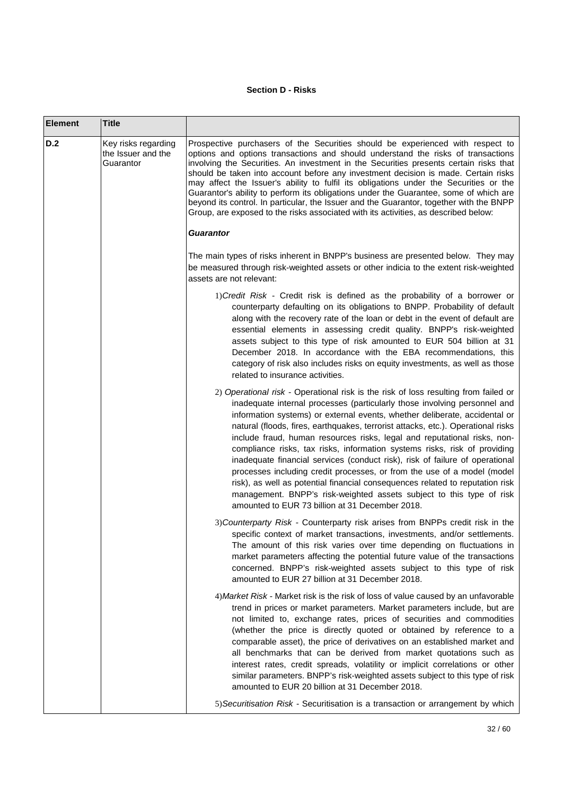## **Section D - Risks**

 $\mathbf{r}$ 

| <b>Element</b> | <b>Title</b>                                           |                                                                                                                                                                                                                                                                                                                                                                                                                                                                                                                                                                                                                                                                                                                                                                                                                                                                    |
|----------------|--------------------------------------------------------|--------------------------------------------------------------------------------------------------------------------------------------------------------------------------------------------------------------------------------------------------------------------------------------------------------------------------------------------------------------------------------------------------------------------------------------------------------------------------------------------------------------------------------------------------------------------------------------------------------------------------------------------------------------------------------------------------------------------------------------------------------------------------------------------------------------------------------------------------------------------|
| D.2            | Key risks regarding<br>the Issuer and the<br>Guarantor | Prospective purchasers of the Securities should be experienced with respect to<br>options and options transactions and should understand the risks of transactions<br>involving the Securities. An investment in the Securities presents certain risks that<br>should be taken into account before any investment decision is made. Certain risks<br>may affect the Issuer's ability to fulfil its obligations under the Securities or the<br>Guarantor's ability to perform its obligations under the Guarantee, some of which are<br>beyond its control. In particular, the Issuer and the Guarantor, together with the BNPP<br>Group, are exposed to the risks associated with its activities, as described below:                                                                                                                                              |
|                |                                                        | Guarantor                                                                                                                                                                                                                                                                                                                                                                                                                                                                                                                                                                                                                                                                                                                                                                                                                                                          |
|                |                                                        | The main types of risks inherent in BNPP's business are presented below. They may<br>be measured through risk-weighted assets or other indicia to the extent risk-weighted<br>assets are not relevant:                                                                                                                                                                                                                                                                                                                                                                                                                                                                                                                                                                                                                                                             |
|                |                                                        | 1) Credit Risk - Credit risk is defined as the probability of a borrower or<br>counterparty defaulting on its obligations to BNPP. Probability of default<br>along with the recovery rate of the loan or debt in the event of default are<br>essential elements in assessing credit quality. BNPP's risk-weighted<br>assets subject to this type of risk amounted to EUR 504 billion at 31<br>December 2018. In accordance with the EBA recommendations, this<br>category of risk also includes risks on equity investments, as well as those<br>related to insurance activities.                                                                                                                                                                                                                                                                                  |
|                |                                                        | 2) Operational risk - Operational risk is the risk of loss resulting from failed or<br>inadequate internal processes (particularly those involving personnel and<br>information systems) or external events, whether deliberate, accidental or<br>natural (floods, fires, earthquakes, terrorist attacks, etc.). Operational risks<br>include fraud, human resources risks, legal and reputational risks, non-<br>compliance risks, tax risks, information systems risks, risk of providing<br>inadequate financial services (conduct risk), risk of failure of operational<br>processes including credit processes, or from the use of a model (model<br>risk), as well as potential financial consequences related to reputation risk<br>management. BNPP's risk-weighted assets subject to this type of risk<br>amounted to EUR 73 billion at 31 December 2018. |
|                |                                                        | 3) Counterparty Risk - Counterparty risk arises from BNPPs credit risk in the<br>specific context of market transactions, investments, and/or settlements.<br>The amount of this risk varies over time depending on fluctuations in<br>market parameters affecting the potential future value of the transactions<br>concerned. BNPP's risk-weighted assets subject to this type of risk<br>amounted to EUR 27 billion at 31 December 2018.                                                                                                                                                                                                                                                                                                                                                                                                                        |
|                |                                                        | 4) Market Risk - Market risk is the risk of loss of value caused by an unfavorable<br>trend in prices or market parameters. Market parameters include, but are<br>not limited to, exchange rates, prices of securities and commodities<br>(whether the price is directly quoted or obtained by reference to a<br>comparable asset), the price of derivatives on an established market and<br>all benchmarks that can be derived from market quotations such as<br>interest rates, credit spreads, volatility or implicit correlations or other<br>similar parameters. BNPP's risk-weighted assets subject to this type of risk<br>amounted to EUR 20 billion at 31 December 2018.                                                                                                                                                                                  |
|                |                                                        | 5) Securitisation Risk - Securitisation is a transaction or arrangement by which                                                                                                                                                                                                                                                                                                                                                                                                                                                                                                                                                                                                                                                                                                                                                                                   |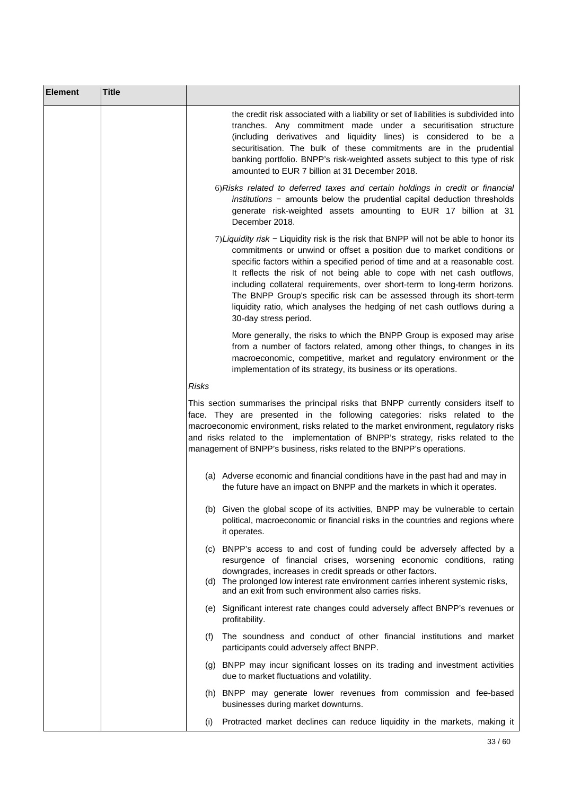| <b>Element</b> | <b>Title</b> |                                                                                                                                                                                                                                                                                                                                                                                                                                                                                                                                                                                        |
|----------------|--------------|----------------------------------------------------------------------------------------------------------------------------------------------------------------------------------------------------------------------------------------------------------------------------------------------------------------------------------------------------------------------------------------------------------------------------------------------------------------------------------------------------------------------------------------------------------------------------------------|
|                |              | the credit risk associated with a liability or set of liabilities is subdivided into<br>tranches. Any commitment made under a securitisation structure<br>(including derivatives and liquidity lines) is considered to be a<br>securitisation. The bulk of these commitments are in the prudential<br>banking portfolio. BNPP's risk-weighted assets subject to this type of risk<br>amounted to EUR 7 billion at 31 December 2018.                                                                                                                                                    |
|                |              | 6) Risks related to deferred taxes and certain holdings in credit or financial<br>$institutions$ - amounts below the prudential capital deduction thresholds<br>generate risk-weighted assets amounting to EUR 17 billion at 31<br>December 2018.                                                                                                                                                                                                                                                                                                                                      |
|                |              | 7) Liquidity risk - Liquidity risk is the risk that BNPP will not be able to honor its<br>commitments or unwind or offset a position due to market conditions or<br>specific factors within a specified period of time and at a reasonable cost.<br>It reflects the risk of not being able to cope with net cash outflows,<br>including collateral requirements, over short-term to long-term horizons.<br>The BNPP Group's specific risk can be assessed through its short-term<br>liquidity ratio, which analyses the hedging of net cash outflows during a<br>30-day stress period. |
|                |              | More generally, the risks to which the BNPP Group is exposed may arise<br>from a number of factors related, among other things, to changes in its<br>macroeconomic, competitive, market and regulatory environment or the<br>implementation of its strategy, its business or its operations.                                                                                                                                                                                                                                                                                           |
|                |              | <b>Risks</b>                                                                                                                                                                                                                                                                                                                                                                                                                                                                                                                                                                           |
|                |              | This section summarises the principal risks that BNPP currently considers itself to<br>face. They are presented in the following categories: risks related to the<br>macroeconomic environment, risks related to the market environment, regulatory risks<br>and risks related to the implementation of BNPP's strategy, risks related to the<br>management of BNPP's business, risks related to the BNPP's operations.                                                                                                                                                                |
|                |              | (a) Adverse economic and financial conditions have in the past had and may in<br>the future have an impact on BNPP and the markets in which it operates.                                                                                                                                                                                                                                                                                                                                                                                                                               |
|                |              | (b) Given the global scope of its activities, BNPP may be vulnerable to certain<br>political, macroeconomic or financial risks in the countries and regions where<br>it operates.                                                                                                                                                                                                                                                                                                                                                                                                      |
|                |              | (c) BNPP's access to and cost of funding could be adversely affected by a<br>resurgence of financial crises, worsening economic conditions, rating<br>downgrades, increases in credit spreads or other factors.                                                                                                                                                                                                                                                                                                                                                                        |
|                |              | (d) The prolonged low interest rate environment carries inherent systemic risks,<br>and an exit from such environment also carries risks.                                                                                                                                                                                                                                                                                                                                                                                                                                              |
|                |              | (e) Significant interest rate changes could adversely affect BNPP's revenues or<br>profitability.                                                                                                                                                                                                                                                                                                                                                                                                                                                                                      |
|                |              | The soundness and conduct of other financial institutions and market<br>(f)<br>participants could adversely affect BNPP.                                                                                                                                                                                                                                                                                                                                                                                                                                                               |
|                |              | (g) BNPP may incur significant losses on its trading and investment activities<br>due to market fluctuations and volatility.                                                                                                                                                                                                                                                                                                                                                                                                                                                           |
|                |              | (h) BNPP may generate lower revenues from commission and fee-based<br>businesses during market downturns.                                                                                                                                                                                                                                                                                                                                                                                                                                                                              |
|                |              | Protracted market declines can reduce liquidity in the markets, making it<br>(1)                                                                                                                                                                                                                                                                                                                                                                                                                                                                                                       |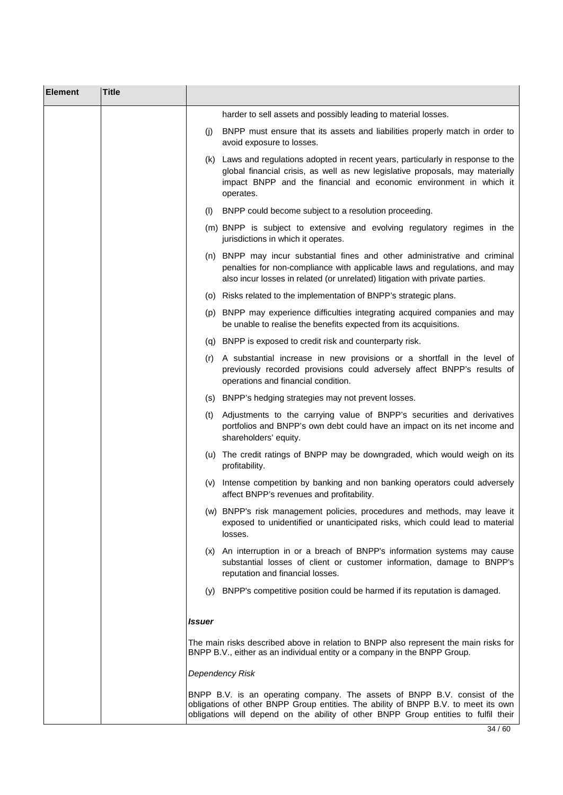| <b>Element</b> | <b>Title</b> |        |                                                                                                                                                                                                                                                        |
|----------------|--------------|--------|--------------------------------------------------------------------------------------------------------------------------------------------------------------------------------------------------------------------------------------------------------|
|                |              |        | harder to sell assets and possibly leading to material losses.                                                                                                                                                                                         |
|                |              |        | (j) BNPP must ensure that its assets and liabilities properly match in order to<br>avoid exposure to losses.                                                                                                                                           |
|                |              |        | (k) Laws and regulations adopted in recent years, particularly in response to the<br>global financial crisis, as well as new legislative proposals, may materially<br>impact BNPP and the financial and economic environment in which it<br>operates.  |
|                |              |        | (I) BNPP could become subject to a resolution proceeding.                                                                                                                                                                                              |
|                |              |        | (m) BNPP is subject to extensive and evolving regulatory regimes in the<br>jurisdictions in which it operates.                                                                                                                                         |
|                |              |        | (n) BNPP may incur substantial fines and other administrative and criminal<br>penalties for non-compliance with applicable laws and regulations, and may<br>also incur losses in related (or unrelated) litigation with private parties.               |
|                |              |        | (o) Risks related to the implementation of BNPP's strategic plans.                                                                                                                                                                                     |
|                |              |        | (p) BNPP may experience difficulties integrating acquired companies and may<br>be unable to realise the benefits expected from its acquisitions.                                                                                                       |
|                |              |        | (q) BNPP is exposed to credit risk and counterparty risk.                                                                                                                                                                                              |
|                |              | (r)    | A substantial increase in new provisions or a shortfall in the level of<br>previously recorded provisions could adversely affect BNPP's results of<br>operations and financial condition.                                                              |
|                |              |        | (s) BNPP's hedging strategies may not prevent losses.                                                                                                                                                                                                  |
|                |              | (t)    | Adjustments to the carrying value of BNPP's securities and derivatives<br>portfolios and BNPP's own debt could have an impact on its net income and<br>shareholders' equity.                                                                           |
|                |              |        | (u) The credit ratings of BNPP may be downgraded, which would weigh on its<br>profitability.                                                                                                                                                           |
|                |              | (V)    | Intense competition by banking and non banking operators could adversely<br>affect BNPP's revenues and profitability.                                                                                                                                  |
|                |              |        | (w) BNPP's risk management policies, procedures and methods, may leave it<br>exposed to unidentified or unanticipated risks, which could lead to material<br>losses.                                                                                   |
|                |              |        | (x) An interruption in or a breach of BNPP's information systems may cause<br>substantial losses of client or customer information, damage to BNPP's<br>reputation and financial losses.                                                               |
|                |              |        | (y) BNPP's competitive position could be harmed if its reputation is damaged.                                                                                                                                                                          |
|                |              | Issuer |                                                                                                                                                                                                                                                        |
|                |              |        | The main risks described above in relation to BNPP also represent the main risks for<br>BNPP B.V., either as an individual entity or a company in the BNPP Group.                                                                                      |
|                |              |        | Dependency Risk                                                                                                                                                                                                                                        |
|                |              |        | BNPP B.V. is an operating company. The assets of BNPP B.V. consist of the<br>obligations of other BNPP Group entities. The ability of BNPP B.V. to meet its own<br>obligations will depend on the ability of other BNPP Group entities to fulfil their |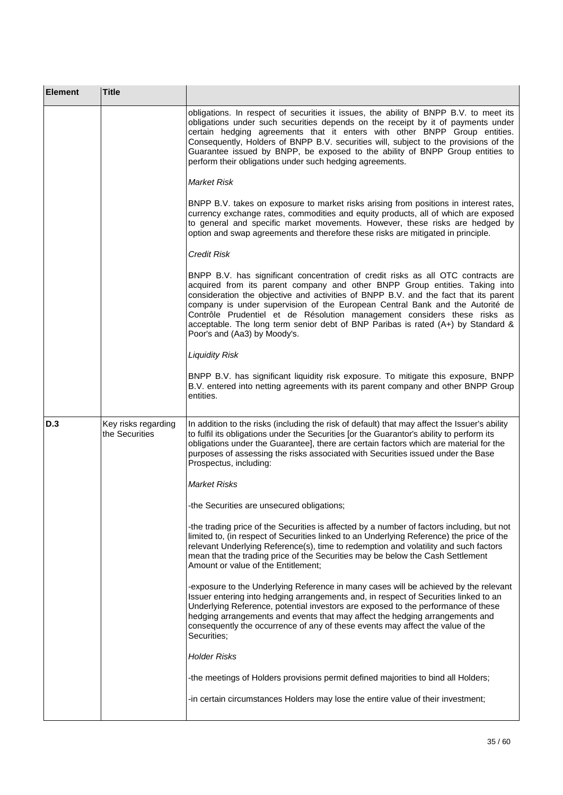| <b>Element</b> | <b>Title</b>                          |                                                                                                                                                                                                                                                                                                                                                                                                                                                                                                                                          |
|----------------|---------------------------------------|------------------------------------------------------------------------------------------------------------------------------------------------------------------------------------------------------------------------------------------------------------------------------------------------------------------------------------------------------------------------------------------------------------------------------------------------------------------------------------------------------------------------------------------|
|                |                                       | obligations. In respect of securities it issues, the ability of BNPP B.V. to meet its<br>obligations under such securities depends on the receipt by it of payments under<br>certain hedging agreements that it enters with other BNPP Group entities.<br>Consequently, Holders of BNPP B.V. securities will, subject to the provisions of the<br>Guarantee issued by BNPP, be exposed to the ability of BNPP Group entities to<br>perform their obligations under such hedging agreements.                                              |
|                |                                       | <b>Market Risk</b>                                                                                                                                                                                                                                                                                                                                                                                                                                                                                                                       |
|                |                                       | BNPP B.V. takes on exposure to market risks arising from positions in interest rates,<br>currency exchange rates, commodities and equity products, all of which are exposed<br>to general and specific market movements. However, these risks are hedged by<br>option and swap agreements and therefore these risks are mitigated in principle.                                                                                                                                                                                          |
|                |                                       | <b>Credit Risk</b>                                                                                                                                                                                                                                                                                                                                                                                                                                                                                                                       |
|                |                                       | BNPP B.V. has significant concentration of credit risks as all OTC contracts are<br>acquired from its parent company and other BNPP Group entities. Taking into<br>consideration the objective and activities of BNPP B.V. and the fact that its parent<br>company is under supervision of the European Central Bank and the Autorité de<br>Contrôle Prudentiel et de Résolution management considers these risks as<br>acceptable. The long term senior debt of BNP Paribas is rated (A+) by Standard &<br>Poor's and (Aa3) by Moody's. |
|                |                                       | <b>Liquidity Risk</b>                                                                                                                                                                                                                                                                                                                                                                                                                                                                                                                    |
|                |                                       | BNPP B.V. has significant liquidity risk exposure. To mitigate this exposure, BNPP<br>B.V. entered into netting agreements with its parent company and other BNPP Group<br>entities.                                                                                                                                                                                                                                                                                                                                                     |
| D.3            | Key risks regarding<br>the Securities | In addition to the risks (including the risk of default) that may affect the Issuer's ability<br>to fulfil its obligations under the Securities [or the Guarantor's ability to perform its<br>obligations under the Guarantee], there are certain factors which are material for the<br>purposes of assessing the risks associated with Securities issued under the Base<br>Prospectus, including:                                                                                                                                       |
|                |                                       | <b>Market Risks</b>                                                                                                                                                                                                                                                                                                                                                                                                                                                                                                                      |
|                |                                       | -the Securities are unsecured obligations;                                                                                                                                                                                                                                                                                                                                                                                                                                                                                               |
|                |                                       | -the trading price of the Securities is affected by a number of factors including, but not<br>limited to, (in respect of Securities linked to an Underlying Reference) the price of the<br>relevant Underlying Reference(s), time to redemption and volatility and such factors<br>mean that the trading price of the Securities may be below the Cash Settlement<br>Amount or value of the Entitlement;                                                                                                                                 |
|                |                                       | -exposure to the Underlying Reference in many cases will be achieved by the relevant<br>Issuer entering into hedging arrangements and, in respect of Securities linked to an<br>Underlying Reference, potential investors are exposed to the performance of these<br>hedging arrangements and events that may affect the hedging arrangements and<br>consequently the occurrence of any of these events may affect the value of the<br>Securities;                                                                                       |
|                |                                       | <b>Holder Risks</b>                                                                                                                                                                                                                                                                                                                                                                                                                                                                                                                      |
|                |                                       | -the meetings of Holders provisions permit defined majorities to bind all Holders;                                                                                                                                                                                                                                                                                                                                                                                                                                                       |
|                |                                       | -in certain circumstances Holders may lose the entire value of their investment;                                                                                                                                                                                                                                                                                                                                                                                                                                                         |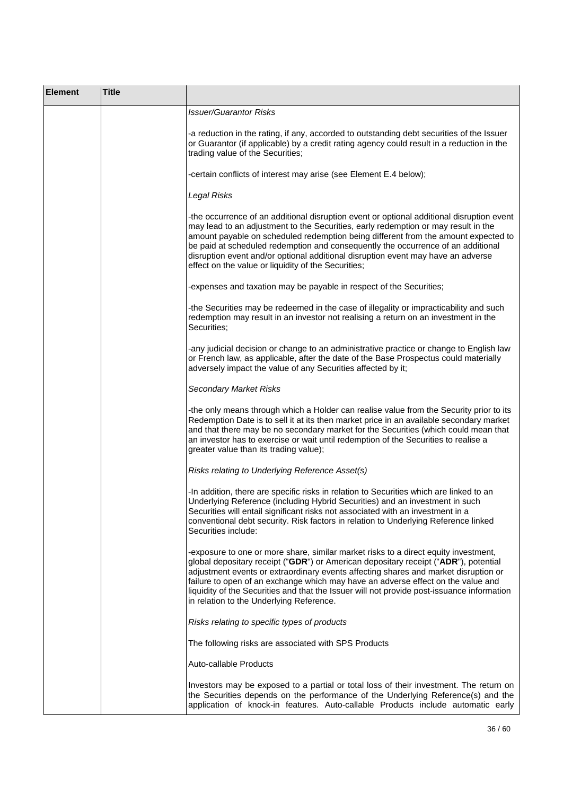| <b>Element</b> | <b>Title</b> |                                                                                                                                                                                                                                                                                                                                                                                                                                                                                                      |
|----------------|--------------|------------------------------------------------------------------------------------------------------------------------------------------------------------------------------------------------------------------------------------------------------------------------------------------------------------------------------------------------------------------------------------------------------------------------------------------------------------------------------------------------------|
|                |              | <b>Issuer/Guarantor Risks</b>                                                                                                                                                                                                                                                                                                                                                                                                                                                                        |
|                |              | -a reduction in the rating, if any, accorded to outstanding debt securities of the Issuer<br>or Guarantor (if applicable) by a credit rating agency could result in a reduction in the<br>trading value of the Securities;                                                                                                                                                                                                                                                                           |
|                |              | -certain conflicts of interest may arise (see Element E.4 below);                                                                                                                                                                                                                                                                                                                                                                                                                                    |
|                |              | Legal Risks                                                                                                                                                                                                                                                                                                                                                                                                                                                                                          |
|                |              | -the occurrence of an additional disruption event or optional additional disruption event<br>may lead to an adjustment to the Securities, early redemption or may result in the<br>amount payable on scheduled redemption being different from the amount expected to<br>be paid at scheduled redemption and consequently the occurrence of an additional<br>disruption event and/or optional additional disruption event may have an adverse<br>effect on the value or liquidity of the Securities; |
|                |              | -expenses and taxation may be payable in respect of the Securities;                                                                                                                                                                                                                                                                                                                                                                                                                                  |
|                |              | -the Securities may be redeemed in the case of illegality or impracticability and such<br>redemption may result in an investor not realising a return on an investment in the<br>Securities;                                                                                                                                                                                                                                                                                                         |
|                |              | -any judicial decision or change to an administrative practice or change to English law<br>or French law, as applicable, after the date of the Base Prospectus could materially<br>adversely impact the value of any Securities affected by it;                                                                                                                                                                                                                                                      |
|                |              | <b>Secondary Market Risks</b>                                                                                                                                                                                                                                                                                                                                                                                                                                                                        |
|                |              | -the only means through which a Holder can realise value from the Security prior to its<br>Redemption Date is to sell it at its then market price in an available secondary market<br>and that there may be no secondary market for the Securities (which could mean that<br>an investor has to exercise or wait until redemption of the Securities to realise a<br>greater value than its trading value);                                                                                           |
|                |              | Risks relating to Underlying Reference Asset(s)                                                                                                                                                                                                                                                                                                                                                                                                                                                      |
|                |              | -In addition, there are specific risks in relation to Securities which are linked to an<br>Underlying Reference (including Hybrid Securities) and an investment in such<br>Securities will entail significant risks not associated with an investment in a<br>conventional debt security. Risk factors in relation to Underlying Reference linked<br>Securities include:                                                                                                                             |
|                |              | -exposure to one or more share, similar market risks to a direct equity investment,<br>global depositary receipt ("GDR") or American depositary receipt ("ADR"), potential<br>adjustment events or extraordinary events affecting shares and market disruption or<br>failure to open of an exchange which may have an adverse effect on the value and<br>liquidity of the Securities and that the Issuer will not provide post-issuance information<br>in relation to the Underlying Reference.      |
|                |              | Risks relating to specific types of products                                                                                                                                                                                                                                                                                                                                                                                                                                                         |
|                |              | The following risks are associated with SPS Products                                                                                                                                                                                                                                                                                                                                                                                                                                                 |
|                |              | Auto-callable Products                                                                                                                                                                                                                                                                                                                                                                                                                                                                               |
|                |              | Investors may be exposed to a partial or total loss of their investment. The return on<br>the Securities depends on the performance of the Underlying Reference(s) and the<br>application of knock-in features. Auto-callable Products include automatic early                                                                                                                                                                                                                                       |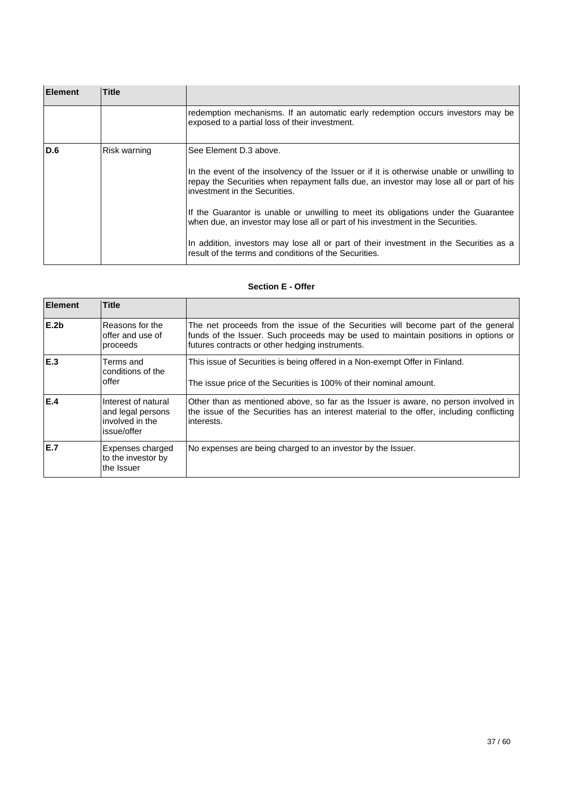| <b>Element</b> | <b>Title</b> |                                                                                                                                                                                                                                                                                                                           |
|----------------|--------------|---------------------------------------------------------------------------------------------------------------------------------------------------------------------------------------------------------------------------------------------------------------------------------------------------------------------------|
|                |              | redemption mechanisms. If an automatic early redemption occurs investors may be<br>exposed to a partial loss of their investment.                                                                                                                                                                                         |
| D.6            | Risk warning | See Element D.3 above.<br>In the event of the insolvency of the Issuer or if it is otherwise unable or unwilling to<br>repay the Securities when repayment falls due, an investor may lose all or part of his<br>investment in the Securities.                                                                            |
|                |              | If the Guarantor is unable or unwilling to meet its obligations under the Guarantee<br>when due, an investor may lose all or part of his investment in the Securities.<br>In addition, investors may lose all or part of their investment in the Securities as a<br>result of the terms and conditions of the Securities. |

## **Section E - Offer**

| <b>Element</b>   | <b>Title</b>                                                               |                                                                                                                                                                                                                            |
|------------------|----------------------------------------------------------------------------|----------------------------------------------------------------------------------------------------------------------------------------------------------------------------------------------------------------------------|
| E.2 <sub>b</sub> | Reasons for the<br>offer and use of<br>proceeds                            | The net proceeds from the issue of the Securities will become part of the general<br>funds of the Issuer. Such proceeds may be used to maintain positions in options or<br>futures contracts or other hedging instruments. |
| IE.3             | Terms and<br>conditions of the<br>offer                                    | This issue of Securities is being offered in a Non-exempt Offer in Finland.<br>The issue price of the Securities is 100% of their nominal amount.                                                                          |
| E.4              | Interest of natural<br>and legal persons<br>involved in the<br>issue/offer | Other than as mentioned above, so far as the Issuer is aware, no person involved in<br>the issue of the Securities has an interest material to the offer, including conflicting<br>interests.                              |
| IE.7             | Expenses charged<br>to the investor by<br>the Issuer                       | No expenses are being charged to an investor by the Issuer.                                                                                                                                                                |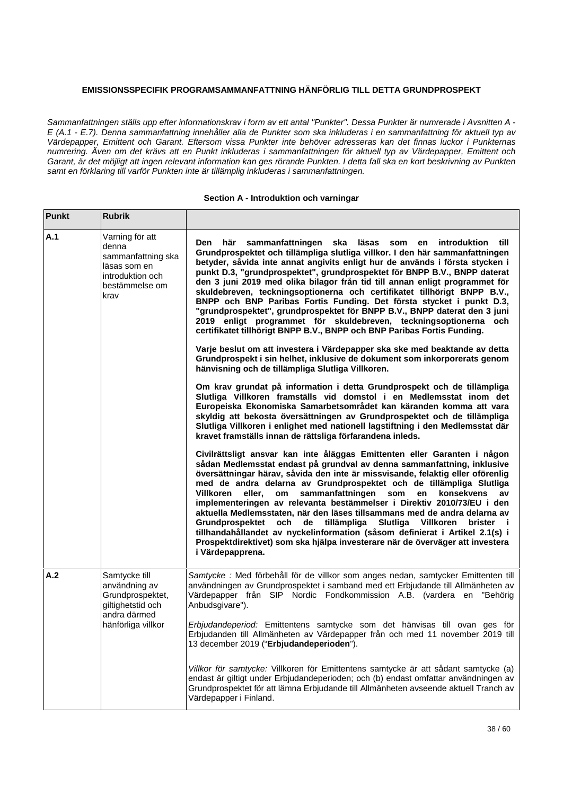## **EMISSIONSSPECIFIK PROGRAMSAMMANFATTNING HÄNFÖRLIG TILL DETTA GRUNDPROSPEKT**

*Sammanfattningen ställs upp efter informationskrav i form av ett antal "Punkter". Dessa Punkter är numrerade i Avsnitten A - E (A.1 - E.7). Denna sammanfattning innehåller alla de Punkter som ska inkluderas i en sammanfattning för aktuell typ av Värdepapper, Emittent och Garant. Eftersom vissa Punkter inte behöver adresseras kan det finnas luckor i Punkternas numrering. Även om det krävs att en Punkt inkluderas i sammanfattningen för aktuell typ av Värdepapper, Emittent och Garant, är det möjligt att ingen relevant information kan ges rörande Punkten. I detta fall ska en kort beskrivning av Punkten samt en förklaring till varför Punkten inte är tillämplig inkluderas i sammanfattningen.*

### **Section A - Introduktion och varningar**

| <b>Punkt</b> | <b>Rubrik</b>                                                                                                 |                                                                                                                                                                                                                                                                                                                                                                                                                                                                                                                                                                                                                                                                                                                                                                                                                                                                                                                                                                                                                                                                                                                                                                                                                                                                                                                                                                                                                                                                                                                                                                                                                                                                                                                                                                                                                                                                                                                                                                                                                                                                                                                                                                                                                                                                                                          |
|--------------|---------------------------------------------------------------------------------------------------------------|----------------------------------------------------------------------------------------------------------------------------------------------------------------------------------------------------------------------------------------------------------------------------------------------------------------------------------------------------------------------------------------------------------------------------------------------------------------------------------------------------------------------------------------------------------------------------------------------------------------------------------------------------------------------------------------------------------------------------------------------------------------------------------------------------------------------------------------------------------------------------------------------------------------------------------------------------------------------------------------------------------------------------------------------------------------------------------------------------------------------------------------------------------------------------------------------------------------------------------------------------------------------------------------------------------------------------------------------------------------------------------------------------------------------------------------------------------------------------------------------------------------------------------------------------------------------------------------------------------------------------------------------------------------------------------------------------------------------------------------------------------------------------------------------------------------------------------------------------------------------------------------------------------------------------------------------------------------------------------------------------------------------------------------------------------------------------------------------------------------------------------------------------------------------------------------------------------------------------------------------------------------------------------------------------------|
| A.1          | Varning för att<br>denna<br>sammanfattning ska<br>läsas som en<br>introduktion och<br>bestämmelse om<br>krav  | här<br>sammanfattningen<br>ska<br>läsas<br>Den<br>som<br><b>introduktion</b><br>till –<br>en<br>Grundprospektet och tillämpliga slutliga villkor. I den här sammanfattningen<br>betyder, såvida inte annat angivits enligt hur de används i första stycken i<br>punkt D.3, "grundprospektet", grundprospektet för BNPP B.V., BNPP daterat<br>den 3 juni 2019 med olika bilagor från tid till annan enligt programmet för<br>skuldebreven, teckningsoptionerna och certifikatet tillhörigt BNPP B.V.,<br>BNPP och BNP Paribas Fortis Funding. Det första stycket i punkt D.3,<br>"grundprospektet", grundprospektet för BNPP B.V., BNPP daterat den 3 juni<br>2019 enligt programmet för skuldebreven, teckningsoptionerna och<br>certifikatet tillhörigt BNPP B.V., BNPP och BNP Paribas Fortis Funding.<br>Varje beslut om att investera i Värdepapper ska ske med beaktande av detta<br>Grundprospekt i sin helhet, inklusive de dokument som inkorporerats genom<br>hänvisning och de tillämpliga Slutliga Villkoren.<br>Om krav grundat på information i detta Grundprospekt och de tillämpliga<br>Slutliga Villkoren framställs vid domstol i en Medlemsstat inom det<br>Europeiska Ekonomiska Samarbetsområdet kan käranden komma att vara<br>skyldig att bekosta översättningen av Grundprospektet och de tillämpliga<br>Slutliga Villkoren i enlighet med nationell lagstiftning i den Medlemsstat där<br>kravet framställs innan de rättsliga förfarandena inleds.<br>Civilrättsligt ansvar kan inte åläggas Emittenten eller Garanten i någon<br>sådan Medlemsstat endast på grundval av denna sammanfattning, inklusive<br>översättningar härav, såvida den inte är missvisande, felaktig eller oförenlig<br>med de andra delarna av Grundprospektet och de tillämpliga Slutliga<br>sammanfattningen<br>Villkoren<br>eller,<br>om<br>som<br>en<br>konsekvens<br>av<br>implementeringen av relevanta bestämmelser i Direktiv 2010/73/EU i den<br>aktuella Medlemsstaten, när den läses tillsammans med de andra delarna av<br>och de tillämpliga<br>Slutliga<br>Grundprospektet<br>Villkoren<br>brister i<br>tillhandahållandet av nyckelinformation (såsom definierat i Artikel 2.1(s) i<br>Prospektdirektivet) som ska hjälpa investerare när de överväger att investera<br>i Värdepapprena. |
| A.2          | Samtycke till<br>användning av<br>Grundprospektet,<br>giltighetstid och<br>andra därmed<br>hänförliga villkor | Samtycke : Med förbehåll för de villkor som anges nedan, samtycker Emittenten till<br>användningen av Grundprospektet i samband med ett Erbjudande till Allmänheten av<br>Värdepapper från SIP Nordic Fondkommission A.B. (vardera en "Behörig<br>Anbudsgivare").<br>Erbjudandeperiod: Emittentens samtycke som det hänvisas till ovan ges för<br>Erbjudanden till Allmänheten av Värdepapper från och med 11 november 2019 till<br>13 december 2019 ("Erbjudandeperioden").<br>Villkor för samtycke: Villkoren för Emittentens samtycke är att sådant samtycke (a)<br>endast är giltigt under Erbjudandeperioden; och (b) endast omfattar användningen av<br>Grundprospektet för att lämna Erbjudande till Allmänheten avseende aktuell Tranch av<br>Värdepapper i Finland.                                                                                                                                                                                                                                                                                                                                                                                                                                                                                                                                                                                                                                                                                                                                                                                                                                                                                                                                                                                                                                                                                                                                                                                                                                                                                                                                                                                                                                                                                                                             |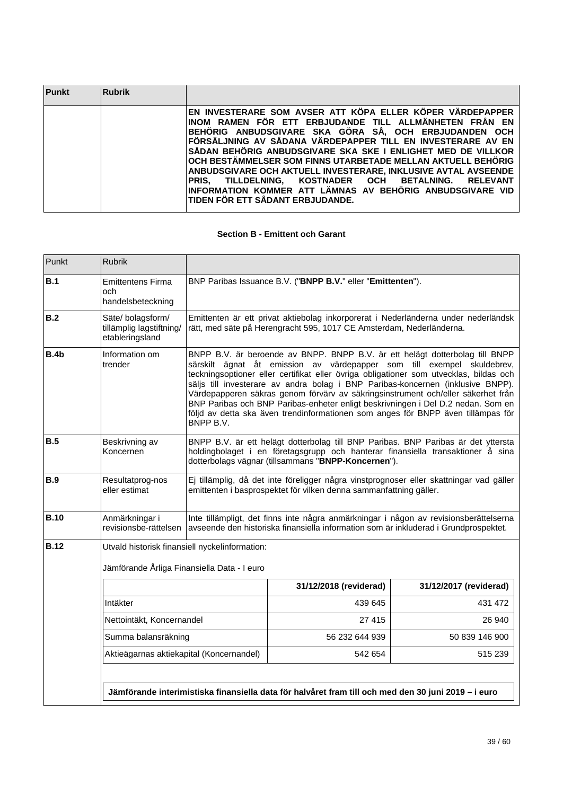| <b>Punkt</b> | <b>Rubrik</b> |                                                                                                                                                                                                                                                                                                                                                                                                                                                                                                                                                                                                                  |
|--------------|---------------|------------------------------------------------------------------------------------------------------------------------------------------------------------------------------------------------------------------------------------------------------------------------------------------------------------------------------------------------------------------------------------------------------------------------------------------------------------------------------------------------------------------------------------------------------------------------------------------------------------------|
|              |               | EN INVESTERARE SOM AVSER ATT KÖPA ELLER KÖPER VÄRDEPAPPER<br>INOM RAMEN FÖR ETT ERBJUDANDE TILL ALLMÄNHETEN FRÅN EN<br>BEHÖRIG ANBUDSGIVARE SKA GÖRA SÅ, OCH ERBJUDANDEN OCH<br>FÖRSÄLJNING AV SÅDANA VÄRDEPAPPER TILL EN INVESTERARE AV EN<br>SÅDAN BEHÖRIG ANBUDSGIVARE SKA SKE I ENLIGHET MED DE VILLKOR<br>OCH BESTÄMMELSER SOM FINNS UTARBETADE MELLAN AKTUELL BEHÖRIG<br>ANBUDSGIVARE OCH AKTUELL INVESTERARE. INKLUSIVE AVTAL AVSEENDE<br>TILLDELNING. KOSTNADER OCH BETALNING. RELEVANT<br><b>PRIS.</b><br>INFORMATION KOMMER ATT LÄMNAS AV BEHÖRIG ANBUDSGIVARE VID<br>TIDEN FÖR ETT SÅDANT ERBJUDANDE. |

## **Section B - Emittent och Garant**

| Punkt       | <b>Rubrik</b>                                                                                                                                                                                                                                                                                                                                                                                                                                                                                                                                                                                                                             |                                                                                                                                                                                                                             |                                                                                                                                                                               |                        |
|-------------|-------------------------------------------------------------------------------------------------------------------------------------------------------------------------------------------------------------------------------------------------------------------------------------------------------------------------------------------------------------------------------------------------------------------------------------------------------------------------------------------------------------------------------------------------------------------------------------------------------------------------------------------|-----------------------------------------------------------------------------------------------------------------------------------------------------------------------------------------------------------------------------|-------------------------------------------------------------------------------------------------------------------------------------------------------------------------------|------------------------|
| B.1         | <b>Emittentens Firma</b><br>och<br>handelsbeteckning                                                                                                                                                                                                                                                                                                                                                                                                                                                                                                                                                                                      | BNP Paribas Issuance B.V. ("BNPP B.V." eller "Emittenten").                                                                                                                                                                 |                                                                                                                                                                               |                        |
| B.2         | Säte/bolagsform/<br>tillämplig lagstiftning/<br>etableringsland                                                                                                                                                                                                                                                                                                                                                                                                                                                                                                                                                                           |                                                                                                                                                                                                                             | Emittenten är ett privat aktiebolag inkorporerat i Nederländerna under nederländsk<br>rätt, med säte på Herengracht 595, 1017 CE Amsterdam, Nederländerna.                    |                        |
| <b>B.4b</b> | Information om<br>BNPP B.V. är beroende av BNPP. BNPP B.V. är ett helägt dotterbolag till BNPP<br>trender<br>särskilt ägnat åt emission av värdepapper som till exempel skuldebrev,<br>teckningsoptioner eller certifikat eller övriga obligationer som utvecklas, bildas och<br>säljs till investerare av andra bolag i BNP Paribas-koncernen (inklusive BNPP).<br>Värdepapperen säkras genom förvärv av säkringsinstrument och/eller säkerhet från<br>BNP Paribas och BNP Paribas-enheter enligt beskrivningen i Del D.2 nedan. Som en<br>följd av detta ska även trendinformationen som anges för BNPP även tillämpas för<br>BNPP B.V. |                                                                                                                                                                                                                             |                                                                                                                                                                               |                        |
| <b>B.5</b>  | Beskrivning av<br>Koncernen                                                                                                                                                                                                                                                                                                                                                                                                                                                                                                                                                                                                               | BNPP B.V. är ett helägt dotterbolag till BNP Paribas. BNP Paribas är det yttersta<br>holdingbolaget i en företagsgrupp och hanterar finansiella transaktioner å sina<br>dotterbolags vägnar (tillsammans "BNPP-Koncernen"). |                                                                                                                                                                               |                        |
| <b>B.9</b>  | Resultatprog-nos<br>eller estimat                                                                                                                                                                                                                                                                                                                                                                                                                                                                                                                                                                                                         |                                                                                                                                                                                                                             | Ej tillämplig, då det inte föreligger några vinstprognoser eller skattningar vad gäller<br>emittenten i basprospektet för vilken denna sammanfattning gäller.                 |                        |
| <b>B.10</b> | Anmärkningar i<br>revisionsbe-rättelsen                                                                                                                                                                                                                                                                                                                                                                                                                                                                                                                                                                                                   |                                                                                                                                                                                                                             | Inte tillämpligt, det finns inte några anmärkningar i någon av revisionsberättelserna<br>avseende den historiska finansiella information som är inkluderad i Grundprospektet. |                        |
| <b>B.12</b> | Jämförande Årliga Finansiella Data - I euro                                                                                                                                                                                                                                                                                                                                                                                                                                                                                                                                                                                               | Utvald historisk finansiell nyckelinformation:                                                                                                                                                                              |                                                                                                                                                                               |                        |
|             |                                                                                                                                                                                                                                                                                                                                                                                                                                                                                                                                                                                                                                           |                                                                                                                                                                                                                             | 31/12/2018 (reviderad)                                                                                                                                                        | 31/12/2017 (reviderad) |
|             | Intäkter                                                                                                                                                                                                                                                                                                                                                                                                                                                                                                                                                                                                                                  |                                                                                                                                                                                                                             | 439 645                                                                                                                                                                       | 431 472                |
|             | Nettointäkt, Koncernandel                                                                                                                                                                                                                                                                                                                                                                                                                                                                                                                                                                                                                 |                                                                                                                                                                                                                             | 27 415                                                                                                                                                                        | 26 940                 |
|             | Summa balansräkning                                                                                                                                                                                                                                                                                                                                                                                                                                                                                                                                                                                                                       |                                                                                                                                                                                                                             | 56 232 644 939                                                                                                                                                                | 50 839 146 900         |
|             |                                                                                                                                                                                                                                                                                                                                                                                                                                                                                                                                                                                                                                           |                                                                                                                                                                                                                             |                                                                                                                                                                               |                        |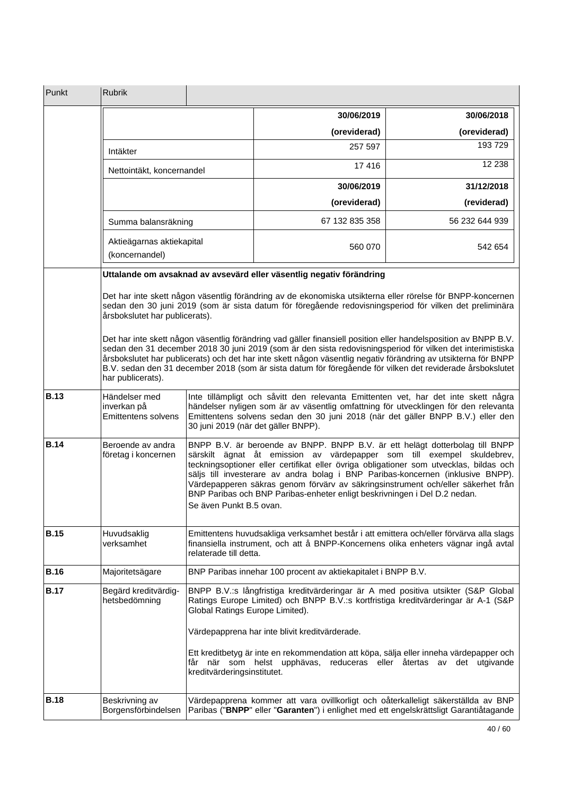| Punkt       | <b>Rubrik</b>                                                                                                                                                                                                                                                                                                                                                                                                                                                                                                                                                                                                                                                                                                                                |                                                                                                                                                                                                                                                                                                                                                                                                                                                                                                                                 |                                                                                                                                                                                                                           |                                             |
|-------------|----------------------------------------------------------------------------------------------------------------------------------------------------------------------------------------------------------------------------------------------------------------------------------------------------------------------------------------------------------------------------------------------------------------------------------------------------------------------------------------------------------------------------------------------------------------------------------------------------------------------------------------------------------------------------------------------------------------------------------------------|---------------------------------------------------------------------------------------------------------------------------------------------------------------------------------------------------------------------------------------------------------------------------------------------------------------------------------------------------------------------------------------------------------------------------------------------------------------------------------------------------------------------------------|---------------------------------------------------------------------------------------------------------------------------------------------------------------------------------------------------------------------------|---------------------------------------------|
|             |                                                                                                                                                                                                                                                                                                                                                                                                                                                                                                                                                                                                                                                                                                                                              |                                                                                                                                                                                                                                                                                                                                                                                                                                                                                                                                 | 30/06/2019                                                                                                                                                                                                                | 30/06/2018                                  |
|             |                                                                                                                                                                                                                                                                                                                                                                                                                                                                                                                                                                                                                                                                                                                                              |                                                                                                                                                                                                                                                                                                                                                                                                                                                                                                                                 | (oreviderad)                                                                                                                                                                                                              | (oreviderad)                                |
|             | Intäkter                                                                                                                                                                                                                                                                                                                                                                                                                                                                                                                                                                                                                                                                                                                                     |                                                                                                                                                                                                                                                                                                                                                                                                                                                                                                                                 | 257 597                                                                                                                                                                                                                   | 193729                                      |
|             | Nettointäkt, koncernandel                                                                                                                                                                                                                                                                                                                                                                                                                                                                                                                                                                                                                                                                                                                    |                                                                                                                                                                                                                                                                                                                                                                                                                                                                                                                                 | 17416                                                                                                                                                                                                                     | 12 2 38                                     |
|             |                                                                                                                                                                                                                                                                                                                                                                                                                                                                                                                                                                                                                                                                                                                                              |                                                                                                                                                                                                                                                                                                                                                                                                                                                                                                                                 | 30/06/2019                                                                                                                                                                                                                | 31/12/2018                                  |
|             |                                                                                                                                                                                                                                                                                                                                                                                                                                                                                                                                                                                                                                                                                                                                              |                                                                                                                                                                                                                                                                                                                                                                                                                                                                                                                                 | (oreviderad)                                                                                                                                                                                                              | (reviderad)                                 |
|             | Summa balansräkning                                                                                                                                                                                                                                                                                                                                                                                                                                                                                                                                                                                                                                                                                                                          |                                                                                                                                                                                                                                                                                                                                                                                                                                                                                                                                 | 67 132 835 358                                                                                                                                                                                                            | 56 232 644 939                              |
|             | Aktieägarnas aktiekapital<br>(koncernandel)                                                                                                                                                                                                                                                                                                                                                                                                                                                                                                                                                                                                                                                                                                  |                                                                                                                                                                                                                                                                                                                                                                                                                                                                                                                                 | 560 070                                                                                                                                                                                                                   | 542 654                                     |
|             |                                                                                                                                                                                                                                                                                                                                                                                                                                                                                                                                                                                                                                                                                                                                              |                                                                                                                                                                                                                                                                                                                                                                                                                                                                                                                                 | Uttalande om avsaknad av avsevärd eller väsentlig negativ förändring                                                                                                                                                      |                                             |
|             | Det har inte skett någon väsentlig förändring av de ekonomiska utsikterna eller rörelse för BNPP-koncernen<br>sedan den 30 juni 2019 (som är sista datum för föregående redovisningsperiod för vilken det preliminära<br>årsbokslutet har publicerats).<br>Det har inte skett någon väsentlig förändring vad gäller finansiell position eller handelsposition av BNPP B.V.<br>sedan den 31 december 2018 30 juni 2019 (som är den sista redovisningsperiod för vilken det interimistiska<br>årsbokslutet har publicerats) och det har inte skett någon väsentlig negativ förändring av utsikterna för BNPP<br>B.V. sedan den 31 december 2018 (som är sista datum för föregående för vilken det reviderade årsbokslutet<br>har publicerats). |                                                                                                                                                                                                                                                                                                                                                                                                                                                                                                                                 |                                                                                                                                                                                                                           |                                             |
| <b>B.13</b> | Händelser med<br>inverkan på<br>Emittentens solvens                                                                                                                                                                                                                                                                                                                                                                                                                                                                                                                                                                                                                                                                                          | Inte tillämpligt och såvitt den relevanta Emittenten vet, har det inte skett några<br>händelser nyligen som är av väsentlig omfattning för utvecklingen för den relevanta<br>Emittentens solvens sedan den 30 juni 2018 (när det gäller BNPP B.V.) eller den<br>30 juni 2019 (när det gäller BNPP).                                                                                                                                                                                                                             |                                                                                                                                                                                                                           |                                             |
| <b>B.14</b> | Beroende av andra<br>företag i koncernen                                                                                                                                                                                                                                                                                                                                                                                                                                                                                                                                                                                                                                                                                                     | BNPP B.V. är beroende av BNPP. BNPP B.V. är ett helägt dotterbolag till BNPP<br>särskilt ägnat åt emission av värdepapper som till exempel skuldebrev,<br>teckningsoptioner eller certifikat eller övriga obligationer som utvecklas, bildas och<br>säljs till investerare av andra bolag i BNP Paribas-koncernen (inklusive BNPP).<br>Värdepapperen säkras genom förvärv av säkringsinstrument och/eller säkerhet från<br>BNP Paribas och BNP Paribas-enheter enligt beskrivningen i Del D.2 nedan.<br>Se även Punkt B.5 ovan. |                                                                                                                                                                                                                           |                                             |
| <b>B.15</b> | Huvudsaklig<br>verksamhet                                                                                                                                                                                                                                                                                                                                                                                                                                                                                                                                                                                                                                                                                                                    | Emittentens huvudsakliga verksamhet består i att emittera och/eller förvärva alla slags<br>finansiella instrument, och att å BNPP-Koncernens olika enheters vägnar ingå avtal<br>relaterade till detta.                                                                                                                                                                                                                                                                                                                         |                                                                                                                                                                                                                           |                                             |
| <b>B.16</b> | Majoritetsägare                                                                                                                                                                                                                                                                                                                                                                                                                                                                                                                                                                                                                                                                                                                              |                                                                                                                                                                                                                                                                                                                                                                                                                                                                                                                                 | BNP Paribas innehar 100 procent av aktiekapitalet i BNPP B.V.                                                                                                                                                             |                                             |
| <b>B.17</b> | Begärd kreditvärdig-<br>hetsbedömning                                                                                                                                                                                                                                                                                                                                                                                                                                                                                                                                                                                                                                                                                                        | Global Ratings Europe Limited).                                                                                                                                                                                                                                                                                                                                                                                                                                                                                                 | BNPP B.V.:s långfristiga kreditvärderingar är A med positiva utsikter (S&P Global<br>Ratings Europe Limited) och BNPP B.V.:s kortfristiga kreditvärderingar är A-1 (S&P<br>Värdepapprena har inte blivit kreditvärderade. |                                             |
|             |                                                                                                                                                                                                                                                                                                                                                                                                                                                                                                                                                                                                                                                                                                                                              | kreditvärderingsinstitutet.                                                                                                                                                                                                                                                                                                                                                                                                                                                                                                     | Ett kreditbetyg är inte en rekommendation att köpa, sälja eller inneha värdepapper och<br>får när som helst upphävas,                                                                                                     | reduceras eller återtas av<br>det utgivande |
| <b>B.18</b> | Beskrivning av<br>Borgensförbindelsen                                                                                                                                                                                                                                                                                                                                                                                                                                                                                                                                                                                                                                                                                                        |                                                                                                                                                                                                                                                                                                                                                                                                                                                                                                                                 | Värdepapprena kommer att vara ovillkorligt och oåterkalleligt säkerställda av BNP<br>Paribas ("BNPP" eller "Garanten") i enlighet med ett engelskrättsligt Garantiåtagande                                                |                                             |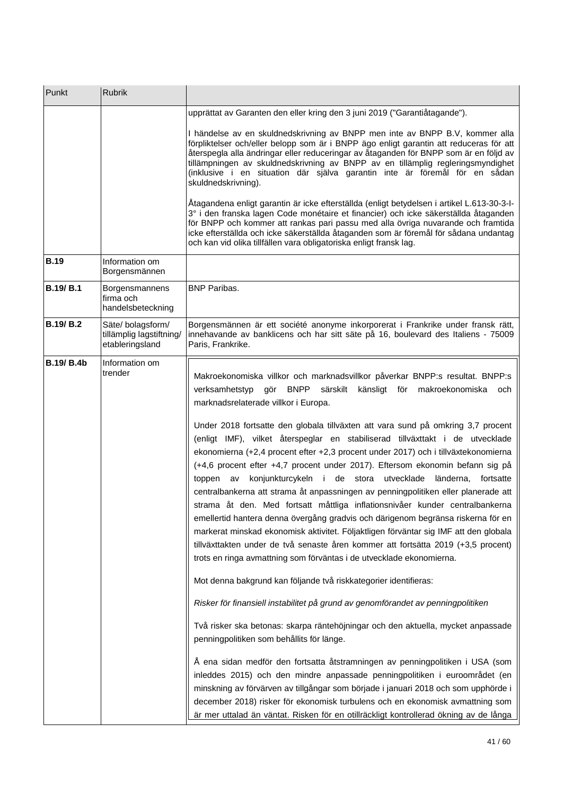| Punkt             | Rubrik                                                           |                                                                                                                                                                                                                                                                                                                                                                                                                                                                                                                                                                                                                                                                                                                                                                                                                                                                                                                                          |
|-------------------|------------------------------------------------------------------|------------------------------------------------------------------------------------------------------------------------------------------------------------------------------------------------------------------------------------------------------------------------------------------------------------------------------------------------------------------------------------------------------------------------------------------------------------------------------------------------------------------------------------------------------------------------------------------------------------------------------------------------------------------------------------------------------------------------------------------------------------------------------------------------------------------------------------------------------------------------------------------------------------------------------------------|
|                   |                                                                  | upprättat av Garanten den eller kring den 3 juni 2019 ("Garantiåtagande").                                                                                                                                                                                                                                                                                                                                                                                                                                                                                                                                                                                                                                                                                                                                                                                                                                                               |
|                   |                                                                  | I händelse av en skuldnedskrivning av BNPP men inte av BNPP B.V, kommer alla<br>förpliktelser och/eller belopp som är i BNPP ägo enligt garantin att reduceras för att<br>återspegla alla ändringar eller reduceringar av åtaganden för BNPP som är en följd av<br>tillämpningen av skuldnedskrivning av BNPP av en tillämplig regleringsmyndighet<br>(inklusive i en situation där själva garantin inte är föremål för en sådan<br>skuldnedskrivning).                                                                                                                                                                                                                                                                                                                                                                                                                                                                                  |
|                   |                                                                  | Åtagandena enligt garantin är icke efterställda (enligt betydelsen i artikel L.613-30-3-l-<br>3° i den franska lagen Code monétaire et financier) och icke säkerställda åtaganden<br>för BNPP och kommer att rankas pari passu med alla övriga nuvarande och framtida<br>icke efterställda och icke säkerställda åtaganden som är föremål för sådana undantag<br>och kan vid olika tillfällen vara obligatoriska enligt fransk lag.                                                                                                                                                                                                                                                                                                                                                                                                                                                                                                      |
| <b>B.19</b>       | Information om<br>Borgensmännen                                  |                                                                                                                                                                                                                                                                                                                                                                                                                                                                                                                                                                                                                                                                                                                                                                                                                                                                                                                                          |
| <b>B.19/ B.1</b>  | Borgensmannens<br>firma och<br>handelsbeteckning                 | <b>BNP Paribas.</b>                                                                                                                                                                                                                                                                                                                                                                                                                                                                                                                                                                                                                                                                                                                                                                                                                                                                                                                      |
| <b>B.19/ B.2</b>  | Säte/ bolagsform/<br>tillämplig lagstiftning/<br>etableringsland | Borgensmännen är ett société anonyme inkorporerat i Frankrike under fransk rätt,<br>innehavande av banklicens och har sitt säte på 16, boulevard des Italiens - 75009<br>Paris, Frankrike.                                                                                                                                                                                                                                                                                                                                                                                                                                                                                                                                                                                                                                                                                                                                               |
| <b>B.19/ B.4b</b> | Information om<br>trender                                        | Makroekonomiska villkor och marknadsvillkor påverkar BNPP:s resultat. BNPP:s<br>verksamhetstyp gör BNPP särskilt känsligt för makroekonomiska<br>och<br>marknadsrelaterade villkor i Europa.                                                                                                                                                                                                                                                                                                                                                                                                                                                                                                                                                                                                                                                                                                                                             |
|                   |                                                                  | Under 2018 fortsatte den globala tillväxten att vara sund på omkring 3,7 procent<br>(enligt IMF), vilket återspeglar en stabiliserad tillväxttakt i de utvecklade<br>ekonomierna (+2,4 procent efter +2,3 procent under 2017) och i tillväxtekonomierna<br>(+4,6 procent efter +4,7 procent under 2017). Eftersom ekonomin befann sig på<br>konjunkturcykeln i de stora utvecklade<br>länderna,<br>fortsatte<br>toppen av<br>centralbankerna att strama åt anpassningen av penningpolitiken eller planerade att<br>strama åt den. Med fortsatt måttliga inflationsnivåer kunder centralbankerna<br>emellertid hantera denna övergång gradvis och därigenom begränsa riskerna för en<br>markerat minskad ekonomisk aktivitet. Följaktligen förväntar sig IMF att den globala<br>tillväxttakten under de två senaste åren kommer att fortsätta 2019 (+3,5 procent)<br>trots en ringa avmattning som förväntas i de utvecklade ekonomierna. |
|                   |                                                                  | Mot denna bakgrund kan följande två riskkategorier identifieras:                                                                                                                                                                                                                                                                                                                                                                                                                                                                                                                                                                                                                                                                                                                                                                                                                                                                         |
|                   |                                                                  | Risker för finansiell instabilitet på grund av genomförandet av penningpolitiken                                                                                                                                                                                                                                                                                                                                                                                                                                                                                                                                                                                                                                                                                                                                                                                                                                                         |
|                   |                                                                  | Två risker ska betonas: skarpa räntehöjningar och den aktuella, mycket anpassade<br>penningpolitiken som behållits för länge.                                                                                                                                                                                                                                                                                                                                                                                                                                                                                                                                                                                                                                                                                                                                                                                                            |
|                   |                                                                  | Å ena sidan medför den fortsatta åtstramningen av penningpolitiken i USA (som<br>inleddes 2015) och den mindre anpassade penningpolitiken i euroområdet (en<br>minskning av förvärven av tillgångar som började i januari 2018 och som upphörde i<br>december 2018) risker för ekonomisk turbulens och en ekonomisk avmattning som<br>är mer uttalad än väntat. Risken för en otillräckligt kontrollerad ökning av de långa                                                                                                                                                                                                                                                                                                                                                                                                                                                                                                              |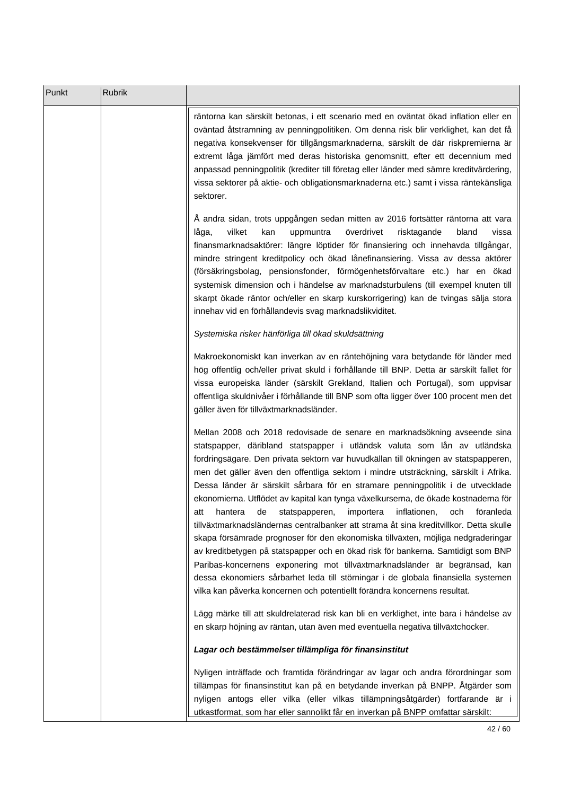| Punkt | <b>Rubrik</b> |                                                                                                                                                                                                                                                                                                                                                                                                                                                                                                                                                                                                                                                                                                                                                                                                                                                                                                                                                                                                                                                                                                                       |
|-------|---------------|-----------------------------------------------------------------------------------------------------------------------------------------------------------------------------------------------------------------------------------------------------------------------------------------------------------------------------------------------------------------------------------------------------------------------------------------------------------------------------------------------------------------------------------------------------------------------------------------------------------------------------------------------------------------------------------------------------------------------------------------------------------------------------------------------------------------------------------------------------------------------------------------------------------------------------------------------------------------------------------------------------------------------------------------------------------------------------------------------------------------------|
|       |               | räntorna kan särskilt betonas, i ett scenario med en oväntat ökad inflation eller en<br>oväntad åtstramning av penningpolitiken. Om denna risk blir verklighet, kan det få<br>negativa konsekvenser för tillgångsmarknaderna, särskilt de där riskpremierna är<br>extremt låga jämfört med deras historiska genomsnitt, efter ett decennium med<br>anpassad penningpolitik (krediter till företag eller länder med sämre kreditvärdering,<br>vissa sektorer på aktie- och obligationsmarknaderna etc.) samt i vissa räntekänsliga<br>sektorer.                                                                                                                                                                                                                                                                                                                                                                                                                                                                                                                                                                        |
|       |               | Å andra sidan, trots uppgången sedan mitten av 2016 fortsätter räntorna att vara<br>vilket<br>överdrivet<br>risktagande<br>kan<br>uppmuntra<br>bland<br>vissa<br>låga,<br>finansmarknadsaktörer: längre löptider för finansiering och innehavda tillgångar,<br>mindre stringent kreditpolicy och ökad lånefinansiering. Vissa av dessa aktörer<br>(försäkringsbolag, pensionsfonder, förmögenhetsförvaltare etc.) har en ökad<br>systemisk dimension och i händelse av marknadsturbulens (till exempel knuten till<br>skarpt ökade räntor och/eller en skarp kurskorrigering) kan de tvingas sälja stora<br>innehav vid en förhållandevis svag marknadslikviditet.                                                                                                                                                                                                                                                                                                                                                                                                                                                    |
|       |               | Systemiska risker hänförliga till ökad skuldsättning                                                                                                                                                                                                                                                                                                                                                                                                                                                                                                                                                                                                                                                                                                                                                                                                                                                                                                                                                                                                                                                                  |
|       |               | Makroekonomiskt kan inverkan av en räntehöjning vara betydande för länder med<br>hög offentlig och/eller privat skuld i förhållande till BNP. Detta är särskilt fallet för<br>vissa europeiska länder (särskilt Grekland, Italien och Portugal), som uppvisar<br>offentliga skuldnivåer i förhållande till BNP som ofta ligger över 100 procent men det<br>gäller även för tillväxtmarknadsländer.                                                                                                                                                                                                                                                                                                                                                                                                                                                                                                                                                                                                                                                                                                                    |
|       |               | Mellan 2008 och 2018 redovisade de senare en marknadsökning avseende sina<br>statspapper, däribland statspapper i utländsk valuta som lån av utländska<br>fordringsägare. Den privata sektorn var huvudkällan till ökningen av statspapperen,<br>men det gäller även den offentliga sektorn i mindre utsträckning, särskilt i Afrika.<br>Dessa länder är särskilt sårbara för en stramare penningpolitik i de utvecklade<br>ekonomierna. Utflödet av kapital kan tynga växelkurserna, de ökade kostnaderna för<br>statspapperen, importera inflationen,<br>och<br>föranleda<br>de<br>att<br>nantera<br>tillväxtmarknadsländernas centralbanker att strama åt sina kreditvillkor. Detta skulle<br>skapa försämrade prognoser för den ekonomiska tillväxten, möjliga nedgraderingar<br>av kreditbetygen på statspapper och en ökad risk för bankerna. Samtidigt som BNP<br>Paribas-koncernens exponering mot tillväxtmarknadsländer är begränsad, kan<br>dessa ekonomiers sårbarhet leda till störningar i de globala finansiella systemen<br>vilka kan påverka koncernen och potentiellt förändra koncernens resultat. |
|       |               | Lägg märke till att skuldrelaterad risk kan bli en verklighet, inte bara i händelse av<br>en skarp höjning av räntan, utan även med eventuella negativa tillväxtchocker.                                                                                                                                                                                                                                                                                                                                                                                                                                                                                                                                                                                                                                                                                                                                                                                                                                                                                                                                              |
|       |               | Lagar och bestämmelser tillämpliga för finansinstitut                                                                                                                                                                                                                                                                                                                                                                                                                                                                                                                                                                                                                                                                                                                                                                                                                                                                                                                                                                                                                                                                 |
|       |               | Nyligen inträffade och framtida förändringar av lagar och andra förordningar som<br>tillämpas för finansinstitut kan på en betydande inverkan på BNPP. Åtgärder som<br>nyligen antogs eller vilka (eller vilkas tillämpningsåtgärder) fortfarande är i<br>utkastformat, som har eller sannolikt får en inverkan på BNPP omfattar särskilt:                                                                                                                                                                                                                                                                                                                                                                                                                                                                                                                                                                                                                                                                                                                                                                            |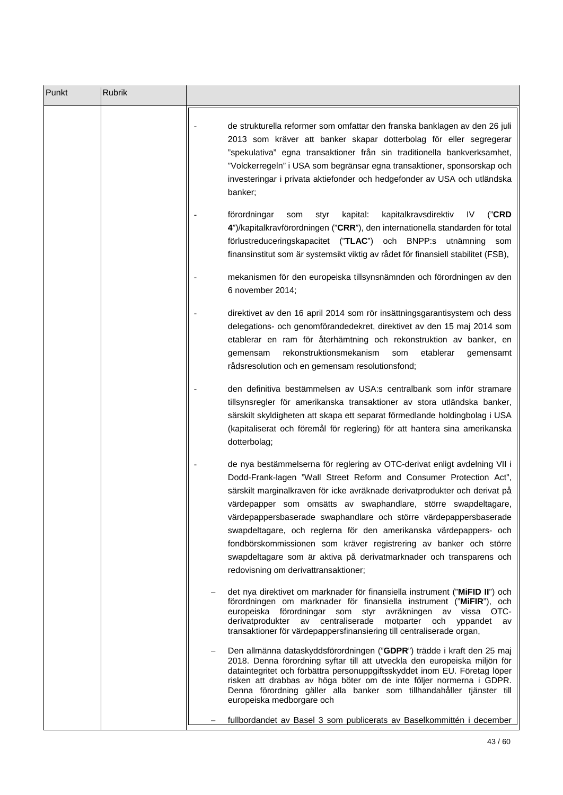| Punkt | Rubrik |                                                                                                                                                                                                                                                                                                                                                                                                                                                                                                                                                                                                                               |
|-------|--------|-------------------------------------------------------------------------------------------------------------------------------------------------------------------------------------------------------------------------------------------------------------------------------------------------------------------------------------------------------------------------------------------------------------------------------------------------------------------------------------------------------------------------------------------------------------------------------------------------------------------------------|
|       |        | de strukturella reformer som omfattar den franska banklagen av den 26 juli<br>2013 som kräver att banker skapar dotterbolag för eller segregerar<br>"spekulativa" egna transaktioner från sin traditionella bankverksamhet,<br>"Volckerregeln" i USA som begränsar egna transaktioner, sponsorskap och<br>investeringar i privata aktiefonder och hedgefonder av USA och utländska<br>banker;                                                                                                                                                                                                                                 |
|       |        | kapitalkravsdirektiv<br>("CRD<br>förordningar<br>kapital:<br>IV.<br>styr<br>som<br>4")/kapitalkravförordningen ("CRR"), den internationella standarden för total<br>förlustreduceringskapacitet ("TLAC") och BNPP:s utnämning som<br>finansinstitut som är systemsikt viktig av rådet för finansiell stabilitet (FSB),                                                                                                                                                                                                                                                                                                        |
|       |        | mekanismen för den europeiska tillsynsnämnden och förordningen av den<br>6 november 2014;                                                                                                                                                                                                                                                                                                                                                                                                                                                                                                                                     |
|       |        | direktivet av den 16 april 2014 som rör insättningsgarantisystem och dess<br>delegations- och genomförandedekret, direktivet av den 15 maj 2014 som<br>etablerar en ram för återhämtning och rekonstruktion av banker, en<br>rekonstruktionsmekanism<br>som<br>etablerar<br>gemensam<br>gemensamt<br>rådsresolution och en gemensam resolutionsfond;                                                                                                                                                                                                                                                                          |
|       |        | den definitiva bestämmelsen av USA:s centralbank som inför stramare<br>tillsynsregler för amerikanska transaktioner av stora utländska banker,<br>särskilt skyldigheten att skapa ett separat förmedlande holdingbolag i USA<br>(kapitaliserat och föremål för reglering) för att hantera sina amerikanska<br>dotterbolag;                                                                                                                                                                                                                                                                                                    |
|       |        | de nya bestämmelserna för reglering av OTC-derivat enligt avdelning VII i<br>Dodd-Frank-lagen "Wall Street Reform and Consumer Protection Act",<br>särskilt marginalkraven för icke avräknade derivatprodukter och derivat på<br>värdepapper som omsätts av swaphandlare, större swapdeltagare,<br>värdepappersbaserade swaphandlare och större värdepappersbaserade<br>swapdeltagare, och reglerna för den amerikanska värdepappers- och<br>fondbörskommissionen som kräver registrering av banker och större<br>swapdeltagare som är aktiva på derivatmarknader och transparens och<br>redovisning om derivattransaktioner; |
|       |        | det nya direktivet om marknader för finansiella instrument ("MiFID II") och<br>förordningen om marknader för finansiella instrument ("MiFIR"), och<br>europeiska förordningar som styr avräkningen av vissa OTC-<br>derivatprodukter av centraliserade motparter och yppandet av<br>transaktioner för värdepappersfinansiering till centraliserade organ,                                                                                                                                                                                                                                                                     |
|       |        | Den allmänna dataskyddsförordningen ("GDPR") trädde i kraft den 25 maj<br>2018. Denna förordning syftar till att utveckla den europeiska miljön för<br>dataintegritet och förbättra personuppgiftsskyddet inom EU. Företag löper<br>risken att drabbas av höga böter om de inte följer normerna i GDPR.<br>Denna förordning gäller alla banker som tillhandahåller tjänster till<br>europeiska medborgare och                                                                                                                                                                                                                 |
|       |        | fullbordandet av Basel 3 som publicerats av Baselkommittén i december                                                                                                                                                                                                                                                                                                                                                                                                                                                                                                                                                         |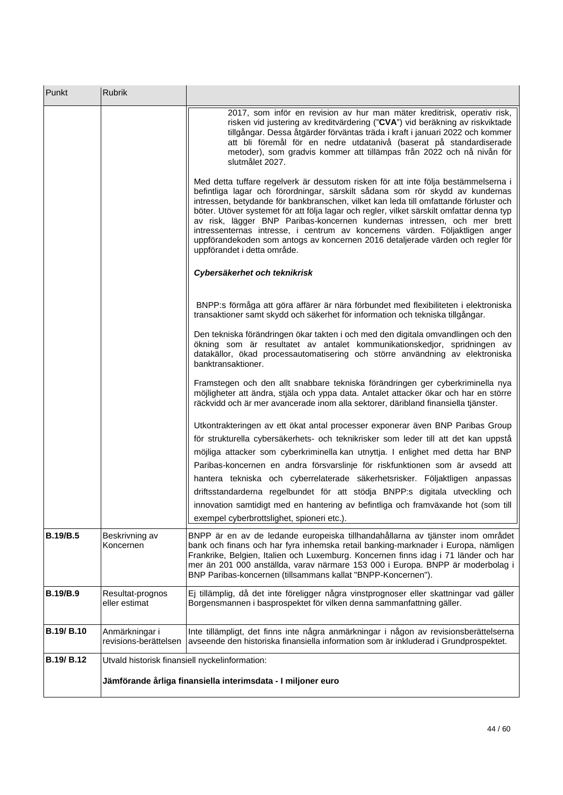| Punkt             | <b>Rubrik</b>                                  |                                                                                                                                                                                                                                                                                                                                                                                                                                                                                                                                                                                                                                        |
|-------------------|------------------------------------------------|----------------------------------------------------------------------------------------------------------------------------------------------------------------------------------------------------------------------------------------------------------------------------------------------------------------------------------------------------------------------------------------------------------------------------------------------------------------------------------------------------------------------------------------------------------------------------------------------------------------------------------------|
|                   |                                                | 2017, som inför en revision av hur man mäter kreditrisk, operativ risk,<br>risken vid justering av kreditvärdering ("CVA") vid beräkning av riskviktade<br>tillgångar. Dessa åtgärder förväntas träda i kraft i januari 2022 och kommer<br>att bli föremål för en nedre utdatanivå (baserat på standardiserade<br>metoder), som gradvis kommer att tillämpas från 2022 och nå nivån för<br>slutmålet 2027.                                                                                                                                                                                                                             |
|                   |                                                | Med detta tuffare regelverk är dessutom risken för att inte följa bestämmelserna i<br>befintliga lagar och förordningar, särskilt sådana som rör skydd av kundernas<br>intressen, betydande för bankbranschen, vilket kan leda till omfattande förluster och<br>böter. Utöver systemet för att följa lagar och regler, vilket särskilt omfattar denna typ<br>av risk, lägger BNP Paribas-koncernen kundernas intressen, och mer brett<br>intressenternas intresse, i centrum av koncernens värden. Följaktligen anger<br>uppförandekoden som antogs av koncernen 2016 detaljerade värden och regler för<br>uppförandet i detta område. |
|                   |                                                | Cybersäkerhet och teknikrisk                                                                                                                                                                                                                                                                                                                                                                                                                                                                                                                                                                                                           |
|                   |                                                | BNPP:s förmåga att göra affärer är nära förbundet med flexibiliteten i elektroniska<br>transaktioner samt skydd och säkerhet för information och tekniska tillgångar.                                                                                                                                                                                                                                                                                                                                                                                                                                                                  |
|                   |                                                | Den tekniska förändringen ökar takten i och med den digitala omvandlingen och den<br>ökning som är resultatet av antalet kommunikationskedjor, spridningen av<br>datakällor, ökad processautomatisering och större användning av elektroniska<br>banktransaktioner.                                                                                                                                                                                                                                                                                                                                                                    |
|                   |                                                | Framstegen och den allt snabbare tekniska förändringen ger cyberkriminella nya<br>möjligheter att ändra, stjäla och yppa data. Antalet attacker ökar och har en större<br>räckvidd och är mer avancerade inom alla sektorer, däribland finansiella tjänster.                                                                                                                                                                                                                                                                                                                                                                           |
|                   |                                                | Utkontrakteringen av ett ökat antal processer exponerar även BNP Paribas Group                                                                                                                                                                                                                                                                                                                                                                                                                                                                                                                                                         |
|                   |                                                | för strukturella cybersäkerhets- och teknikrisker som leder till att det kan uppstå                                                                                                                                                                                                                                                                                                                                                                                                                                                                                                                                                    |
|                   |                                                | möjliga attacker som cyberkriminella kan utnyttja. I enlighet med detta har BNP                                                                                                                                                                                                                                                                                                                                                                                                                                                                                                                                                        |
|                   |                                                | Paribas-koncernen en andra försvarslinje för riskfunktionen som är avsedd att                                                                                                                                                                                                                                                                                                                                                                                                                                                                                                                                                          |
|                   |                                                | hantera tekniska och cyberrelaterade säkerhetsrisker. Följaktligen anpassas<br>driftsstandarderna regelbundet för att stödja BNPP:s digitala utveckling och                                                                                                                                                                                                                                                                                                                                                                                                                                                                            |
|                   |                                                | innovation samtidigt med en hantering av befintliga och framväxande hot (som till<br>exempel cyberbrottslighet, spioneri etc.).                                                                                                                                                                                                                                                                                                                                                                                                                                                                                                        |
| <b>B.19/B.5</b>   | Beskrivning av<br>Koncernen                    | BNPP är en av de ledande europeiska tillhandahållarna av tjänster inom området<br>bank och finans och har fyra inhemska retail banking-marknader i Europa, nämligen<br>Frankrike, Belgien, Italien och Luxemburg. Koncernen finns idag i 71 länder och har<br>mer än 201 000 anställda, varav närmare 153 000 i Europa. BNPP är moderbolag i<br>BNP Paribas-koncernen (tillsammans kallat "BNPP-Koncernen").                                                                                                                                                                                                                           |
| <b>B.19/B.9</b>   | Resultat-prognos<br>eller estimat              | Ej tillämplig, då det inte föreligger några vinstprognoser eller skattningar vad gäller<br>Borgensmannen i basprospektet för vilken denna sammanfattning gäller.                                                                                                                                                                                                                                                                                                                                                                                                                                                                       |
| B.19/B.10         | Anmärkningar i<br>revisions-berättelsen        | Inte tillämpligt, det finns inte några anmärkningar i någon av revisionsberättelserna<br>avseende den historiska finansiella information som är inkluderad i Grundprospektet.                                                                                                                                                                                                                                                                                                                                                                                                                                                          |
| <b>B.19/ B.12</b> | Utvald historisk finansiell nyckelinformation: |                                                                                                                                                                                                                                                                                                                                                                                                                                                                                                                                                                                                                                        |
|                   |                                                | Jämförande årliga finansiella interimsdata - I miljoner euro                                                                                                                                                                                                                                                                                                                                                                                                                                                                                                                                                                           |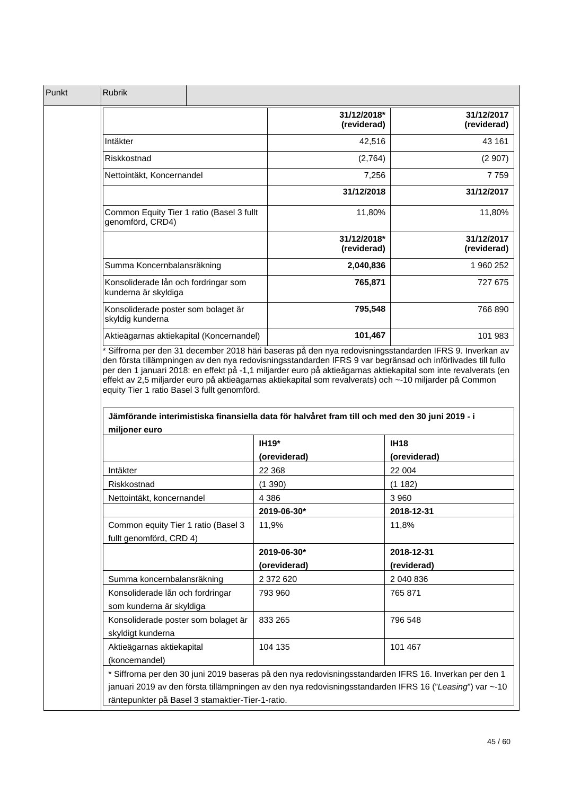| Punkt | <b>Rubrik</b>                                                 |                            |                           |
|-------|---------------------------------------------------------------|----------------------------|---------------------------|
|       |                                                               | 31/12/2018*<br>(reviderad) | 31/12/2017<br>(reviderad) |
|       | Intäkter                                                      | 42,516                     | 43 161                    |
|       | Riskkostnad                                                   | (2,764)                    | (2907)                    |
|       | Nettointäkt, Koncernandel                                     | 7,256                      | 7759                      |
|       |                                                               | 31/12/2018                 | 31/12/2017                |
|       | Common Equity Tier 1 ratio (Basel 3 fullt<br>genomförd, CRD4) | 11,80%                     | 11,80%                    |
|       |                                                               | 31/12/2018*<br>(reviderad) | 31/12/2017<br>(reviderad) |
|       | Summa Koncernbalansräkning                                    | 2,040,836                  | 1 960 252                 |
|       | Konsoliderade lån och fordringar som<br>kunderna är skyldiga  | 765,871                    | 727 675                   |
|       | Konsoliderade poster som bolaget är<br>skyldig kunderna       | 795,548                    | 766 890                   |
|       | Aktieägarnas aktiekapital (Koncernandel)                      | 101,467                    | 101 983                   |

effekt av 2,5 miljarder euro på aktieägarnas aktiekapital som revalverats) och ~-10 miljarder på Common equity Tier 1 ratio Basel 3 fullt genomförd.

| miljoner euro                                                  | IH19*        | <b>IH18</b>                                                                                                                                                                                                       |
|----------------------------------------------------------------|--------------|-------------------------------------------------------------------------------------------------------------------------------------------------------------------------------------------------------------------|
|                                                                | (oreviderad) | (oreviderad)                                                                                                                                                                                                      |
| Intäkter                                                       | 22 3 68      | 22 004                                                                                                                                                                                                            |
| Riskkostnad                                                    | (1390)       | (1182)                                                                                                                                                                                                            |
| Nettointäkt, koncernandel                                      | 4 3 8 6      | 3 9 6 0                                                                                                                                                                                                           |
|                                                                | 2019-06-30*  | 2018-12-31                                                                                                                                                                                                        |
| Common equity Tier 1 ratio (Basel 3<br>fullt genomförd, CRD 4) | 11.9%        | 11,8%                                                                                                                                                                                                             |
|                                                                | 2019-06-30*  | 2018-12-31                                                                                                                                                                                                        |
|                                                                | (oreviderad) | (reviderad)                                                                                                                                                                                                       |
| Summa koncernbalansräkning                                     | 2 372 620    | 2 040 836                                                                                                                                                                                                         |
| Konsoliderade lån och fordringar<br>som kunderna är skyldiga   | 793 960      | 765 871                                                                                                                                                                                                           |
| Konsoliderade poster som bolaget är<br>skyldigt kunderna       | 833 265      | 796 548                                                                                                                                                                                                           |
| Aktieägarnas aktiekapital<br>(koncernandel)                    | 104 135      | 101 467                                                                                                                                                                                                           |
| räntepunkter på Basel 3 stamaktier-Tier-1-ratio.               |              | * Siffrorna per den 30 juni 2019 baseras på den nya redovisningsstandarden IFRS 16. Inverkan per den 1<br>januari 2019 av den första tillämpningen av den nya redovisningsstandarden IFRS 16 ("Leasing") var ~-10 |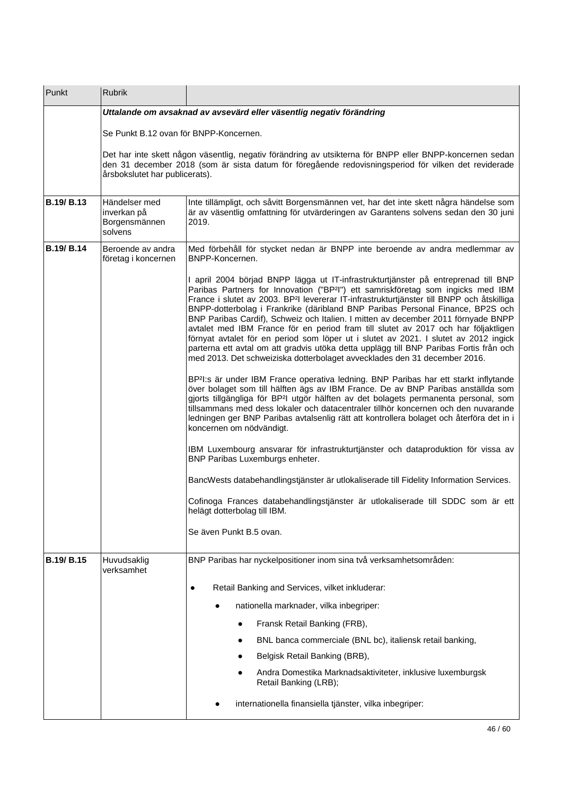| Punkt             | Rubrik                                                               |                                                                                                                                                                                                                                                                                                                                                                                                                                                                                                                                                                                                                                                                                                                                                                                                                          |  |  |
|-------------------|----------------------------------------------------------------------|--------------------------------------------------------------------------------------------------------------------------------------------------------------------------------------------------------------------------------------------------------------------------------------------------------------------------------------------------------------------------------------------------------------------------------------------------------------------------------------------------------------------------------------------------------------------------------------------------------------------------------------------------------------------------------------------------------------------------------------------------------------------------------------------------------------------------|--|--|
|                   | Uttalande om avsaknad av avsevärd eller väsentlig negativ förändring |                                                                                                                                                                                                                                                                                                                                                                                                                                                                                                                                                                                                                                                                                                                                                                                                                          |  |  |
|                   | Se Punkt B.12 ovan för BNPP-Koncernen.                               |                                                                                                                                                                                                                                                                                                                                                                                                                                                                                                                                                                                                                                                                                                                                                                                                                          |  |  |
|                   | årsbokslutet har publicerats).                                       | Det har inte skett någon väsentlig, negativ förändring av utsikterna för BNPP eller BNPP-koncernen sedan<br>den 31 december 2018 (som är sista datum för föregående redovisningsperiod för vilken det reviderade                                                                                                                                                                                                                                                                                                                                                                                                                                                                                                                                                                                                         |  |  |
| B.19/B.13         | Händelser med<br>inverkan på<br>Borgensmännen<br>solvens             | Inte tillämpligt, och såvitt Borgensmännen vet, har det inte skett några händelse som<br>är av väsentlig omfattning för utvärderingen av Garantens solvens sedan den 30 juni<br>2019.                                                                                                                                                                                                                                                                                                                                                                                                                                                                                                                                                                                                                                    |  |  |
| <b>B.19/ B.14</b> | Beroende av andra<br>företag i koncernen                             | Med förbehåll för stycket nedan är BNPP inte beroende av andra medlemmar av<br>BNPP-Koncernen.                                                                                                                                                                                                                                                                                                                                                                                                                                                                                                                                                                                                                                                                                                                           |  |  |
|                   |                                                                      | I april 2004 börjad BNPP lägga ut IT-infrastrukturtjänster på entreprenad till BNP<br>Paribas Partners for Innovation ("BP <sup>2</sup> I") ett samriskföretag som ingicks med IBM<br>France i slutet av 2003. BP <sup>2</sup> l levererar IT-infrastrukturtjänster till BNPP och åtskilliga<br>BNPP-dotterbolag i Frankrike (däribland BNP Paribas Personal Finance, BP2S och<br>BNP Paribas Cardif), Schweiz och Italien. I mitten av december 2011 förnyade BNPP<br>avtalet med IBM France för en period fram till slutet av 2017 och har följaktligen<br>förnyat avtalet för en period som löper ut i slutet av 2021. I slutet av 2012 ingick<br>parterna ett avtal om att gradvis utöka detta upplägg till BNP Paribas Fortis från och<br>med 2013. Det schweiziska dotterbolaget avvecklades den 31 december 2016. |  |  |
|                   |                                                                      | BP <sup>2</sup> I:s är under IBM France operativa ledning. BNP Paribas har ett starkt inflytande<br>över bolaget som till hälften ägs av IBM France. De av BNP Paribas anställda som<br>gjorts tillgängliga för BP <sup>2</sup> I utgör hälften av det bolagets permanenta personal, som<br>tillsammans med dess lokaler och datacentraler tillhör koncernen och den nuvarande<br>ledningen ger BNP Paribas avtalsenlig rätt att kontrollera bolaget och återföra det in i<br>koncernen om nödvändigt.                                                                                                                                                                                                                                                                                                                   |  |  |
|                   |                                                                      | IBM Luxembourg ansvarar för infrastrukturtjänster och dataproduktion för vissa av<br>BNP Paribas Luxemburgs enheter.                                                                                                                                                                                                                                                                                                                                                                                                                                                                                                                                                                                                                                                                                                     |  |  |
|                   |                                                                      | BancWests databehandlingstjänster är utlokaliserade till Fidelity Information Services.                                                                                                                                                                                                                                                                                                                                                                                                                                                                                                                                                                                                                                                                                                                                  |  |  |
|                   |                                                                      | Cofinoga Frances databehandlingstjänster är utlokaliserade till SDDC som är ett<br>helägt dotterbolag till IBM.                                                                                                                                                                                                                                                                                                                                                                                                                                                                                                                                                                                                                                                                                                          |  |  |
|                   |                                                                      | Se även Punkt B.5 ovan.                                                                                                                                                                                                                                                                                                                                                                                                                                                                                                                                                                                                                                                                                                                                                                                                  |  |  |
| B.19/B.15         | Huvudsaklig<br>verksamhet                                            | BNP Paribas har nyckelpositioner inom sina två verksamhetsområden:                                                                                                                                                                                                                                                                                                                                                                                                                                                                                                                                                                                                                                                                                                                                                       |  |  |
|                   |                                                                      | Retail Banking and Services, vilket inkluderar:<br>٠                                                                                                                                                                                                                                                                                                                                                                                                                                                                                                                                                                                                                                                                                                                                                                     |  |  |
|                   |                                                                      | nationella marknader, vilka inbegriper:<br>$\bullet$                                                                                                                                                                                                                                                                                                                                                                                                                                                                                                                                                                                                                                                                                                                                                                     |  |  |
|                   |                                                                      | Fransk Retail Banking (FRB),                                                                                                                                                                                                                                                                                                                                                                                                                                                                                                                                                                                                                                                                                                                                                                                             |  |  |
|                   |                                                                      | BNL banca commerciale (BNL bc), italiensk retail banking,                                                                                                                                                                                                                                                                                                                                                                                                                                                                                                                                                                                                                                                                                                                                                                |  |  |
|                   |                                                                      | Belgisk Retail Banking (BRB),                                                                                                                                                                                                                                                                                                                                                                                                                                                                                                                                                                                                                                                                                                                                                                                            |  |  |
|                   |                                                                      | Andra Domestika Marknadsaktiviteter, inklusive luxemburgsk<br>Retail Banking (LRB);                                                                                                                                                                                                                                                                                                                                                                                                                                                                                                                                                                                                                                                                                                                                      |  |  |
|                   |                                                                      | internationella finansiella tjänster, vilka inbegriper:                                                                                                                                                                                                                                                                                                                                                                                                                                                                                                                                                                                                                                                                                                                                                                  |  |  |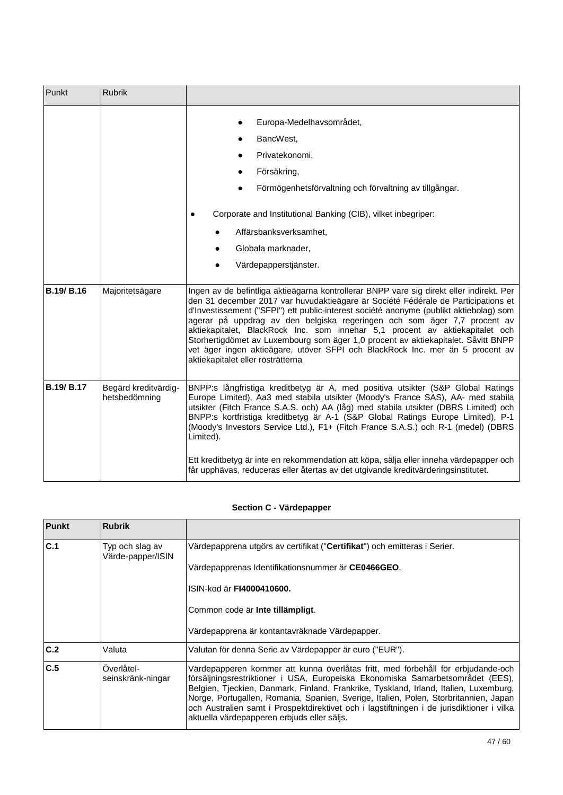| Punkt             | <b>Rubrik</b>                         |                                                                                                                                                                                                                                                                                                                                                                                                                                                                                                                                                                                                                                                |
|-------------------|---------------------------------------|------------------------------------------------------------------------------------------------------------------------------------------------------------------------------------------------------------------------------------------------------------------------------------------------------------------------------------------------------------------------------------------------------------------------------------------------------------------------------------------------------------------------------------------------------------------------------------------------------------------------------------------------|
|                   |                                       | Europa-Medelhavsområdet,<br>$\bullet$<br>BancWest,<br>$\bullet$<br>Privatekonomi,<br>$\bullet$<br>Försäkring,<br>$\bullet$<br>Förmögenhetsförvaltning och förvaltning av tillgångar.<br>Corporate and Institutional Banking (CIB), vilket inbegriper:<br>$\bullet$<br>Affärsbanksverksamhet,<br>Globala marknader,<br>Värdepapperstjänster.                                                                                                                                                                                                                                                                                                    |
| <b>B.19/ B.16</b> | Majoritetsägare                       | Ingen av de befintliga aktieägarna kontrollerar BNPP vare sig direkt eller indirekt. Per<br>den 31 december 2017 var huvudaktieägare är Société Fédérale de Participations et<br>d'Investissement ("SFPI") ett public-interest société anonyme (publikt aktiebolag) som<br>agerar på uppdrag av den belgiska regeringen och som äger 7,7 procent av<br>aktiekapitalet, BlackRock Inc. som innehar 5,1 procent av aktiekapitalet och<br>Storhertigdömet av Luxembourg som äger 1,0 procent av aktiekapitalet. Såvitt BNPP<br>vet äger ingen aktieägare, utöver SFPI och BlackRock Inc. mer än 5 procent av<br>aktiekapitalet eller rösträtterna |
| <b>B.19/ B.17</b> | Begärd kreditvärdig-<br>hetsbedömning | BNPP:s långfristiga kreditbetyg är A, med positiva utsikter (S&P Global Ratings<br>Europe Limited), Aa3 med stabila utsikter (Moody's France SAS), AA- med stabila<br>utsikter (Fitch France S.A.S. och) AA (låg) med stabila utsikter (DBRS Limited) och<br>BNPP:s kortfristiga kreditbetyg är A-1 (S&P Global Ratings Europe Limited), P-1<br>(Moody's Investors Service Ltd.), F1+ (Fitch France S.A.S.) och R-1 (medel) (DBRS<br>Limited).<br>Ett kreditbetyg är inte en rekommendation att köpa, sälja eller inneha värdepapper och<br>får upphävas, reduceras eller återtas av det utgivande kreditvärderingsinstitutet.                 |

# **Section C - Värdepapper**

| <b>Punkt</b> | <b>Rubrik</b>                        |                                                                                                                                                                                                                                                                                                                                                                                                                                                                                                 |
|--------------|--------------------------------------|-------------------------------------------------------------------------------------------------------------------------------------------------------------------------------------------------------------------------------------------------------------------------------------------------------------------------------------------------------------------------------------------------------------------------------------------------------------------------------------------------|
| C.1          | Typ och slag av<br>Värde-papper/ISIN | Värdepapprena utgörs av certifikat (" <b>Certifikat</b> ") och emitteras i Serier.                                                                                                                                                                                                                                                                                                                                                                                                              |
|              |                                      | Värdepapprenas Identifikationsnummer är CE0466GEO.                                                                                                                                                                                                                                                                                                                                                                                                                                              |
|              |                                      | ISIN-kod är FI4000410600.                                                                                                                                                                                                                                                                                                                                                                                                                                                                       |
|              |                                      | Common code är Inte tillämpligt.                                                                                                                                                                                                                                                                                                                                                                                                                                                                |
|              |                                      | Värdepapprena är kontantavräknade Värdepapper.                                                                                                                                                                                                                                                                                                                                                                                                                                                  |
| C.2          | Valuta                               | Valutan för denna Serie av Värdepapper är euro ("EUR").                                                                                                                                                                                                                                                                                                                                                                                                                                         |
| C.5          | Overlåtel-<br>seinskränk-ningar      | Värdepapperen kommer att kunna överlåtas fritt, med förbehåll för erbjudande-och<br>försäljningsrestriktioner i USA, Europeiska Ekonomiska Samarbetsområdet (EES),<br>Belgien, Tjeckien, Danmark, Finland, Frankrike, Tyskland, Irland, Italien, Luxemburg,<br>Norge, Portugallen, Romania, Spanien, Sverige, Italien, Polen, Storbritannien, Japan<br>och Australien samt i Prospektdirektivet och i lagstiftningen i de jurisdiktioner i vilka<br>aktuella värdepapperen erbjuds eller säljs. |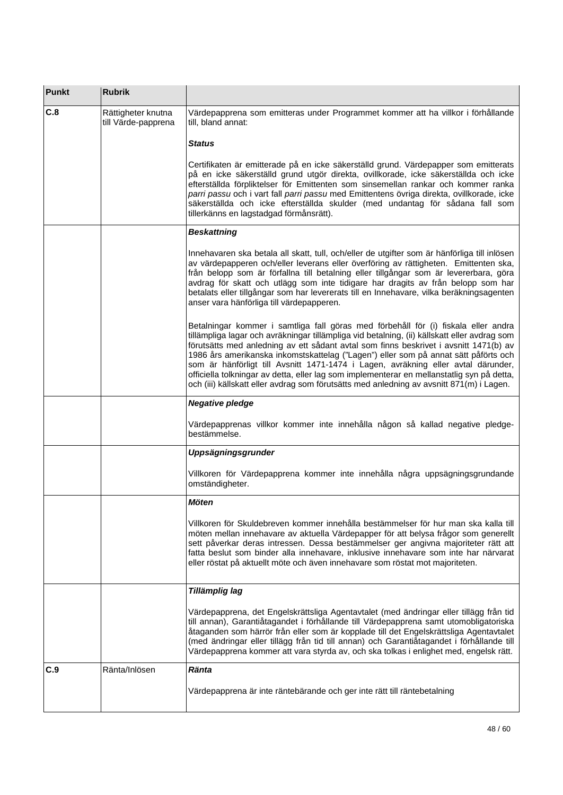| <b>Punkt</b> | <b>Rubrik</b>                             |                                                                                                                                                                                                                                                                                                                                                                                                                                                                                                                                                                                                                                                   |
|--------------|-------------------------------------------|---------------------------------------------------------------------------------------------------------------------------------------------------------------------------------------------------------------------------------------------------------------------------------------------------------------------------------------------------------------------------------------------------------------------------------------------------------------------------------------------------------------------------------------------------------------------------------------------------------------------------------------------------|
| C.8          | Rättigheter knutna<br>till Värde-papprena | Värdepapprena som emitteras under Programmet kommer att ha villkor i förhållande<br>till, bland annat:                                                                                                                                                                                                                                                                                                                                                                                                                                                                                                                                            |
|              |                                           | <b>Status</b>                                                                                                                                                                                                                                                                                                                                                                                                                                                                                                                                                                                                                                     |
|              |                                           | Certifikaten är emitterade på en icke säkerställd grund. Värdepapper som emitterats<br>på en icke säkerställd grund utgör direkta, ovillkorade, icke säkerställda och icke<br>efterställda förpliktelser för Emittenten som sinsemellan rankar och kommer ranka<br>parri passu och i vart fall parri passu med Emittentens övriga direkta, ovillkorade, icke<br>säkerställda och icke efterställda skulder (med undantag för sådana fall som<br>tillerkänns en lagstadgad förmånsrätt).                                                                                                                                                           |
|              |                                           | <b>Beskattning</b>                                                                                                                                                                                                                                                                                                                                                                                                                                                                                                                                                                                                                                |
|              |                                           | Innehavaren ska betala all skatt, tull, och/eller de utgifter som är hänförliga till inlösen<br>av värdepapperen och/eller leverans eller överföring av rättigheten. Emittenten ska,<br>från belopp som är förfallna till betalning eller tillgångar som är levererbara, göra<br>avdrag för skatt och utlägg som inte tidigare har dragits av från belopp som har<br>betalats eller tillgångar som har levererats till en Innehavare, vilka beräkningsagenten<br>anser vara hänförliga till värdepapperen.                                                                                                                                        |
|              |                                           | Betalningar kommer i samtliga fall göras med förbehåll för (i) fiskala eller andra<br>tillämpliga lagar och avräkningar tillämpliga vid betalning, (ii) källskatt eller avdrag som<br>förutsätts med anledning av ett sådant avtal som finns beskrivet i avsnitt 1471(b) av<br>1986 års amerikanska inkomstskattelag ("Lagen") eller som på annat sätt påförts och<br>som är hänförligt till Avsnitt 1471-1474 i Lagen, avräkning eller avtal därunder,<br>officiella tolkningar av detta, eller lag som implementerar en mellanstatlig syn på detta,<br>och (iii) källskatt eller avdrag som förutsätts med anledning av avsnitt 871(m) i Lagen. |
|              |                                           | <b>Negative pledge</b>                                                                                                                                                                                                                                                                                                                                                                                                                                                                                                                                                                                                                            |
|              |                                           | Värdepapprenas villkor kommer inte innehålla någon så kallad negative pledge-<br>bestämmelse.                                                                                                                                                                                                                                                                                                                                                                                                                                                                                                                                                     |
|              |                                           | Uppsägningsgrunder                                                                                                                                                                                                                                                                                                                                                                                                                                                                                                                                                                                                                                |
|              |                                           | Villkoren för Värdepapprena kommer inte innehålla några uppsägningsgrundande<br>omständigheter.                                                                                                                                                                                                                                                                                                                                                                                                                                                                                                                                                   |
|              |                                           | <b>Möten</b>                                                                                                                                                                                                                                                                                                                                                                                                                                                                                                                                                                                                                                      |
|              |                                           | Villkoren för Skuldebreven kommer innehålla bestämmelser för hur man ska kalla till<br>möten mellan innehavare av aktuella Värdepapper för att belysa frågor som generellt<br>sett påverkar deras intressen. Dessa bestämmelser ger angivna majoriteter rätt att<br>fatta beslut som binder alla innehavare, inklusive innehavare som inte har närvarat<br>eller röstat på aktuellt möte och även innehavare som röstat mot majoriteten.                                                                                                                                                                                                          |
|              |                                           | Tillämplig lag                                                                                                                                                                                                                                                                                                                                                                                                                                                                                                                                                                                                                                    |
|              |                                           | Värdepapprena, det Engelskrättsliga Agentavtalet (med ändringar eller tillägg från tid<br>till annan), Garantiåtagandet i förhållande till Värdepapprena samt utomobligatoriska<br>åtaganden som härrör från eller som är kopplade till det Engelskrättsliga Agentavtalet<br>(med ändringar eller tillägg från tid till annan) och Garantiåtagandet i förhållande till<br>Värdepapprena kommer att vara styrda av, och ska tolkas i enlighet med, engelsk rätt.                                                                                                                                                                                   |
| C.9          | Ränta/Inlösen                             | <b>Ränta</b>                                                                                                                                                                                                                                                                                                                                                                                                                                                                                                                                                                                                                                      |
|              |                                           | Värdepapprena är inte räntebärande och ger inte rätt till räntebetalning                                                                                                                                                                                                                                                                                                                                                                                                                                                                                                                                                                          |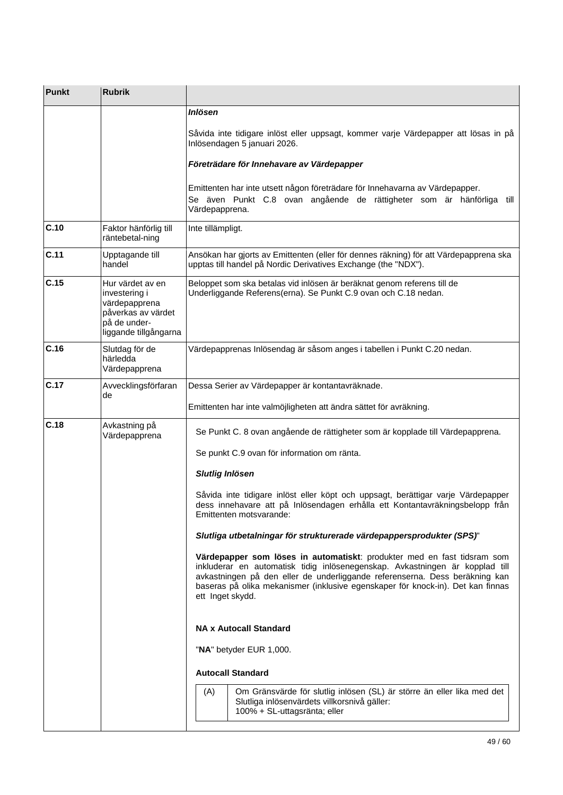| <b>Punkt</b> | <b>Rubrik</b>                                                                                                     |                                                                                                                                                                                                                                                                                                                                               |  |  |
|--------------|-------------------------------------------------------------------------------------------------------------------|-----------------------------------------------------------------------------------------------------------------------------------------------------------------------------------------------------------------------------------------------------------------------------------------------------------------------------------------------|--|--|
|              |                                                                                                                   | <b>Inlösen</b>                                                                                                                                                                                                                                                                                                                                |  |  |
|              |                                                                                                                   | Såvida inte tidigare inlöst eller uppsagt, kommer varje Värdepapper att lösas in på<br>Inlösendagen 5 januari 2026.                                                                                                                                                                                                                           |  |  |
|              |                                                                                                                   | Företrädare för Innehavare av Värdepapper                                                                                                                                                                                                                                                                                                     |  |  |
|              |                                                                                                                   | Emittenten har inte utsett någon företrädare för Innehavarna av Värdepapper.<br>Se även Punkt C.8 ovan angående de rättigheter som är hänförliga till<br>Värdepapprena.                                                                                                                                                                       |  |  |
| C.10         | Faktor hänförlig till<br>räntebetal-ning                                                                          | Inte tillämpligt.                                                                                                                                                                                                                                                                                                                             |  |  |
| C.11         | Upptagande till<br>handel                                                                                         | Ansökan har gjorts av Emittenten (eller för dennes räkning) för att Värdepapprena ska<br>upptas till handel på Nordic Derivatives Exchange (the "NDX").                                                                                                                                                                                       |  |  |
| C.15         | Hur värdet av en<br>investering i<br>värdepapprena<br>påverkas av värdet<br>på de under-<br>liggande tillgångarna | Beloppet som ska betalas vid inlösen är beräknat genom referens till de<br>Underliggande Referens(erna). Se Punkt C.9 ovan och C.18 nedan.                                                                                                                                                                                                    |  |  |
| C.16         | Slutdag för de<br>härledda<br>Värdepapprena                                                                       | Värdepapprenas Inlösendag är såsom anges i tabellen i Punkt C.20 nedan.                                                                                                                                                                                                                                                                       |  |  |
| C.17         | Avvecklingsförfaran<br>de                                                                                         | Dessa Serier av Värdepapper är kontantavräknade.                                                                                                                                                                                                                                                                                              |  |  |
|              |                                                                                                                   | Emittenten har inte valmöjligheten att ändra sättet för avräkning.                                                                                                                                                                                                                                                                            |  |  |
| C.18         | Avkastning på<br>Värdepapprena                                                                                    | Se Punkt C. 8 ovan angående de rättigheter som är kopplade till Värdepapprena.                                                                                                                                                                                                                                                                |  |  |
|              |                                                                                                                   | Se punkt C.9 ovan för information om ränta.                                                                                                                                                                                                                                                                                                   |  |  |
|              |                                                                                                                   | <b>Slutlig Inlösen</b>                                                                                                                                                                                                                                                                                                                        |  |  |
|              |                                                                                                                   | Såvida inte tidigare inlöst eller köpt och uppsagt, berättigar varje Värdepapper<br>dess innehavare att på Inlösendagen erhålla ett Kontantavräkningsbelopp från<br>Emittenten motsvarande:                                                                                                                                                   |  |  |
|              |                                                                                                                   | Slutliga utbetalningar för strukturerade värdepappersprodukter (SPS)"                                                                                                                                                                                                                                                                         |  |  |
|              |                                                                                                                   | Värdepapper som löses in automatiskt: produkter med en fast tidsram som<br>inkluderar en automatisk tidig inlösenegenskap. Avkastningen är kopplad till<br>avkastningen på den eller de underliggande referenserna. Dess beräkning kan<br>baseras på olika mekanismer (inklusive egenskaper för knock-in). Det kan finnas<br>ett Inget skydd. |  |  |
|              |                                                                                                                   | <b>NA x Autocall Standard</b>                                                                                                                                                                                                                                                                                                                 |  |  |
|              |                                                                                                                   | "NA" betyder EUR 1,000.                                                                                                                                                                                                                                                                                                                       |  |  |
|              |                                                                                                                   | <b>Autocall Standard</b>                                                                                                                                                                                                                                                                                                                      |  |  |
|              |                                                                                                                   | Om Gränsvärde för slutlig inlösen (SL) är större än eller lika med det<br>(A)<br>Slutliga inlösenvärdets villkorsnivå gäller:<br>100% + SL-uttagsränta; eller                                                                                                                                                                                 |  |  |
|              |                                                                                                                   |                                                                                                                                                                                                                                                                                                                                               |  |  |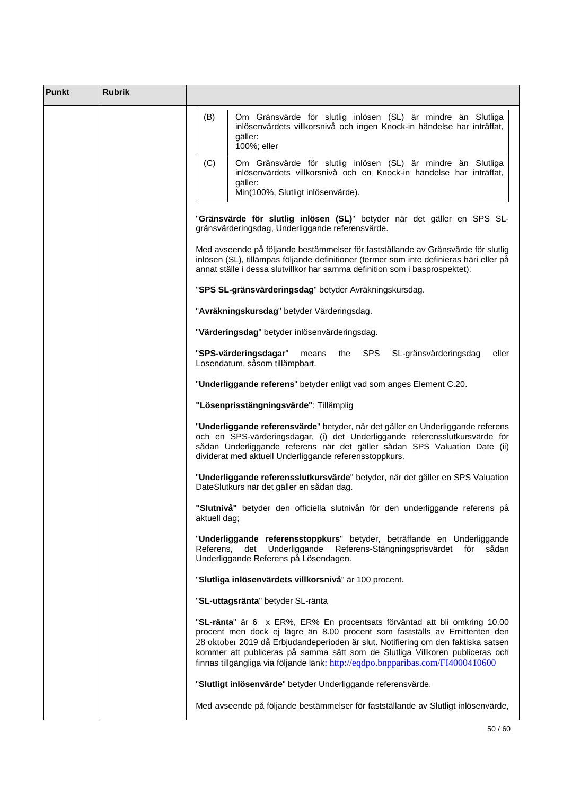| <b>Punkt</b> | <b>Rubrik</b> |                                                                                                                                                                                                                                                                                                                                                                                                                 |
|--------------|---------------|-----------------------------------------------------------------------------------------------------------------------------------------------------------------------------------------------------------------------------------------------------------------------------------------------------------------------------------------------------------------------------------------------------------------|
|              |               | Om Gränsvärde för slutlig inlösen (SL) är mindre än Slutliga<br>(B)<br>inlösenvärdets villkorsnivå och ingen Knock-in händelse har inträffat,<br>gäller:<br>100%; eller                                                                                                                                                                                                                                         |
|              |               | Om Gränsvärde för slutlig inlösen (SL) är mindre än Slutliga<br>(C)<br>inlösenvärdets villkorsnivå och en Knock-in händelse har inträffat,<br>gäller:<br>Min(100%, Slutligt inlösenvärde).                                                                                                                                                                                                                      |
|              |               | "Gränsvärde för slutlig inlösen (SL)" betyder när det gäller en SPS SL-<br>gränsvärderingsdag, Underliggande referensvärde.                                                                                                                                                                                                                                                                                     |
|              |               | Med avseende på följande bestämmelser för fastställande av Gränsvärde för slutlig<br>inlösen (SL), tillämpas följande definitioner (termer som inte definieras häri eller på<br>annat ställe i dessa slutvillkor har samma definition som i basprospektet):                                                                                                                                                     |
|              |               | "SPS SL-gränsvärderingsdag" betyder Avräkningskursdag.                                                                                                                                                                                                                                                                                                                                                          |
|              |               | "Avräkningskursdag" betyder Värderingsdag.                                                                                                                                                                                                                                                                                                                                                                      |
|              |               | "Värderingsdag" betyder inlösenvärderingsdag.                                                                                                                                                                                                                                                                                                                                                                   |
|              |               | the SPS<br>"SPS-värderingsdagar"<br>means<br>SL-gränsvärderingsdag<br>eller<br>Losendatum, såsom tillämpbart.                                                                                                                                                                                                                                                                                                   |
|              |               | "Underliggande referens" betyder enligt vad som anges Element C.20.                                                                                                                                                                                                                                                                                                                                             |
|              |               | "Lösenprisstängningsvärde": Tillämplig                                                                                                                                                                                                                                                                                                                                                                          |
|              |               | "Underliggande referensvärde" betyder, när det gäller en Underliggande referens<br>och en SPS-värderingsdagar, (i) det Underliggande referensslutkursvärde för<br>sådan Underliggande referens när det gäller sådan SPS Valuation Date (ii)<br>dividerat med aktuell Underliggande referensstoppkurs.                                                                                                           |
|              |               | "Underliggande referensslutkursvärde" betyder, när det gäller en SPS Valuation<br>DateSlutkurs när det gäller en sådan dag.                                                                                                                                                                                                                                                                                     |
|              |               | "Slutnivå" betyder den officiella slutnivån för den underliggande referens på<br>aktuell dag;                                                                                                                                                                                                                                                                                                                   |
|              |               | "Underliggande referensstoppkurs" betyder, beträffande en Underliggande<br>Referens,<br>Underliggande Referens-Stängningsprisvärdet för<br>det<br>sådan<br>Underliggande Referens på Lösendagen.                                                                                                                                                                                                                |
|              |               | "Slutliga inlösenvärdets villkorsnivå" är 100 procent.                                                                                                                                                                                                                                                                                                                                                          |
|              |               | "SL-uttagsränta" betyder SL-ränta                                                                                                                                                                                                                                                                                                                                                                               |
|              |               | "SL-ränta" är 6 x ER%, ER% En procentsats förväntad att bli omkring 10.00<br>procent men dock ej lägre än 8.00 procent som fastställs av Emittenten den<br>28 oktober 2019 då Erbjudandeperioden är slut. Notifiering om den faktiska satsen<br>kommer att publiceras på samma sätt som de Slutliga Villkoren publiceras och<br>finnas tillgängliga via följande länk: http://eqdpo.bnpparibas.com/FI4000410600 |
|              |               | "Slutligt inlösenvärde" betyder Underliggande referensvärde.                                                                                                                                                                                                                                                                                                                                                    |
|              |               | Med avseende på följande bestämmelser för fastställande av Slutligt inlösenvärde,                                                                                                                                                                                                                                                                                                                               |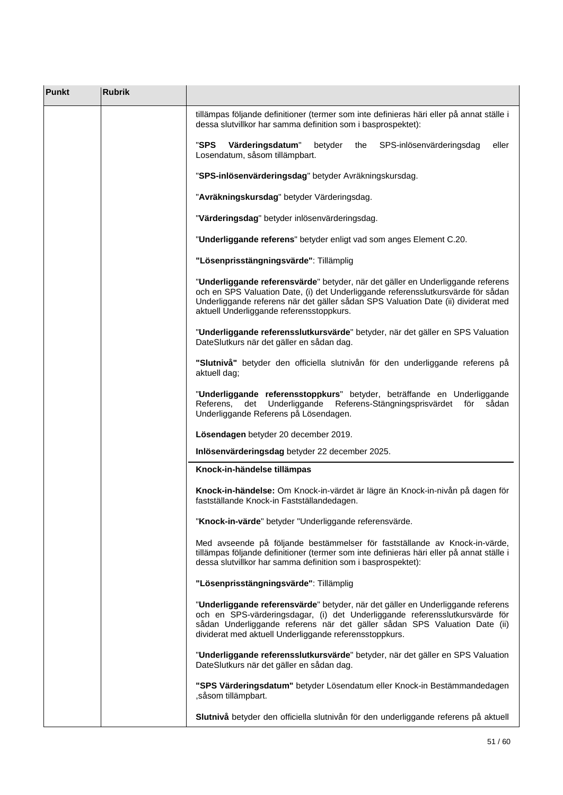| <b>Punkt</b> | <b>Rubrik</b> |                                                                                                                                                                                                                                                                                                       |
|--------------|---------------|-------------------------------------------------------------------------------------------------------------------------------------------------------------------------------------------------------------------------------------------------------------------------------------------------------|
|              |               | tillämpas följande definitioner (termer som inte definieras häri eller på annat ställe i<br>dessa slutvillkor har samma definition som i basprospektet):                                                                                                                                              |
|              |               | "SPS<br>Värderingsdatum"<br>SPS-inlösenvärderingsdag<br>betyder<br>the<br>eller<br>Losendatum, såsom tillämpbart.                                                                                                                                                                                     |
|              |               | "SPS-inlösenvärderingsdag" betyder Avräkningskursdag.                                                                                                                                                                                                                                                 |
|              |               | "Avräkningskursdag" betyder Värderingsdag.                                                                                                                                                                                                                                                            |
|              |               | "Värderingsdag" betyder inlösenvärderingsdag.                                                                                                                                                                                                                                                         |
|              |               | "Underliggande referens" betyder enligt vad som anges Element C.20.                                                                                                                                                                                                                                   |
|              |               | "Lösenprisstängningsvärde": Tillämplig                                                                                                                                                                                                                                                                |
|              |               | "Underliggande referensvärde" betyder, när det gäller en Underliggande referens<br>och en SPS Valuation Date, (i) det Underliggande referensslutkursvärde för sådan<br>Underliggande referens när det gäller sådan SPS Valuation Date (ii) dividerat med<br>aktuell Underliggande referensstoppkurs.  |
|              |               | "Underliggande referensslutkursvärde" betyder, när det gäller en SPS Valuation<br>DateSlutkurs när det gäller en sådan dag.                                                                                                                                                                           |
|              |               | "Slutnivå" betyder den officiella slutnivån för den underliggande referens på<br>aktuell dag;                                                                                                                                                                                                         |
|              |               | "Underliggande referensstoppkurs" betyder, beträffande en Underliggande<br>Underliggande<br>Referens-Stängningsprisvärdet för<br>Referens,<br>det<br>sådan<br>Underliggande Referens på Lösendagen.                                                                                                   |
|              |               | Lösendagen betyder 20 december 2019.                                                                                                                                                                                                                                                                  |
|              |               | Inlösenvärderingsdag betyder 22 december 2025.                                                                                                                                                                                                                                                        |
|              |               | Knock-in-händelse tillämpas                                                                                                                                                                                                                                                                           |
|              |               | Knock-in-händelse: Om Knock-in-värdet är lägre än Knock-in-nivån på dagen för<br>fastställande Knock-in Fastställandedagen.                                                                                                                                                                           |
|              |               | "Knock-in-värde" betyder "Underliggande referensvärde.                                                                                                                                                                                                                                                |
|              |               | Med avseende på följande bestämmelser för fastställande av Knock-in-värde,<br>tillämpas följande definitioner (termer som inte definieras häri eller på annat ställe i<br>dessa slutvillkor har samma definition som i basprospektet):                                                                |
|              |               | "Lösenprisstängningsvärde": Tillämplig                                                                                                                                                                                                                                                                |
|              |               | "Underliggande referensvärde" betyder, när det gäller en Underliggande referens<br>och en SPS-värderingsdagar, (i) det Underliggande referensslutkursvärde för<br>sådan Underliggande referens när det gäller sådan SPS Valuation Date (ii)<br>dividerat med aktuell Underliggande referensstoppkurs. |
|              |               | "Underliggande referensslutkursvärde" betyder, när det gäller en SPS Valuation<br>DateSlutkurs när det gäller en sådan dag.                                                                                                                                                                           |
|              |               | "SPS Värderingsdatum" betyder Lösendatum eller Knock-in Bestämmandedagen<br>, såsom tillämpbart.                                                                                                                                                                                                      |
|              |               | Slutnivå betyder den officiella slutnivån för den underliggande referens på aktuell                                                                                                                                                                                                                   |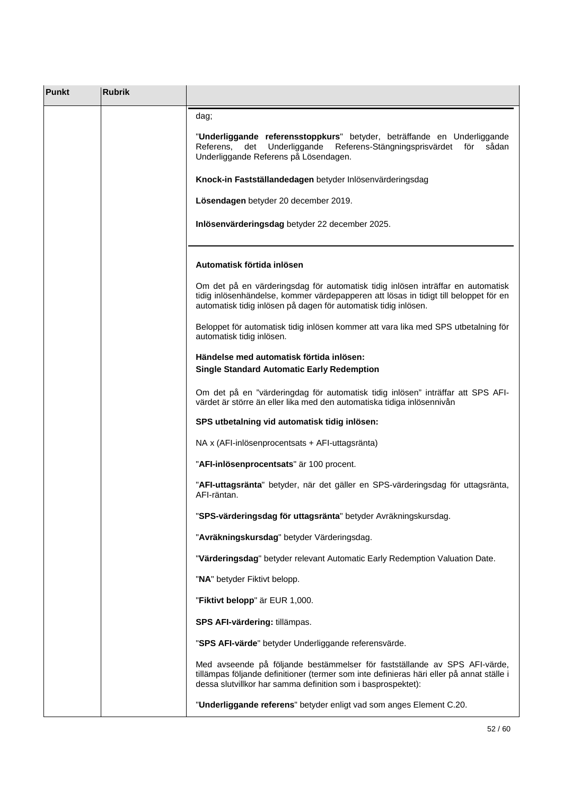| <b>Punkt</b> | <b>Rubrik</b> |                                                                                                                                                                                                                                            |
|--------------|---------------|--------------------------------------------------------------------------------------------------------------------------------------------------------------------------------------------------------------------------------------------|
|              |               | dag;                                                                                                                                                                                                                                       |
|              |               | "Underliggande referensstoppkurs" betyder, beträffande en Underliggande<br>det Underliggande<br>Referens-Stängningsprisvärdet<br>Referens,<br>för<br>sådan<br>Underliggande Referens på Lösendagen.                                        |
|              |               | Knock-in Fastställandedagen betyder Inlösenvärderingsdag                                                                                                                                                                                   |
|              |               | Lösendagen betyder 20 december 2019.                                                                                                                                                                                                       |
|              |               | Inlösenvärderingsdag betyder 22 december 2025.                                                                                                                                                                                             |
|              |               | Automatisk förtida inlösen                                                                                                                                                                                                                 |
|              |               | Om det på en värderingsdag för automatisk tidig inlösen inträffar en automatisk<br>tidig inlösenhändelse, kommer värdepapperen att lösas in tidigt till beloppet för en<br>automatisk tidig inlösen på dagen för automatisk tidig inlösen. |
|              |               | Beloppet för automatisk tidig inlösen kommer att vara lika med SPS utbetalning för<br>automatisk tidig inlösen.                                                                                                                            |
|              |               | Händelse med automatisk förtida inlösen:<br><b>Single Standard Automatic Early Redemption</b>                                                                                                                                              |
|              |               | Om det på en "värderingdag för automatisk tidig inlösen" inträffar att SPS AFI-<br>värdet är större än eller lika med den automatiska tidiga inlösennivån                                                                                  |
|              |               | SPS utbetalning vid automatisk tidig inlösen:                                                                                                                                                                                              |
|              |               | NA x (AFI-inlösenprocentsats + AFI-uttagsränta)                                                                                                                                                                                            |
|              |               | "AFI-inlösenprocentsats" är 100 procent.                                                                                                                                                                                                   |
|              |               | "AFI-uttagsränta" betyder, när det gäller en SPS-värderingsdag för uttagsränta,<br>AFI-räntan.                                                                                                                                             |
|              |               | "SPS-värderingsdag för uttagsränta" betyder Avräkningskursdag.                                                                                                                                                                             |
|              |               | "Avräkningskursdag" betyder Värderingsdag.                                                                                                                                                                                                 |
|              |               | "Värderingsdag" betyder relevant Automatic Early Redemption Valuation Date.                                                                                                                                                                |
|              |               | "NA" betyder Fiktivt belopp.                                                                                                                                                                                                               |
|              |               | "Fiktivt belopp" är EUR 1,000.                                                                                                                                                                                                             |
|              |               | SPS AFI-värdering: tillämpas.                                                                                                                                                                                                              |
|              |               | "SPS AFI-värde" betyder Underliggande referensvärde.                                                                                                                                                                                       |
|              |               | Med avseende på följande bestämmelser för fastställande av SPS AFI-värde,<br>tillämpas följande definitioner (termer som inte definieras häri eller på annat ställe i<br>dessa slutvillkor har samma definition som i basprospektet):      |
|              |               | "Underliggande referens" betyder enligt vad som anges Element C.20.                                                                                                                                                                        |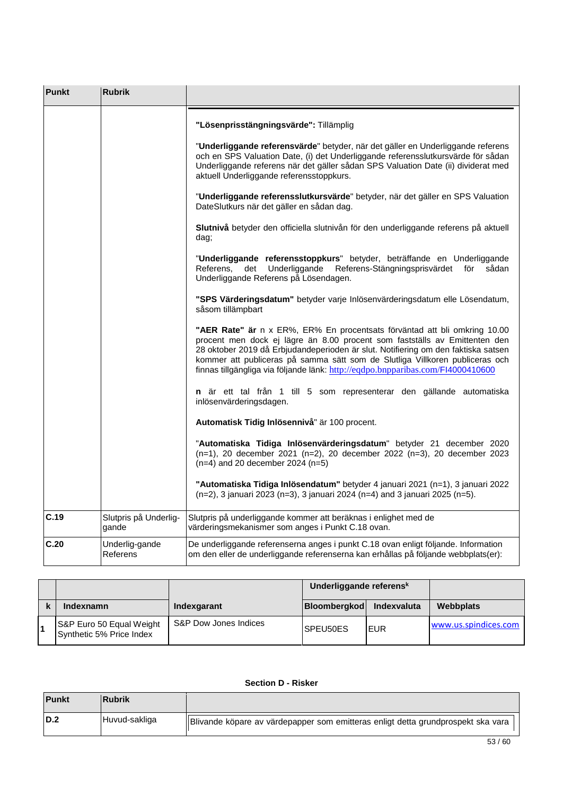| <b>Punkt</b> | <b>Rubrik</b>                  |                                                                                                                                                                                                                                                                                                                                                                                                                 |
|--------------|--------------------------------|-----------------------------------------------------------------------------------------------------------------------------------------------------------------------------------------------------------------------------------------------------------------------------------------------------------------------------------------------------------------------------------------------------------------|
|              |                                | "Lösenprisstängningsvärde": Tillämplig                                                                                                                                                                                                                                                                                                                                                                          |
|              |                                | "Underliggande referensvärde" betyder, när det gäller en Underliggande referens<br>och en SPS Valuation Date, (i) det Underliggande referensslutkursvärde för sådan<br>Underliggande referens när det gäller sådan SPS Valuation Date (ii) dividerat med<br>aktuell Underliggande referensstoppkurs.                                                                                                            |
|              |                                | "Underliggande referensslutkursvärde" betyder, när det gäller en SPS Valuation<br>DateSlutkurs när det gäller en sådan dag.                                                                                                                                                                                                                                                                                     |
|              |                                | Slutnivå betyder den officiella slutnivån för den underliggande referens på aktuell<br>dag;                                                                                                                                                                                                                                                                                                                     |
|              |                                | "Underliggande referensstoppkurs" betyder, beträffande en Underliggande<br>Referens,<br>det Underliggande<br>Referens-Stängningsprisvärdet för<br>sådan<br>Underliggande Referens på Lösendagen.                                                                                                                                                                                                                |
|              |                                | "SPS Värderingsdatum" betyder varje Inlösenvärderingsdatum elle Lösendatum,<br>såsom tillämpbart                                                                                                                                                                                                                                                                                                                |
|              |                                | "AER Rate" är n x ER%, ER% En procentsats förväntad att bli omkring 10.00<br>procent men dock ej lägre än 8.00 procent som fastställs av Emittenten den<br>28 oktober 2019 då Erbjudandeperioden är slut. Notifiering om den faktiska satsen<br>kommer att publiceras på samma sätt som de Slutliga Villkoren publiceras och<br>finnas tillgängliga via följande länk: http://eqdpo.bnpparibas.com/FI4000410600 |
|              |                                | n är ett tal från 1 till 5 som representerar den gällande automatiska<br>inlösenvärderingsdagen.                                                                                                                                                                                                                                                                                                                |
|              |                                | Automatisk Tidig Inlösennivå" är 100 procent.                                                                                                                                                                                                                                                                                                                                                                   |
|              |                                | "Automatiska Tidiga Inlösenvärderingsdatum" betyder 21 december 2020<br>(n=1), 20 december 2021 (n=2), 20 december 2022 (n=3), 20 december 2023<br>$(n=4)$ and 20 december 2024 (n=5)                                                                                                                                                                                                                           |
|              |                                | "Automatiska Tidiga Inlösendatum" betyder 4 januari 2021 (n=1), 3 januari 2022<br>(n=2), 3 januari 2023 (n=3), 3 januari 2024 (n=4) and 3 januari 2025 (n=5).                                                                                                                                                                                                                                                   |
| C.19         | Slutpris på Underlig-<br>gande | Slutpris på underliggande kommer att beräknas i enlighet med de<br>värderingsmekanismer som anges i Punkt C.18 ovan.                                                                                                                                                                                                                                                                                            |
| C.20         | Underlig-gande<br>Referens     | De underliggande referenserna anges i punkt C.18 ovan enligt följande. Information<br>om den eller de underliggande referenserna kan erhållas på följande webbplats(er):                                                                                                                                                                                                                                        |

|    |                                                      |                       | Underliggande referens <sup>k</sup> |             |                      |
|----|------------------------------------------------------|-----------------------|-------------------------------------|-------------|----------------------|
|    | Indexnamn                                            | Indexgarant           | <b>Bloombergkod</b>                 | Indexvaluta | Webbplats            |
| 11 | S&P Euro 50 Equal Weight<br>Synthetic 5% Price Index | S&P Dow Jones Indices | SPEU50ES                            | IEUR        | www.us.spindices.com |

## **Section D - Risker**

| <b>Punkt</b> | Rubrik        |                                                                                  |
|--------------|---------------|----------------------------------------------------------------------------------|
| D.2          | Huvud-sakliga | Blivande köpare av värdepapper som emitteras enligt detta grundprospekt ska vara |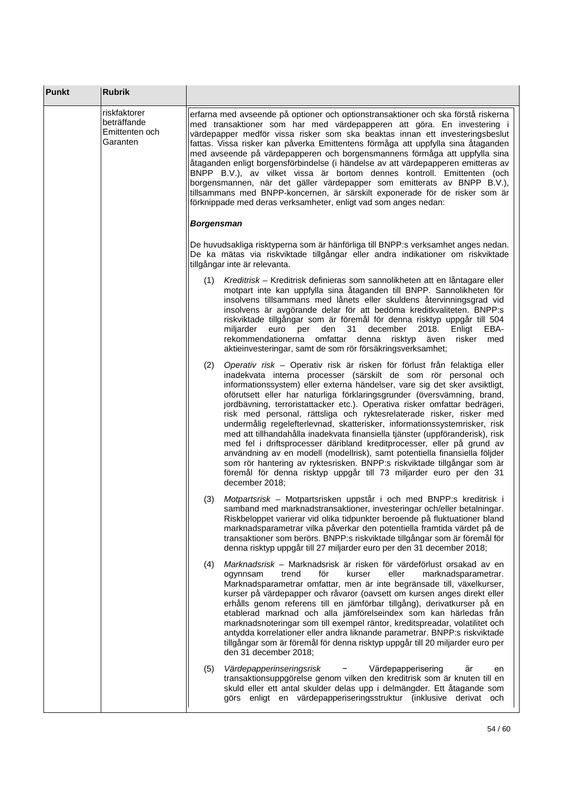| Punkt | <b>Rubrik</b>                                             |                                                                                                                                                                                                                                                                                                                                                                                                                                                                                                                                                                                                                                                                                                                                                                                                                                                                                                                                                           |
|-------|-----------------------------------------------------------|-----------------------------------------------------------------------------------------------------------------------------------------------------------------------------------------------------------------------------------------------------------------------------------------------------------------------------------------------------------------------------------------------------------------------------------------------------------------------------------------------------------------------------------------------------------------------------------------------------------------------------------------------------------------------------------------------------------------------------------------------------------------------------------------------------------------------------------------------------------------------------------------------------------------------------------------------------------|
|       | riskfaktorer<br>beträffande<br>Emittenten och<br>Garanten | erfarna med avseende på optioner och optionstransaktioner och ska förstå riskerna<br>med transaktioner som har med värdepapperen att göra. En investering i<br>värdepapper medför vissa risker som ska beaktas innan ett investeringsbeslut<br>fattas. Vissa risker kan påverka Emittentens förmåga att uppfylla sina åtaganden<br>med avseende på värdepapperen och borgensmannens förmåga att uppfylla sina<br>åtaganden enligt borgensförbindelse (i händelse av att värdepapperen emitteras av<br>BNPP B.V.), av vilket vissa är bortom dennes kontroll. Emittenten (och<br>borgensmannen, när det gäller värdepapper som emitterats av BNPP B.V.),<br>tillsammans med BNPP-koncernen, är särskilt exponerade för de risker som är<br>förknippade med deras verksamheter, enligt vad som anges nedan:                                                                                                                                                 |
|       |                                                           | <b>Borgensman</b>                                                                                                                                                                                                                                                                                                                                                                                                                                                                                                                                                                                                                                                                                                                                                                                                                                                                                                                                         |
|       |                                                           | De huvudsakliga risktyperna som är hänförliga till BNPP:s verksamhet anges nedan.<br>De ka mätas via riskviktade tillgångar eller andra indikationer om riskviktade<br>tillgångar inte är relevanta.                                                                                                                                                                                                                                                                                                                                                                                                                                                                                                                                                                                                                                                                                                                                                      |
|       |                                                           | Kreditrisk – Kreditrisk definieras som sannolikheten att en låntagare eller<br>(1)<br>motpart inte kan uppfylla sina åtaganden till BNPP. Sannolikheten för<br>insolvens tillsammans med lånets eller skuldens återvinningsgrad vid<br>insolvens är avgörande delar för att bedöma kreditkvaliteten. BNPP:s<br>riskviktade tillgångar som är föremål för denna risktyp uppgår till 504<br>31<br>december<br>2018.<br>miljarder euro per<br>den<br>Enligt<br>EBA-<br>rekommendationerna omfattar denna<br>risktyp<br>även<br>risker<br>med<br>aktieinvesteringar, samt de som rör försäkringsverksamhet;                                                                                                                                                                                                                                                                                                                                                   |
|       |                                                           | Operativ risk - Operativ risk är risken för förlust från felaktiga eller<br>(2)<br>inadekvata interna processer (särskilt de som rör personal och<br>informationssystem) eller externa händelser, vare sig det sker avsiktligt,<br>oförutsett eller har naturliga förklaringsgrunder (översvämning, brand,<br>jordbävning, terroristattacker etc.). Operativa risker omfattar bedrägeri,<br>risk med personal, rättsliga och ryktesrelaterade risker, risker med<br>undermålig regelefterlevnad, skatterisker, informationssystemrisker, risk<br>med att tillhandahålla inadekvata finansiella tjänster (uppföranderisk), risk<br>med fel i driftsprocesser däribland kreditprocesser, eller på grund av<br>användning av en modell (modellrisk), samt potentiella finansiella följder<br>som rör hantering av ryktesrisken. BNPP:s riskviktade tillgångar som är<br>föremål för denna risktyp uppgår till 73 miljarder euro per den 31<br>december 2018: |
|       |                                                           | Motpartsrisk - Motpartsrisken uppstår i och med BNPP:s kreditrisk i<br>(3)<br>samband med marknadstransaktioner, investeringar och/eller betalningar.<br>Riskbeloppet varierar vid olika tidpunkter beroende på fluktuationer bland<br>marknadsparametrar vilka påverkar den potentiella framtida värdet på de<br>transaktioner som berörs. BNPP:s riskviktade tillgångar som är föremål för<br>denna risktyp uppgår till 27 miljarder euro per den 31 december 2018;                                                                                                                                                                                                                                                                                                                                                                                                                                                                                     |
|       |                                                           | Marknadsrisk - Marknadsrisk är risken för värdeförlust orsakad av en<br>(4)<br>för<br>kurser<br>eller<br>marknadsparametrar.<br>ogynnsam<br>trend<br>Marknadsparametrar omfattar, men är inte begränsade till, växelkurser,<br>kurser på värdepapper och råvaror (oavsett om kursen anges direkt eller<br>erhålls genom referens till en jämförbar tillgång), derivatkurser på en<br>etablerad marknad och alla jämförelseindex som kan härledas från<br>marknadsnoteringar som till exempel räntor, kreditspreadar, volatilitet och<br>antydda korrelationer eller andra liknande parametrar. BNPP:s riskviktade<br>tillgångar som är föremål för denna risktyp uppgår till 20 miljarder euro per<br>den 31 december 2018;                                                                                                                                                                                                                               |
|       |                                                           | Värdepapperinseringsrisk<br>Värdepapperisering<br>(5)<br>är<br>en<br>transaktionsuppgörelse genom vilken den kreditrisk som är knuten till en<br>skuld eller ett antal skulder delas upp i delmängder. Ett åtagande som<br>görs enligt en värdepapperiseringsstruktur (inklusive derivat och                                                                                                                                                                                                                                                                                                                                                                                                                                                                                                                                                                                                                                                              |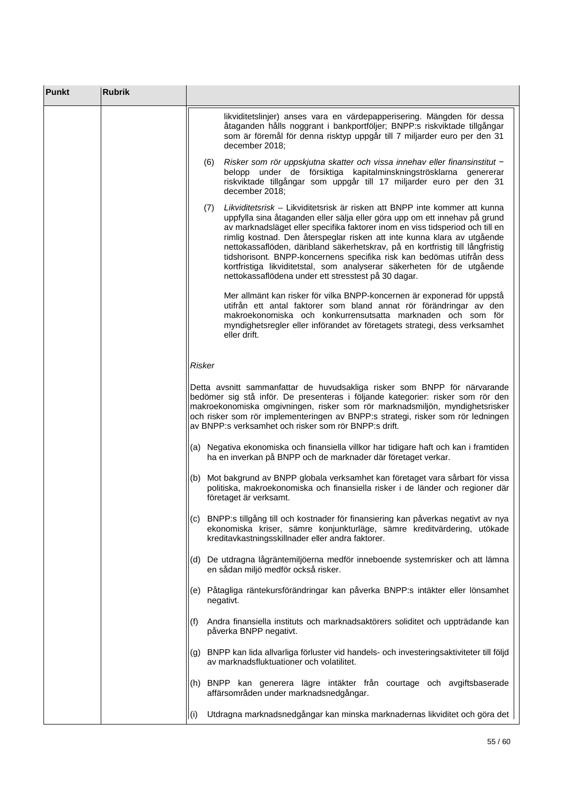| <b>Punkt</b> | <b>Rubrik</b> |                                                                                                                                                                                                                                                                                                                                                                                                                                                                                                                                                                                                                        |
|--------------|---------------|------------------------------------------------------------------------------------------------------------------------------------------------------------------------------------------------------------------------------------------------------------------------------------------------------------------------------------------------------------------------------------------------------------------------------------------------------------------------------------------------------------------------------------------------------------------------------------------------------------------------|
|              |               | likviditetslinjer) anses vara en värdepapperisering. Mängden för dessa<br>åtaganden hålls noggrant i bankportföljer; BNPP:s riskviktade tillgångar<br>som är föremål för denna risktyp uppgår till 7 miljarder euro per den 31<br>december 2018;                                                                                                                                                                                                                                                                                                                                                                       |
|              |               | Risker som rör uppskjutna skatter och vissa innehav eller finansinstitut -<br>(6)<br>belopp under de försiktiga kapitalminskningströsklarna genererar<br>riskviktade tillgångar som uppgår till 17 miljarder euro per den 31<br>december 2018:                                                                                                                                                                                                                                                                                                                                                                         |
|              |               | Likviditetsrisk – Likviditetsrisk är risken att BNPP inte kommer att kunna<br>(7)<br>uppfylla sina åtaganden eller sälja eller göra upp om ett innehav på grund<br>av marknadsläget eller specifika faktorer inom en viss tidsperiod och till en<br>rimlig kostnad. Den återspeglar risken att inte kunna klara av utgående<br>nettokassaflöden, däribland säkerhetskrav, på en kortfristig till långfristig<br>tidshorisont. BNPP-koncernens specifika risk kan bedömas utifrån dess<br>kortfristiga likviditetstal, som analyserar säkerheten för de utgående<br>nettokassaflödena under ett stresstest på 30 dagar. |
|              |               | Mer allmänt kan risker för vilka BNPP-koncernen är exponerad för uppstå<br>utifrån ett antal faktorer som bland annat rör förändringar av den<br>makroekonomiska och konkurrensutsatta marknaden och som för<br>myndighetsregler eller införandet av företagets strategi, dess verksamhet<br>eller drift.                                                                                                                                                                                                                                                                                                              |
|              |               | <b>Risker</b>                                                                                                                                                                                                                                                                                                                                                                                                                                                                                                                                                                                                          |
|              |               | Detta avsnitt sammanfattar de huvudsakliga risker som BNPP för närvarande<br>bedömer sig stå inför. De presenteras i följande kategorier: risker som rör den<br>makroekonomiska omgivningen, risker som rör marknadsmiljön, myndighetsrisker<br>och risker som rör implementeringen av BNPP:s strategi, risker som rör ledningen<br>av BNPP:s verksamhet och risker som rör BNPP:s drift.                                                                                                                                                                                                                              |
|              |               | (a) Negativa ekonomiska och finansiella villkor har tidigare haft och kan i framtiden<br>ha en inverkan på BNPP och de marknader där företaget verkar.                                                                                                                                                                                                                                                                                                                                                                                                                                                                 |
|              |               | (b) Mot bakgrund av BNPP globala verksamhet kan företaget vara sårbart för vissa<br>politiska, makroekonomiska och finansiella risker i de länder och regioner där<br>företaget är verksamt.                                                                                                                                                                                                                                                                                                                                                                                                                           |
|              |               | (c) BNPP:s tillgång till och kostnader för finansiering kan påverkas negativt av nya<br>ekonomiska kriser, sämre konjunkturläge, sämre kreditvärdering, utökade<br>kreditavkastningsskillnader eller andra faktorer.                                                                                                                                                                                                                                                                                                                                                                                                   |
|              |               | (d) De utdragna lågräntemiljöerna medför inneboende systemrisker och att lämna<br>en sådan miljö medför också risker.                                                                                                                                                                                                                                                                                                                                                                                                                                                                                                  |
|              |               | (e) Påtagliga räntekursförändringar kan påverka BNPP:s intäkter eller lönsamhet<br>negativt.                                                                                                                                                                                                                                                                                                                                                                                                                                                                                                                           |
|              |               | Andra finansiella instituts och marknadsaktörers soliditet och uppträdande kan<br>(t)<br>påverka BNPP negativt.                                                                                                                                                                                                                                                                                                                                                                                                                                                                                                        |
|              |               | (g) BNPP kan lida allvarliga förluster vid handels- och investeringsaktiviteter till följd<br>av marknadsfluktuationer och volatilitet.                                                                                                                                                                                                                                                                                                                                                                                                                                                                                |
|              |               | (h) BNPP kan generera lägre intäkter från courtage och avgiftsbaserade<br>affärsområden under marknadsnedgångar.                                                                                                                                                                                                                                                                                                                                                                                                                                                                                                       |
|              |               | Utdragna marknadsnedgångar kan minska marknadernas likviditet och göra det<br>(i)                                                                                                                                                                                                                                                                                                                                                                                                                                                                                                                                      |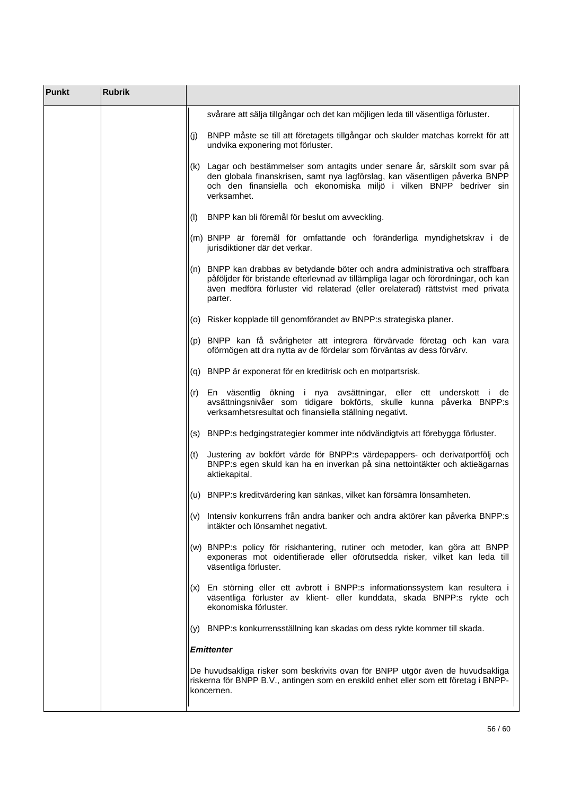| <b>Punkt</b> | <b>Rubrik</b> |                      |                                                                                                                                                                                                                                                         |
|--------------|---------------|----------------------|---------------------------------------------------------------------------------------------------------------------------------------------------------------------------------------------------------------------------------------------------------|
|              |               |                      | svårare att sälja tillgångar och det kan möjligen leda till väsentliga förluster.                                                                                                                                                                       |
|              |               | (j)                  | BNPP måste se till att företagets tillgångar och skulder matchas korrekt för att<br>undvika exponering mot förluster.                                                                                                                                   |
|              |               | verksamhet.          | (k) Lagar och bestämmelser som antagits under senare år, särskilt som svar på<br>den globala finanskrisen, samt nya lagförslag, kan väsentligen påverka BNPP<br>och den finansiella och ekonomiska miljö i vilken BNPP bedriver sin                     |
|              |               |                      | (I) BNPP kan bli föremål för beslut om avveckling.                                                                                                                                                                                                      |
|              |               |                      | (m) BNPP är föremål för omfattande och föränderliga myndighetskrav i de<br>jurisdiktioner där det verkar.                                                                                                                                               |
|              |               | parter.              | (n) BNPP kan drabbas av betydande böter och andra administrativa och straffbara<br>påföljder för bristande efterlevnad av tillämpliga lagar och förordningar, och kan<br>även medföra förluster vid relaterad (eller orelaterad) rättstvist med privata |
|              |               |                      | (o) Risker kopplade till genomförandet av BNPP:s strategiska planer.                                                                                                                                                                                    |
|              |               |                      | (p) BNPP kan få svårigheter att integrera förvärvade företag och kan vara<br>oförmögen att dra nytta av de fördelar som förväntas av dess förvärv.                                                                                                      |
|              |               |                      | (q) BNPP är exponerat för en kreditrisk och en motpartsrisk.                                                                                                                                                                                            |
|              |               |                      | (r) En väsentlig ökning i nya avsättningar, eller ett underskott i de<br>avsättningsnivåer som tidigare bokförts, skulle kunna påverka BNPP:s<br>verksamhetsresultat och finansiella ställning negativt.                                                |
|              |               |                      | (s) BNPP:s hedgingstrategier kommer inte nödvändigtvis att förebygga förluster.                                                                                                                                                                         |
|              |               | (t)<br>aktiekapital. | Justering av bokfört värde för BNPP:s värdepappers- och derivatportfölj och<br>BNPP:s egen skuld kan ha en inverkan på sina nettointäkter och aktieägarnas                                                                                              |
|              |               |                      | (u) BNPP:s kreditvärdering kan sänkas, vilket kan försämra lönsamheten.                                                                                                                                                                                 |
|              |               |                      | (v) Intensiv konkurrens från andra banker och andra aktörer kan påverka BNPP:s<br>intäkter och lönsamhet negativt.                                                                                                                                      |
|              |               |                      | (w) BNPP:s policy för riskhantering, rutiner och metoder, kan göra att BNPP<br>exponeras mot oidentifierade eller oförutsedda risker, vilket kan leda till<br>väsentliga förluster.                                                                     |
|              |               |                      | (x) En störning eller ett avbrott i BNPP:s informationssystem kan resultera i<br>väsentliga förluster av klient- eller kunddata, skada BNPP:s rykte och<br>ekonomiska förluster.                                                                        |
|              |               |                      | (y) BNPP:s konkurrensställning kan skadas om dess rykte kommer till skada.                                                                                                                                                                              |
|              |               | <b>Emittenter</b>    |                                                                                                                                                                                                                                                         |
|              |               | koncernen.           | De huvudsakliga risker som beskrivits ovan för BNPP utgör även de huvudsakliga<br>riskerna för BNPP B.V., antingen som en enskild enhet eller som ett företag i BNPP-                                                                                   |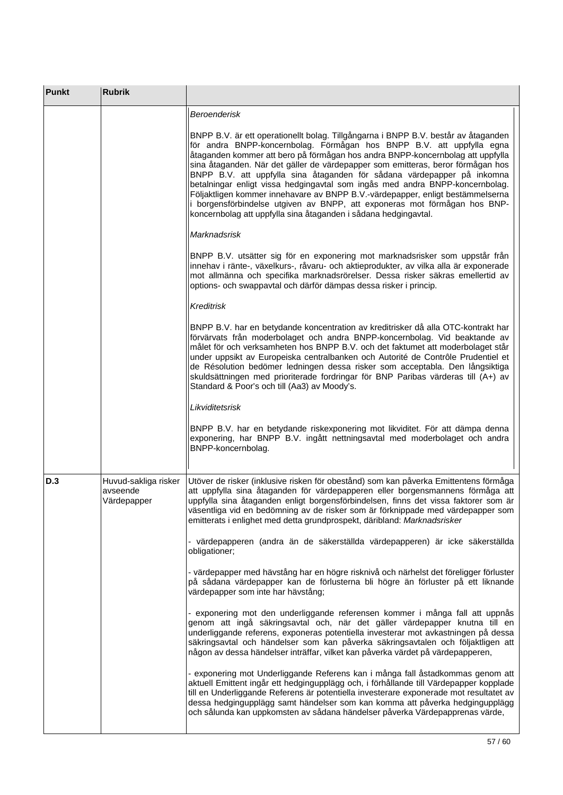| <b>Punkt</b> | <b>Rubrik</b>                                   |                                                                                                                                                                                                                                                                                                                                                                                                                                                                                                                                                                                                                                                                                                                               |
|--------------|-------------------------------------------------|-------------------------------------------------------------------------------------------------------------------------------------------------------------------------------------------------------------------------------------------------------------------------------------------------------------------------------------------------------------------------------------------------------------------------------------------------------------------------------------------------------------------------------------------------------------------------------------------------------------------------------------------------------------------------------------------------------------------------------|
|              |                                                 | <b>Beroenderisk</b>                                                                                                                                                                                                                                                                                                                                                                                                                                                                                                                                                                                                                                                                                                           |
|              |                                                 | BNPP B.V. är ett operationellt bolag. Tillgångarna i BNPP B.V. består av åtaganden<br>för andra BNPP-koncernbolag. Förmågan hos BNPP B.V. att uppfylla egna<br>åtaganden kommer att bero på förmågan hos andra BNPP-koncernbolag att uppfylla<br>sina åtaganden. När det gäller de värdepapper som emitteras, beror förmågan hos<br>BNPP B.V. att uppfylla sina åtaganden för sådana värdepapper på inkomna<br>betalningar enligt vissa hedgingavtal som ingås med andra BNPP-koncernbolag.<br>Följaktligen kommer innehavare av BNPP B.V.-värdepapper, enligt bestämmelserna<br>i borgensförbindelse utgiven av BNPP, att exponeras mot förmågan hos BNP-<br>koncernbolag att uppfylla sina åtaganden i sådana hedgingavtal. |
|              |                                                 | Marknadsrisk                                                                                                                                                                                                                                                                                                                                                                                                                                                                                                                                                                                                                                                                                                                  |
|              |                                                 | BNPP B.V. utsätter sig för en exponering mot marknadsrisker som uppstår från<br>innehav i ränte-, växelkurs-, råvaru- och aktieprodukter, av vilka alla är exponerade<br>mot allmänna och specifika marknadsrörelser. Dessa risker säkras emellertid av<br>options- och swappavtal och därför dämpas dessa risker i princip.                                                                                                                                                                                                                                                                                                                                                                                                  |
|              |                                                 | <b>Kreditrisk</b>                                                                                                                                                                                                                                                                                                                                                                                                                                                                                                                                                                                                                                                                                                             |
|              |                                                 | BNPP B.V. har en betydande koncentration av kreditrisker då alla OTC-kontrakt har<br>förvärvats från moderbolaget och andra BNPP-koncernbolag. Vid beaktande av<br>målet för och verksamheten hos BNPP B.V. och det faktumet att moderbolaget står<br>under uppsikt av Europeiska centralbanken och Autorité de Contrôle Prudentiel et<br>de Résolution bedömer ledningen dessa risker som acceptabla. Den långsiktiga<br>skuldsättningen med prioriterade fordringar för BNP Paribas värderas till (A+) av<br>Standard & Poor's och till (Aa3) av Moody's.                                                                                                                                                                   |
|              |                                                 | Likviditetsrisk                                                                                                                                                                                                                                                                                                                                                                                                                                                                                                                                                                                                                                                                                                               |
|              |                                                 | BNPP B.V. har en betydande riskexponering mot likviditet. För att dämpa denna<br>exponering, har BNPP B.V. ingått nettningsavtal med moderbolaget och andra<br>BNPP-koncernbolag.                                                                                                                                                                                                                                                                                                                                                                                                                                                                                                                                             |
| D.3          | Huvud-sakliga risker<br>avseende<br>Värdepapper | Utöver de risker (inklusive risken för obestånd) som kan påverka Emittentens förmåga<br>att uppfylla sina åtaganden för värdepapperen eller borgensmannens förmåga att<br>uppfylla sina åtaganden enligt borgensförbindelsen, finns det vissa faktorer som är<br>väsentliga vid en bedömning av de risker som är förknippade med värdepapper som<br>emitterats i enlighet med detta grundprospekt, däribland: Marknadsrisker                                                                                                                                                                                                                                                                                                  |
|              |                                                 | - värdepapperen (andra än de säkerställda värdepapperen) är icke säkerställda<br>obligationer;                                                                                                                                                                                                                                                                                                                                                                                                                                                                                                                                                                                                                                |
|              |                                                 | - värdepapper med hävstång har en högre risknivå och närhelst det föreligger förluster<br>på sådana värdepapper kan de förlusterna bli högre än förluster på ett liknande<br>värdepapper som inte har hävstång;                                                                                                                                                                                                                                                                                                                                                                                                                                                                                                               |
|              |                                                 | - exponering mot den underliggande referensen kommer i många fall att uppnås<br>genom att ingå säkringsavtal och, när det gäller värdepapper knutna till en<br>underliggande referens, exponeras potentiella investerar mot avkastningen på dessa<br>säkringsavtal och händelser som kan påverka säkringsavtalen och följaktligen att<br>någon av dessa händelser inträffar, vilket kan påverka värdet på värdepapperen,                                                                                                                                                                                                                                                                                                      |
|              |                                                 | - exponering mot Underliggande Referens kan i många fall åstadkommas genom att<br>aktuell Emittent ingår ett hedgingupplägg och, i förhållande till Värdepapper kopplade<br>till en Underliggande Referens är potentiella investerare exponerade mot resultatet av<br>dessa hedgingupplägg samt händelser som kan komma att påverka hedgingupplägg<br>och sålunda kan uppkomsten av sådana händelser påverka Värdepapprenas värde,                                                                                                                                                                                                                                                                                            |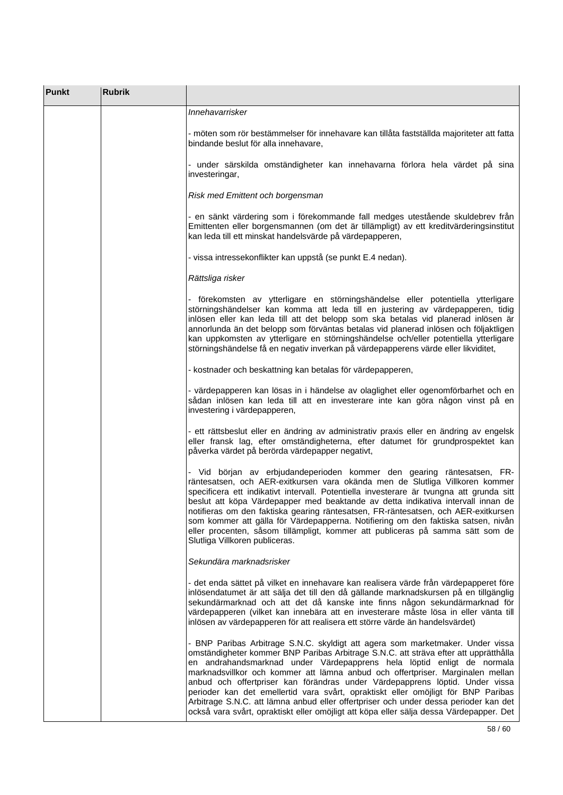| Punkt | <b>Rubrik</b> |                                                                                                                                                                                                                                                                                                                                                                                                                                                                                                                                                                                                                                                                                            |
|-------|---------------|--------------------------------------------------------------------------------------------------------------------------------------------------------------------------------------------------------------------------------------------------------------------------------------------------------------------------------------------------------------------------------------------------------------------------------------------------------------------------------------------------------------------------------------------------------------------------------------------------------------------------------------------------------------------------------------------|
|       |               | Innehavarrisker                                                                                                                                                                                                                                                                                                                                                                                                                                                                                                                                                                                                                                                                            |
|       |               | - möten som rör bestämmelser för innehavare kan tillåta fastställda majoriteter att fatta<br>bindande beslut för alla innehavare,                                                                                                                                                                                                                                                                                                                                                                                                                                                                                                                                                          |
|       |               | - under särskilda omständigheter kan innehavarna förlora hela värdet på sina<br>investeringar,                                                                                                                                                                                                                                                                                                                                                                                                                                                                                                                                                                                             |
|       |               | Risk med Emittent och borgensman                                                                                                                                                                                                                                                                                                                                                                                                                                                                                                                                                                                                                                                           |
|       |               | - en sänkt värdering som i förekommande fall medges utestående skuldebrev från<br>Emittenten eller borgensmannen (om det är tillämpligt) av ett kreditvärderingsinstitut<br>kan leda till ett minskat handelsvärde på värdepapperen,                                                                                                                                                                                                                                                                                                                                                                                                                                                       |
|       |               | - vissa intressekonflikter kan uppstå (se punkt E.4 nedan).                                                                                                                                                                                                                                                                                                                                                                                                                                                                                                                                                                                                                                |
|       |               | Rättsliga risker                                                                                                                                                                                                                                                                                                                                                                                                                                                                                                                                                                                                                                                                           |
|       |               | - förekomsten av ytterligare en störningshändelse eller potentiella ytterligare<br>störningshändelser kan komma att leda till en justering av värdepapperen, tidig<br>inlösen eller kan leda till att det belopp som ska betalas vid planerad inlösen är<br>annorlunda än det belopp som förväntas betalas vid planerad inlösen och följaktligen<br>kan uppkomsten av ytterligare en störningshändelse och/eller potentiella ytterligare<br>störningshändelse få en negativ inverkan på värdepapperens värde eller likviditet,                                                                                                                                                             |
|       |               | - kostnader och beskattning kan betalas för värdepapperen,                                                                                                                                                                                                                                                                                                                                                                                                                                                                                                                                                                                                                                 |
|       |               | - värdepapperen kan lösas in i händelse av olaglighet eller ogenomförbarhet och en<br>sådan inlösen kan leda till att en investerare inte kan göra någon vinst på en<br>investering i värdepapperen,                                                                                                                                                                                                                                                                                                                                                                                                                                                                                       |
|       |               | - ett rättsbeslut eller en ändring av administrativ praxis eller en ändring av engelsk<br>eller fransk lag, efter omständigheterna, efter datumet för grundprospektet kan<br>påverka värdet på berörda värdepapper negativt,                                                                                                                                                                                                                                                                                                                                                                                                                                                               |
|       |               | - Vid början av erbjudandeperioden kommer den gearing räntesatsen, FR-<br>räntesatsen, och AER-exitkursen vara okända men de Slutliga Villkoren kommer<br>specificera ett indikativt intervall. Potentiella investerare är tvungna att grunda sitt<br>beslut att köpa Värdepapper med beaktande av detta indikativa intervall innan de<br>notifieras om den faktiska gearing räntesatsen, FR-räntesatsen, och AER-exitkursen<br>som kommer att gälla för Värdepapperna. Notifiering om den faktiska satsen, nivån<br>eller procenten, såsom tillämpligt, kommer att publiceras på samma sätt som de<br>Slutliga Villkoren publiceras.                                                      |
|       |               | Sekundära marknadsrisker                                                                                                                                                                                                                                                                                                                                                                                                                                                                                                                                                                                                                                                                   |
|       |               | - det enda sättet på vilket en innehavare kan realisera värde från värdepapperet före<br>inlösendatumet är att sälja det till den då gällande marknadskursen på en tillgänglig<br>sekundärmarknad och att det då kanske inte finns någon sekundärmarknad för<br>värdepapperen (vilket kan innebära att en investerare måste lösa in eller vänta till<br>inlösen av värdepapperen för att realisera ett större värde än handelsvärdet)                                                                                                                                                                                                                                                      |
|       |               | - BNP Paribas Arbitrage S.N.C. skyldigt att agera som marketmaker. Under vissa<br>omständigheter kommer BNP Paribas Arbitrage S.N.C. att sträva efter att upprätthålla<br>en andrahandsmarknad under Värdepapprens hela löptid enligt de normala<br>marknadsvillkor och kommer att lämna anbud och offertpriser. Marginalen mellan<br>anbud och offertpriser kan förändras under Värdepapprens löptid. Under vissa<br>perioder kan det emellertid vara svårt, opraktiskt eller omöjligt för BNP Paribas<br>Arbitrage S.N.C. att lämna anbud eller offertpriser och under dessa perioder kan det<br>också vara svårt, opraktiskt eller omöjligt att köpa eller sälja dessa Värdepapper. Det |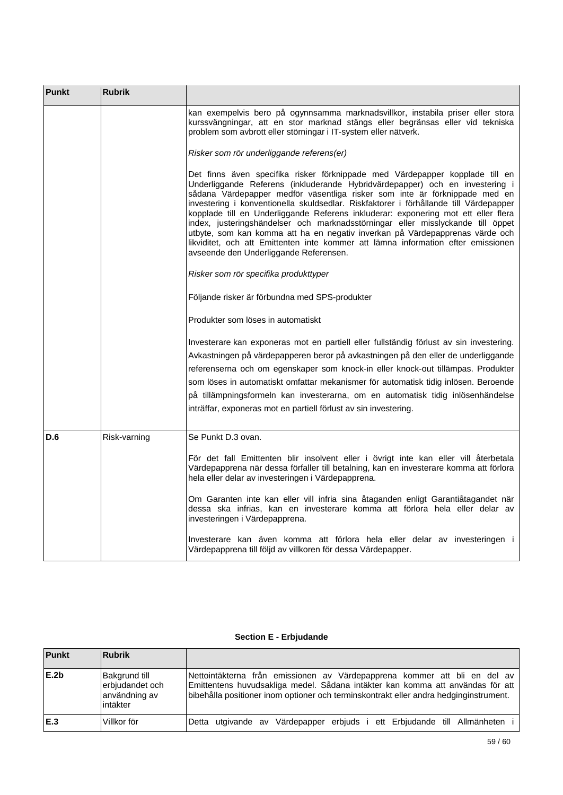| <b>Punkt</b> | <b>Rubrik</b> |                                                                                                                                                                                                                                                                                                                                                                                                                                                                                                                                                                                                                                                                                                                             |
|--------------|---------------|-----------------------------------------------------------------------------------------------------------------------------------------------------------------------------------------------------------------------------------------------------------------------------------------------------------------------------------------------------------------------------------------------------------------------------------------------------------------------------------------------------------------------------------------------------------------------------------------------------------------------------------------------------------------------------------------------------------------------------|
|              |               | kan exempelvis bero på ogynnsamma marknadsvillkor, instabila priser eller stora<br>kurssvängningar, att en stor marknad stängs eller begränsas eller vid tekniska<br>problem som avbrott eller störningar i IT-system eller nätverk.                                                                                                                                                                                                                                                                                                                                                                                                                                                                                        |
|              |               | Risker som rör underliggande referens(er)                                                                                                                                                                                                                                                                                                                                                                                                                                                                                                                                                                                                                                                                                   |
|              |               | Det finns även specifika risker förknippade med Värdepapper kopplade till en<br>Underliggande Referens (inkluderande Hybridvärdepapper) och en investering i<br>sådana Värdepapper medför väsentliga risker som inte är förknippade med en<br>investering i konventionella skuldsedlar. Riskfaktorer i förhållande till Värdepapper<br>kopplade till en Underliggande Referens inkluderar: exponering mot ett eller flera<br>index, justeringshändelser och marknadsstörningar eller misslyckande till öppet<br>utbyte, som kan komma att ha en negativ inverkan på Värdepapprenas värde och<br>likviditet, och att Emittenten inte kommer att lämna information efter emissionen<br>avseende den Underliggande Referensen. |
|              |               | Risker som rör specifika produkttyper                                                                                                                                                                                                                                                                                                                                                                                                                                                                                                                                                                                                                                                                                       |
|              |               | Följande risker är förbundna med SPS-produkter                                                                                                                                                                                                                                                                                                                                                                                                                                                                                                                                                                                                                                                                              |
|              |               | Produkter som löses in automatiskt                                                                                                                                                                                                                                                                                                                                                                                                                                                                                                                                                                                                                                                                                          |
|              |               | Investerare kan exponeras mot en partiell eller fullständig förlust av sin investering.<br>Avkastningen på värdepapperen beror på avkastningen på den eller de underliggande<br>referenserna och om egenskaper som knock-in eller knock-out tillämpas. Produkter<br>som löses in automatiskt omfattar mekanismer för automatisk tidig inlösen. Beroende<br>på tillämpningsformeln kan investerarna, om en automatisk tidig inlösenhändelse<br>inträffar, exponeras mot en partiell förlust av sin investering.                                                                                                                                                                                                              |
| D.6          | Risk-varning  | Se Punkt D.3 ovan.                                                                                                                                                                                                                                                                                                                                                                                                                                                                                                                                                                                                                                                                                                          |
|              |               | För det fall Emittenten blir insolvent eller i övrigt inte kan eller vill återbetala<br>Värdepapprena när dessa förfaller till betalning, kan en investerare komma att förlora<br>hela eller delar av investeringen i Värdepapprena.                                                                                                                                                                                                                                                                                                                                                                                                                                                                                        |
|              |               | Om Garanten inte kan eller vill infria sina åtaganden enligt Garantiåtagandet när<br>dessa ska infrias, kan en investerare komma att förlora hela eller delar av<br>investeringen i Värdepapprena.                                                                                                                                                                                                                                                                                                                                                                                                                                                                                                                          |
|              |               | Investerare kan även komma att förlora hela eller delar av investeringen i<br>Värdepapprena till följd av villkoren för dessa Värdepapper.                                                                                                                                                                                                                                                                                                                                                                                                                                                                                                                                                                                  |

# **Section E - Erbjudande**

| <b>Punkt</b> | <b>Rubrik</b>                                                         |                                                                                                                                                                                                                                                      |
|--------------|-----------------------------------------------------------------------|------------------------------------------------------------------------------------------------------------------------------------------------------------------------------------------------------------------------------------------------------|
| E.2b         | <b>Bakgrund till</b><br>erbjudandet och<br>användning av<br>lintäkter | Nettointäkterna från emissionen av Värdepapprena kommer att bli en del av<br>Emittentens huvudsakliga medel. Sådana intäkter kan komma att användas för att<br>bibehålla positioner inom optioner och terminskontrakt eller andra hedginginstrument. |
| IE.3         | Villkor för                                                           | Detta utgivande av Värdepapper erbjuds i ett Erbjudande till Allmänheten                                                                                                                                                                             |